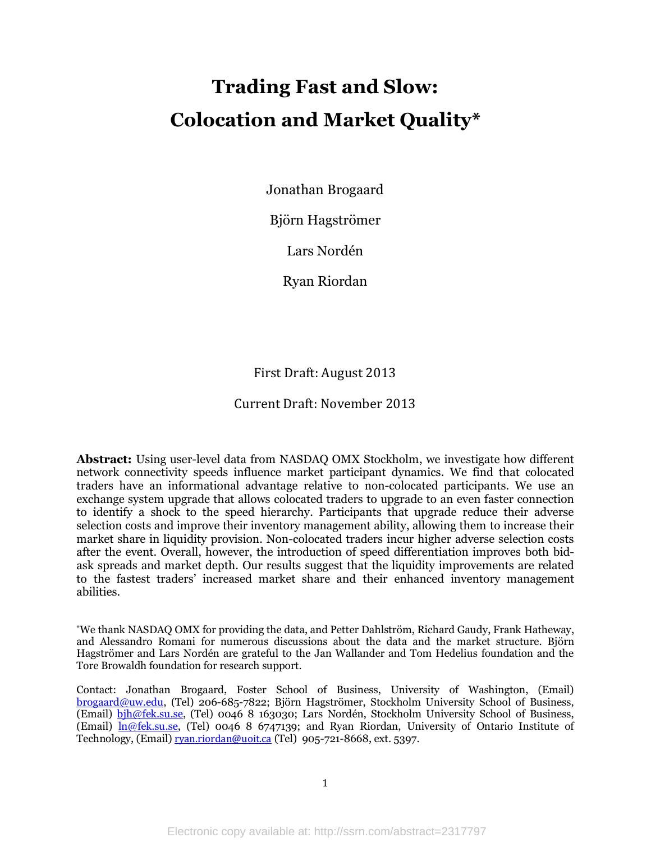# **Trading Fast and Slow: Colocation and Market Quality\***

Jonathan Brogaard

Björn Hagströmer

Lars Nordén

Ryan Riordan

First Draft: August 2013

# Current Draft: November 2013

**Abstract:** Using user-level data from NASDAQ OMX Stockholm, we investigate how different network connectivity speeds influence market participant dynamics. We find that colocated traders have an informational advantage relative to non-colocated participants. We use an exchange system upgrade that allows colocated traders to upgrade to an even faster connection to identify a shock to the speed hierarchy. Participants that upgrade reduce their adverse selection costs and improve their inventory management ability, allowing them to increase their market share in liquidity provision. Non-colocated traders incur higher adverse selection costs after the event. Overall, however, the introduction of speed differentiation improves both bidask spreads and market depth. Our results suggest that the liquidity improvements are related to the fastest traders" increased market share and their enhanced inventory management abilities.

\*We thank NASDAQ OMX for providing the data, and Petter Dahlström, Richard Gaudy, Frank Hatheway, and Alessandro Romani for numerous discussions about the data and the market structure. Björn Hagströmer and Lars Nordén are grateful to the Jan Wallander and Tom Hedelius foundation and the Tore Browaldh foundation for research support.

Contact: Jonathan Brogaard, Foster School of Business, University of Washington, (Email) [brogaard@uw.edu,](mailto:brogaard@uw.edu) (Tel) 206-685-7822; Björn Hagströmer, Stockholm University School of Business, (Email) [bjh@fek.su.se,](mailto:bjh@fek.su.se) (Tel) 0046 8 163030; Lars Nordén, Stockholm University School of Business, (Email) [ln@fek.su.se,](mailto:ln@fek.su.se) (Tel) 0046 8 6747139; and Ryan Riordan, University of Ontario Institute of Technology, (Email) rvan.riordan@uoit.ca (Tel) 905-721-8668, ext. 5397.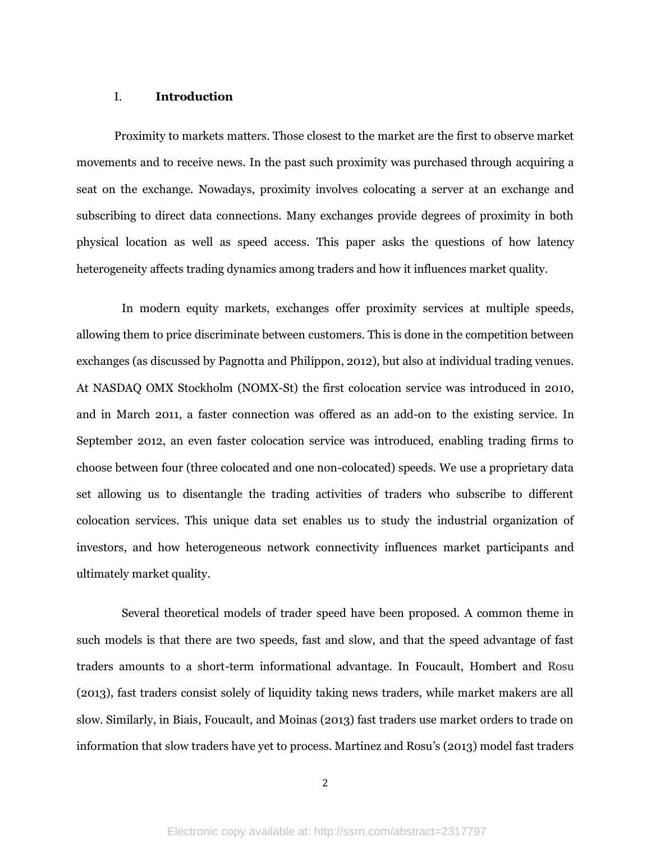# I. **Introduction**

Proximity to markets matters. Those closest to the market are the first to observe market movements and to receive news. In the past such proximity was purchased through acquiring a seat on the exchange. Nowadays, proximity involves colocating a server at an exchange and subscribing to direct data connections. Many exchanges provide degrees of proximity in both physical location as well as speed access. This paper asks the questions of how latency heterogeneity affects trading dynamics among traders and how it influences market quality.

In modern equity markets, exchanges offer proximity services at multiple speeds, allowing them to price discriminate between customers. This is done in the competition between exchanges (as discussed by Pagnotta and Philippon, 2012), but also at individual trading venues. At NASDAQ OMX Stockholm (NOMX-St) the first colocation service was introduced in 2010, and in March 2011, a faster connection was offered as an add-on to the existing service. In September 2012, an even faster colocation service was introduced, enabling trading firms to choose between four (three colocated and one non-colocated) speeds. We use a proprietary data set allowing us to disentangle the trading activities of traders who subscribe to different colocation services. This unique data set enables us to study the industrial organization of investors, and how heterogeneous network connectivity influences market participants and ultimately market quality.

Several theoretical models of trader speed have been proposed. A common theme in such models is that there are two speeds, fast and slow, and that the speed advantage of fast traders amounts to a short-term informational advantage. In Foucault, Hombert and Rosu (2013), fast traders consist solely of liquidity taking news traders, while market makers are all slow. Similarly, in Biais, Foucault, and Moinas (2013) fast traders use market orders to trade on information that slow traders have yet to process. Martinez and Rosu"s (2013) model fast traders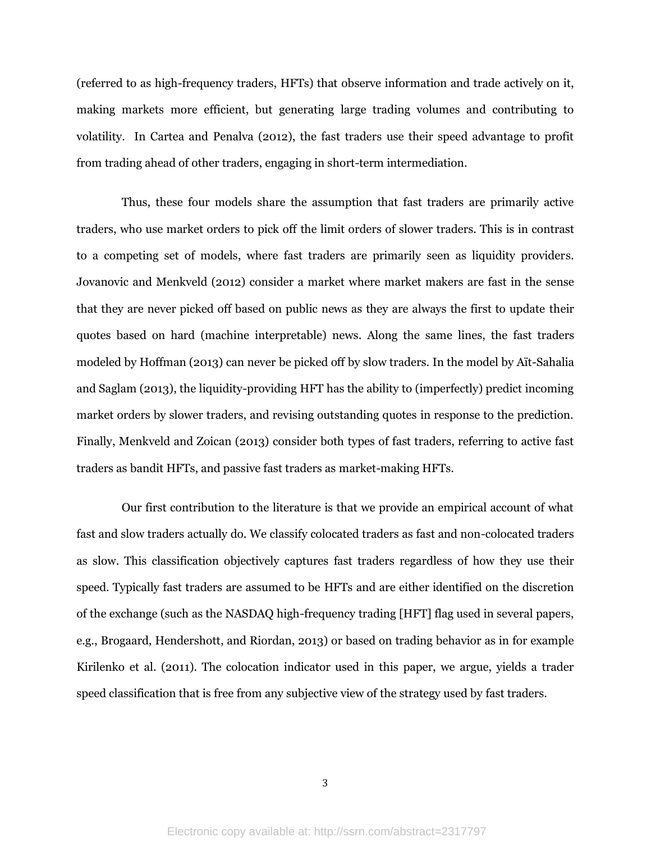(referred to as high-frequency traders, HFTs) that observe information and trade actively on it, making markets more efficient, but generating large trading volumes and contributing to volatility. In Cartea and Penalva (2012), the fast traders use their speed advantage to profit from trading ahead of other traders, engaging in short-term intermediation.

Thus, these four models share the assumption that fast traders are primarily active traders, who use market orders to pick off the limit orders of slower traders. This is in contrast to a competing set of models, where fast traders are primarily seen as liquidity providers. Jovanovic and Menkveld (2012) consider a market where market makers are fast in the sense that they are never picked off based on public news as they are always the first to update their quotes based on hard (machine interpretable) news. Along the same lines, the fast traders modeled by Hoffman (2013) can never be picked off by slow traders. In the model by Aït-Sahalia and Saglam (2013), the liquidity-providing HFT has the ability to (imperfectly) predict incoming market orders by slower traders, and revising outstanding quotes in response to the prediction. Finally, Menkveld and Zoican (2013) consider both types of fast traders, referring to active fast traders as bandit HFTs, and passive fast traders as market-making HFTs.

Our first contribution to the literature is that we provide an empirical account of what fast and slow traders actually do. We classify colocated traders as fast and non-colocated traders as slow. This classification objectively captures fast traders regardless of how they use their speed. Typically fast traders are assumed to be HFTs and are either identified on the discretion of the exchange (such as the NASDAQ high-frequency trading [HFT] flag used in several papers, e.g., Brogaard, Hendershott, and Riordan, 2013) or based on trading behavior as in for example Kirilenko et al. (2011). The colocation indicator used in this paper, we argue, yields a trader speed classification that is free from any subjective view of the strategy used by fast traders.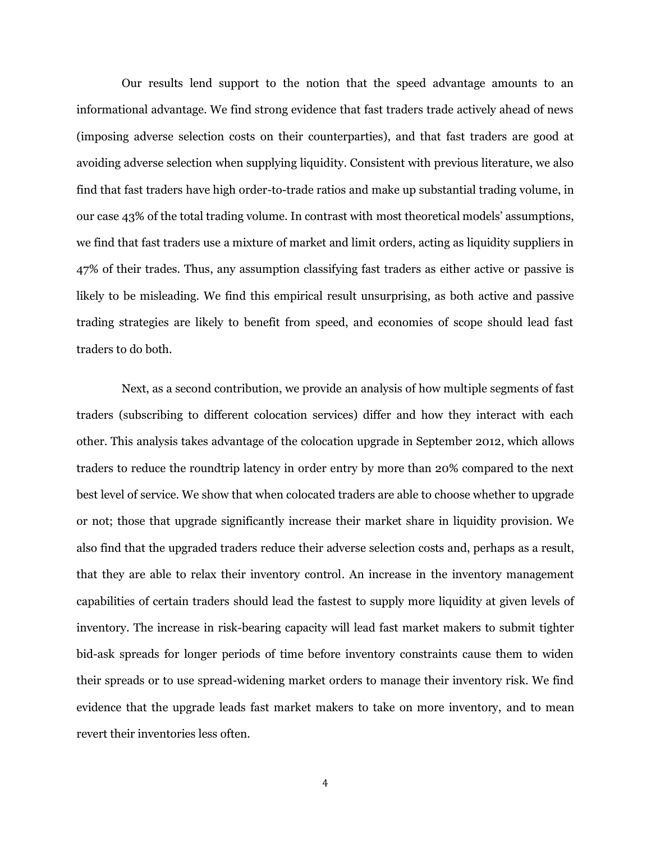Our results lend support to the notion that the speed advantage amounts to an informational advantage. We find strong evidence that fast traders trade actively ahead of news (imposing adverse selection costs on their counterparties), and that fast traders are good at avoiding adverse selection when supplying liquidity. Consistent with previous literature, we also find that fast traders have high order-to-trade ratios and make up substantial trading volume, in our case 43% of the total trading volume. In contrast with most theoretical models" assumptions, we find that fast traders use a mixture of market and limit orders, acting as liquidity suppliers in 47% of their trades. Thus, any assumption classifying fast traders as either active or passive is likely to be misleading. We find this empirical result unsurprising, as both active and passive trading strategies are likely to benefit from speed, and economies of scope should lead fast traders to do both.

Next, as a second contribution, we provide an analysis of how multiple segments of fast traders (subscribing to different colocation services) differ and how they interact with each other. This analysis takes advantage of the colocation upgrade in September 2012, which allows traders to reduce the roundtrip latency in order entry by more than 20% compared to the next best level of service. We show that when colocated traders are able to choose whether to upgrade or not; those that upgrade significantly increase their market share in liquidity provision. We also find that the upgraded traders reduce their adverse selection costs and, perhaps as a result, that they are able to relax their inventory control. An increase in the inventory management capabilities of certain traders should lead the fastest to supply more liquidity at given levels of inventory. The increase in risk-bearing capacity will lead fast market makers to submit tighter bid-ask spreads for longer periods of time before inventory constraints cause them to widen their spreads or to use spread-widening market orders to manage their inventory risk. We find evidence that the upgrade leads fast market makers to take on more inventory, and to mean revert their inventories less often.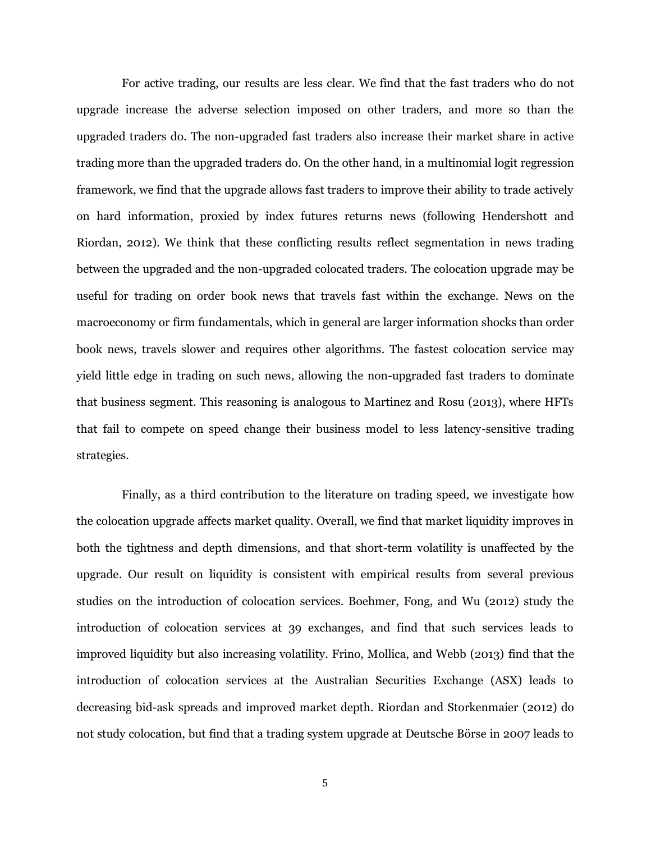For active trading, our results are less clear. We find that the fast traders who do not upgrade increase the adverse selection imposed on other traders, and more so than the upgraded traders do. The non-upgraded fast traders also increase their market share in active trading more than the upgraded traders do. On the other hand, in a multinomial logit regression framework, we find that the upgrade allows fast traders to improve their ability to trade actively on hard information, proxied by index futures returns news (following Hendershott and Riordan, 2012). We think that these conflicting results reflect segmentation in news trading between the upgraded and the non-upgraded colocated traders. The colocation upgrade may be useful for trading on order book news that travels fast within the exchange. News on the macroeconomy or firm fundamentals, which in general are larger information shocks than order book news, travels slower and requires other algorithms. The fastest colocation service may yield little edge in trading on such news, allowing the non-upgraded fast traders to dominate that business segment. This reasoning is analogous to Martinez and Rosu (2013), where HFTs that fail to compete on speed change their business model to less latency-sensitive trading strategies.

Finally, as a third contribution to the literature on trading speed, we investigate how the colocation upgrade affects market quality. Overall, we find that market liquidity improves in both the tightness and depth dimensions, and that short-term volatility is unaffected by the upgrade. Our result on liquidity is consistent with empirical results from several previous studies on the introduction of colocation services. Boehmer, Fong, and Wu (2012) study the introduction of colocation services at 39 exchanges, and find that such services leads to improved liquidity but also increasing volatility. Frino, Mollica, and Webb (2013) find that the introduction of colocation services at the Australian Securities Exchange (ASX) leads to decreasing bid-ask spreads and improved market depth. Riordan and Storkenmaier (2012) do not study colocation, but find that a trading system upgrade at Deutsche Börse in 2007 leads to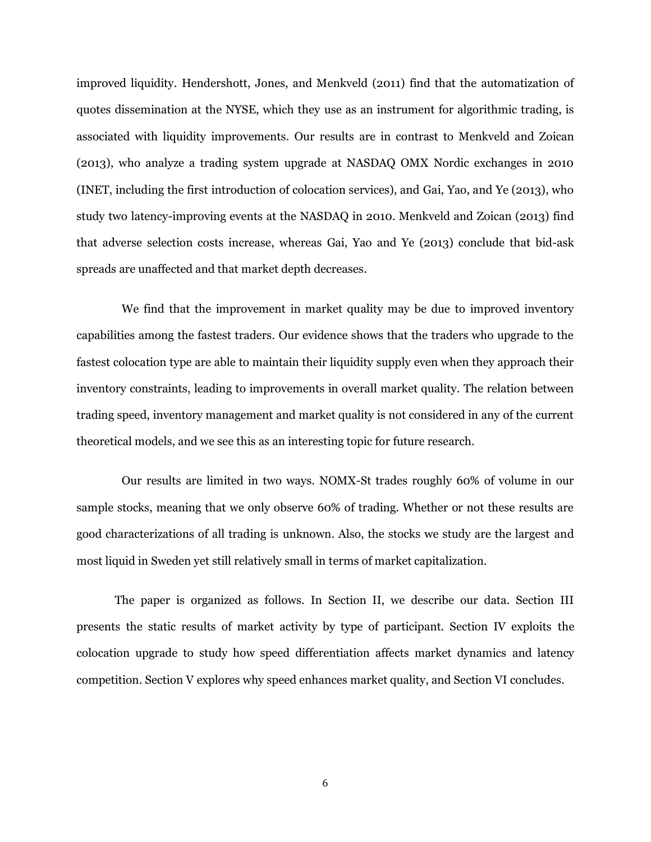improved liquidity. Hendershott, Jones, and Menkveld (2011) find that the automatization of quotes dissemination at the NYSE, which they use as an instrument for algorithmic trading, is associated with liquidity improvements. Our results are in contrast to Menkveld and Zoican (2013), who analyze a trading system upgrade at NASDAQ OMX Nordic exchanges in 2010 (INET, including the first introduction of colocation services), and Gai, Yao, and Ye (2013), who study two latency-improving events at the NASDAQ in 2010. Menkveld and Zoican (2013) find that adverse selection costs increase, whereas Gai, Yao and Ye (2013) conclude that bid-ask spreads are unaffected and that market depth decreases.

We find that the improvement in market quality may be due to improved inventory capabilities among the fastest traders. Our evidence shows that the traders who upgrade to the fastest colocation type are able to maintain their liquidity supply even when they approach their inventory constraints, leading to improvements in overall market quality. The relation between trading speed, inventory management and market quality is not considered in any of the current theoretical models, and we see this as an interesting topic for future research.

Our results are limited in two ways. NOMX-St trades roughly 60% of volume in our sample stocks, meaning that we only observe 60% of trading. Whether or not these results are good characterizations of all trading is unknown. Also, the stocks we study are the largest and most liquid in Sweden yet still relatively small in terms of market capitalization.

The paper is organized as follows. In Section II, we describe our data. Section III presents the static results of market activity by type of participant. Section IV exploits the colocation upgrade to study how speed differentiation affects market dynamics and latency competition. Section V explores why speed enhances market quality, and Section VI concludes.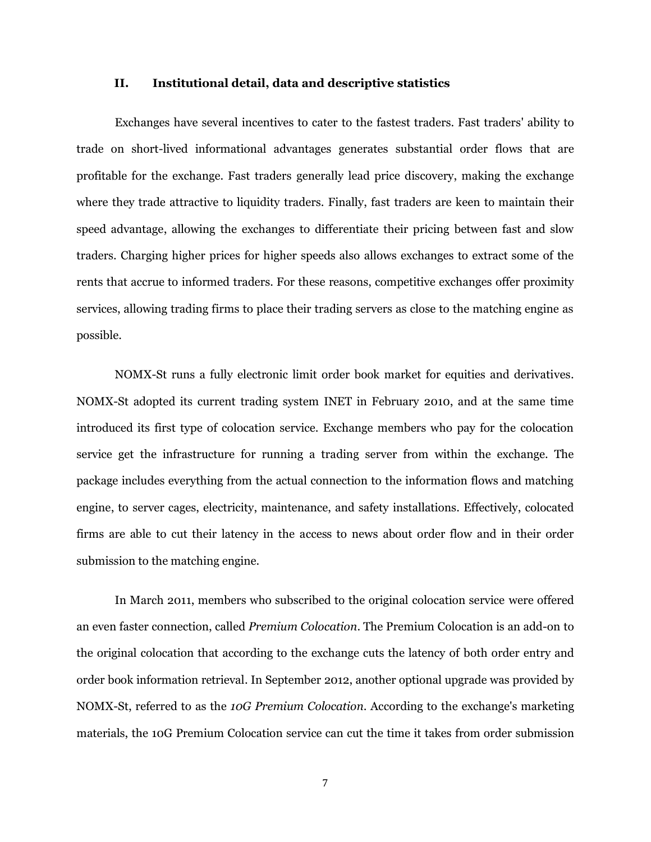## **II. Institutional detail, data and descriptive statistics**

Exchanges have several incentives to cater to the fastest traders. Fast traders' ability to trade on short-lived informational advantages generates substantial order flows that are profitable for the exchange. Fast traders generally lead price discovery, making the exchange where they trade attractive to liquidity traders. Finally, fast traders are keen to maintain their speed advantage, allowing the exchanges to differentiate their pricing between fast and slow traders. Charging higher prices for higher speeds also allows exchanges to extract some of the rents that accrue to informed traders. For these reasons, competitive exchanges offer proximity services, allowing trading firms to place their trading servers as close to the matching engine as possible.

NOMX-St runs a fully electronic limit order book market for equities and derivatives. NOMX-St adopted its current trading system INET in February 2010, and at the same time introduced its first type of colocation service. Exchange members who pay for the colocation service get the infrastructure for running a trading server from within the exchange. The package includes everything from the actual connection to the information flows and matching engine, to server cages, electricity, maintenance, and safety installations. Effectively, colocated firms are able to cut their latency in the access to news about order flow and in their order submission to the matching engine.

In March 2011, members who subscribed to the original colocation service were offered an even faster connection, called *Premium Colocation*. The Premium Colocation is an add-on to the original colocation that according to the exchange cuts the latency of both order entry and order book information retrieval. In September 2012, another optional upgrade was provided by NOMX-St, referred to as the *10G Premium Colocation*. According to the exchange's marketing materials, the 10G Premium Colocation service can cut the time it takes from order submission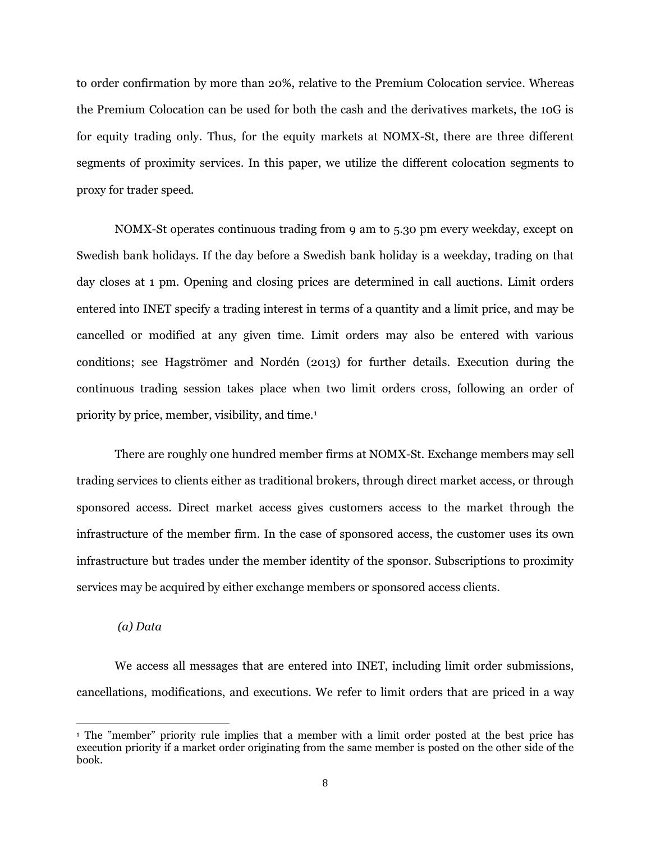to order confirmation by more than 20%, relative to the Premium Colocation service. Whereas the Premium Colocation can be used for both the cash and the derivatives markets, the 10G is for equity trading only. Thus, for the equity markets at NOMX-St, there are three different segments of proximity services. In this paper, we utilize the different colocation segments to proxy for trader speed.

NOMX-St operates continuous trading from 9 am to 5.30 pm every weekday, except on Swedish bank holidays. If the day before a Swedish bank holiday is a weekday, trading on that day closes at 1 pm. Opening and closing prices are determined in call auctions. Limit orders entered into INET specify a trading interest in terms of a quantity and a limit price, and may be cancelled or modified at any given time. Limit orders may also be entered with various conditions; see Hagströmer and Nordén (2013) for further details. Execution during the continuous trading session takes place when two limit orders cross, following an order of priority by price, member, visibility, and time.<sup>1</sup>

There are roughly one hundred member firms at NOMX-St. Exchange members may sell trading services to clients either as traditional brokers, through direct market access, or through sponsored access. Direct market access gives customers access to the market through the infrastructure of the member firm. In the case of sponsored access, the customer uses its own infrastructure but trades under the member identity of the sponsor. Subscriptions to proximity services may be acquired by either exchange members or sponsored access clients.

#### *(a) Data*

 $\overline{a}$ 

We access all messages that are entered into INET, including limit order submissions, cancellations, modifications, and executions. We refer to limit orders that are priced in a way

<sup>&</sup>lt;sup>1</sup> The "member" priority rule implies that a member with a limit order posted at the best price has execution priority if a market order originating from the same member is posted on the other side of the book.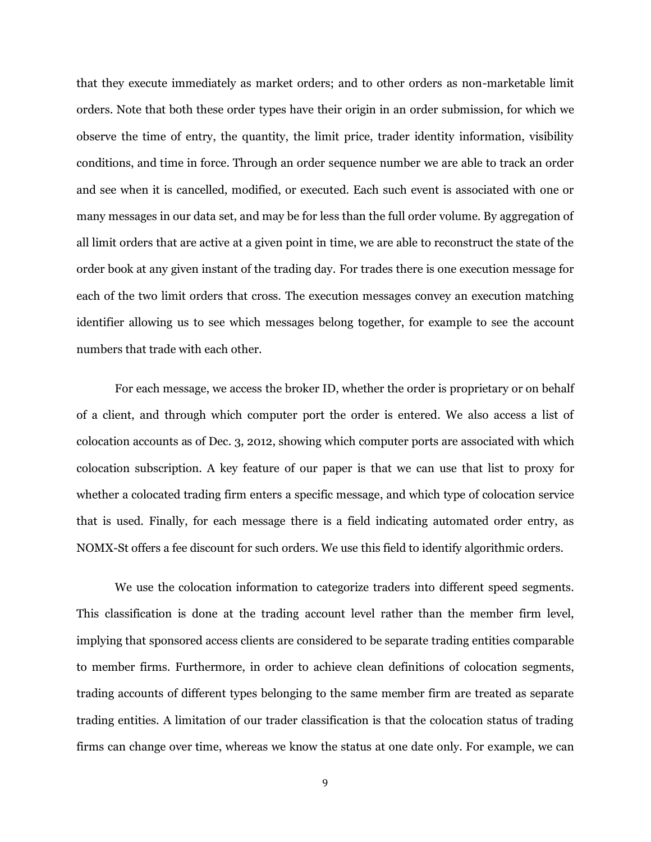that they execute immediately as market orders; and to other orders as non-marketable limit orders. Note that both these order types have their origin in an order submission, for which we observe the time of entry, the quantity, the limit price, trader identity information, visibility conditions, and time in force. Through an order sequence number we are able to track an order and see when it is cancelled, modified, or executed. Each such event is associated with one or many messages in our data set, and may be for less than the full order volume. By aggregation of all limit orders that are active at a given point in time, we are able to reconstruct the state of the order book at any given instant of the trading day. For trades there is one execution message for each of the two limit orders that cross. The execution messages convey an execution matching identifier allowing us to see which messages belong together, for example to see the account numbers that trade with each other.

For each message, we access the broker ID, whether the order is proprietary or on behalf of a client, and through which computer port the order is entered. We also access a list of colocation accounts as of Dec. 3, 2012, showing which computer ports are associated with which colocation subscription. A key feature of our paper is that we can use that list to proxy for whether a colocated trading firm enters a specific message, and which type of colocation service that is used. Finally, for each message there is a field indicating automated order entry, as NOMX-St offers a fee discount for such orders. We use this field to identify algorithmic orders.

We use the colocation information to categorize traders into different speed segments. This classification is done at the trading account level rather than the member firm level, implying that sponsored access clients are considered to be separate trading entities comparable to member firms. Furthermore, in order to achieve clean definitions of colocation segments, trading accounts of different types belonging to the same member firm are treated as separate trading entities. A limitation of our trader classification is that the colocation status of trading firms can change over time, whereas we know the status at one date only. For example, we can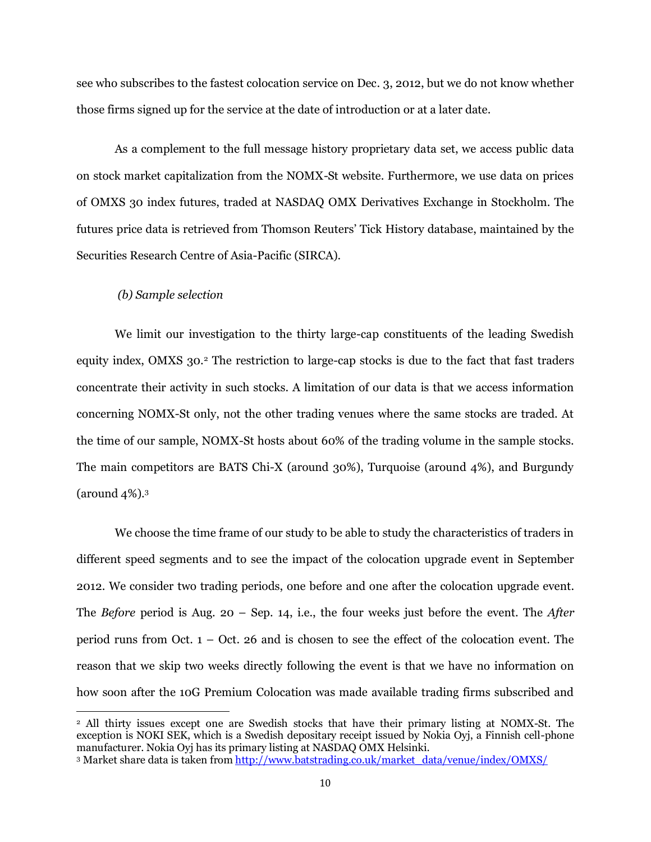see who subscribes to the fastest colocation service on Dec. 3, 2012, but we do not know whether those firms signed up for the service at the date of introduction or at a later date.

As a complement to the full message history proprietary data set, we access public data on stock market capitalization from the NOMX-St website. Furthermore, we use data on prices of OMXS 30 index futures, traded at NASDAQ OMX Derivatives Exchange in Stockholm. The futures price data is retrieved from Thomson Reuters" Tick History database, maintained by the Securities Research Centre of Asia-Pacific (SIRCA).

#### *(b) Sample selection*

 $\overline{a}$ 

We limit our investigation to the thirty large-cap constituents of the leading Swedish equity index, OMXS 30.<sup>2</sup> The restriction to large-cap stocks is due to the fact that fast traders concentrate their activity in such stocks. A limitation of our data is that we access information concerning NOMX-St only, not the other trading venues where the same stocks are traded. At the time of our sample, NOMX-St hosts about 60% of the trading volume in the sample stocks. The main competitors are BATS Chi-X (around 30%), Turquoise (around 4%), and Burgundy (around 4%).<sup>3</sup>

We choose the time frame of our study to be able to study the characteristics of traders in different speed segments and to see the impact of the colocation upgrade event in September 2012. We consider two trading periods, one before and one after the colocation upgrade event. The *Before* period is Aug. 20 – Sep. 14, i.e., the four weeks just before the event. The *After* period runs from Oct. 1 – Oct. 26 and is chosen to see the effect of the colocation event. The reason that we skip two weeks directly following the event is that we have no information on how soon after the 10G Premium Colocation was made available trading firms subscribed and

<sup>2</sup> All thirty issues except one are Swedish stocks that have their primary listing at NOMX-St. The exception is NOKI SEK, which is a Swedish depositary receipt issued by Nokia Oyj, a Finnish cell-phone manufacturer. Nokia Oyj has its primary listing at NASDAQ OMX Helsinki.

<sup>3</sup> Market share data is taken fro[m http://www.batstrading.co.uk/market\\_data/venue/index/OMXS/](http://www.batstrading.co.uk/market_data/venue/index/OMXS/)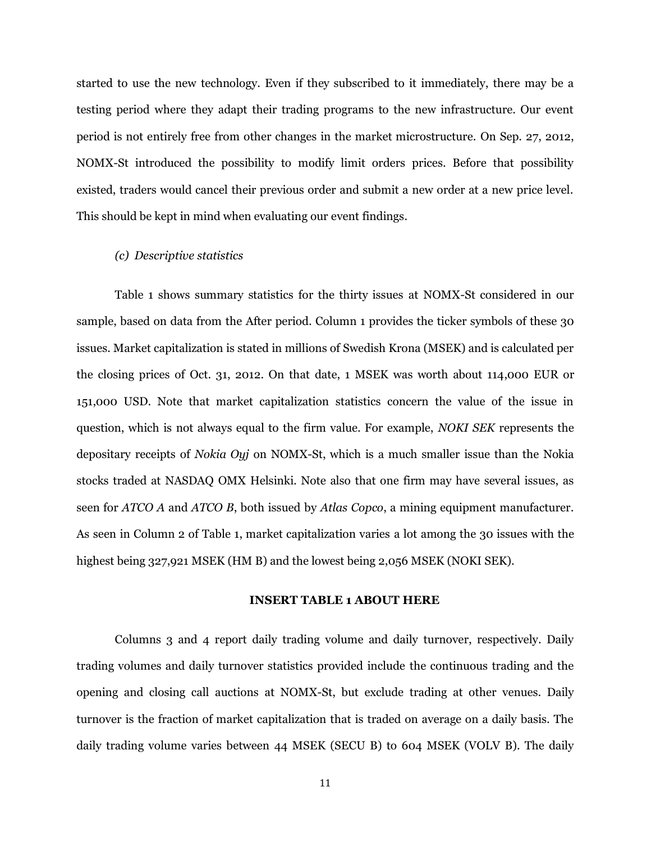started to use the new technology. Even if they subscribed to it immediately, there may be a testing period where they adapt their trading programs to the new infrastructure. Our event period is not entirely free from other changes in the market microstructure. On Sep. 27, 2012, NOMX-St introduced the possibility to modify limit orders prices. Before that possibility existed, traders would cancel their previous order and submit a new order at a new price level. This should be kept in mind when evaluating our event findings.

#### *(c) Descriptive statistics*

Table 1 shows summary statistics for the thirty issues at NOMX-St considered in our sample, based on data from the After period. Column 1 provides the ticker symbols of these 30 issues. Market capitalization is stated in millions of Swedish Krona (MSEK) and is calculated per the closing prices of Oct. 31, 2012. On that date, 1 MSEK was worth about 114,000 EUR or 151,000 USD. Note that market capitalization statistics concern the value of the issue in question, which is not always equal to the firm value. For example, *NOKI SEK* represents the depositary receipts of *Nokia Oyj* on NOMX-St, which is a much smaller issue than the Nokia stocks traded at NASDAQ OMX Helsinki. Note also that one firm may have several issues, as seen for *ATCO A* and *ATCO B*, both issued by *Atlas Copco*, a mining equipment manufacturer. As seen in Column 2 of Table 1, market capitalization varies a lot among the 30 issues with the highest being 327,921 MSEK (HM B) and the lowest being 2,056 MSEK (NOKI SEK).

#### **INSERT TABLE 1 ABOUT HERE**

Columns 3 and 4 report daily trading volume and daily turnover, respectively. Daily trading volumes and daily turnover statistics provided include the continuous trading and the opening and closing call auctions at NOMX-St, but exclude trading at other venues. Daily turnover is the fraction of market capitalization that is traded on average on a daily basis. The daily trading volume varies between 44 MSEK (SECU B) to 604 MSEK (VOLV B). The daily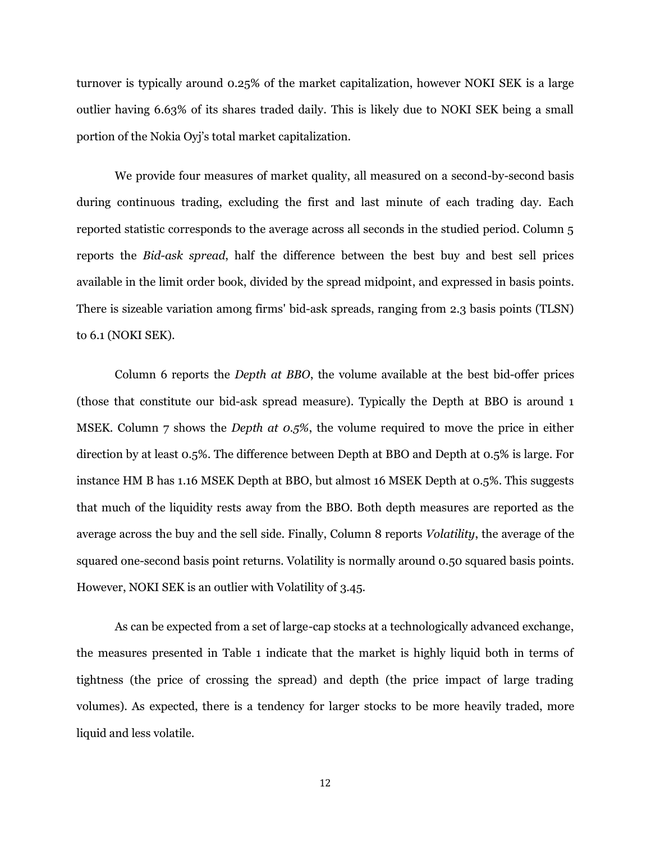turnover is typically around 0.25% of the market capitalization, however NOKI SEK is a large outlier having 6.63% of its shares traded daily. This is likely due to NOKI SEK being a small portion of the Nokia Oyj"s total market capitalization.

We provide four measures of market quality, all measured on a second-by-second basis during continuous trading, excluding the first and last minute of each trading day. Each reported statistic corresponds to the average across all seconds in the studied period. Column 5 reports the *Bid-ask spread*, half the difference between the best buy and best sell prices available in the limit order book, divided by the spread midpoint, and expressed in basis points. There is sizeable variation among firms' bid-ask spreads, ranging from 2.3 basis points (TLSN) to 6.1 (NOKI SEK).

Column 6 reports the *Depth at BBO*, the volume available at the best bid-offer prices (those that constitute our bid-ask spread measure). Typically the Depth at BBO is around 1 MSEK. Column 7 shows the *Depth at 0.5%*, the volume required to move the price in either direction by at least 0.5%. The difference between Depth at BBO and Depth at 0.5% is large. For instance HM B has 1.16 MSEK Depth at BBO, but almost 16 MSEK Depth at 0.5%. This suggests that much of the liquidity rests away from the BBO. Both depth measures are reported as the average across the buy and the sell side. Finally, Column 8 reports *Volatility*, the average of the squared one-second basis point returns. Volatility is normally around 0.50 squared basis points. However, NOKI SEK is an outlier with Volatility of 3.45.

As can be expected from a set of large-cap stocks at a technologically advanced exchange, the measures presented in Table 1 indicate that the market is highly liquid both in terms of tightness (the price of crossing the spread) and depth (the price impact of large trading volumes). As expected, there is a tendency for larger stocks to be more heavily traded, more liquid and less volatile.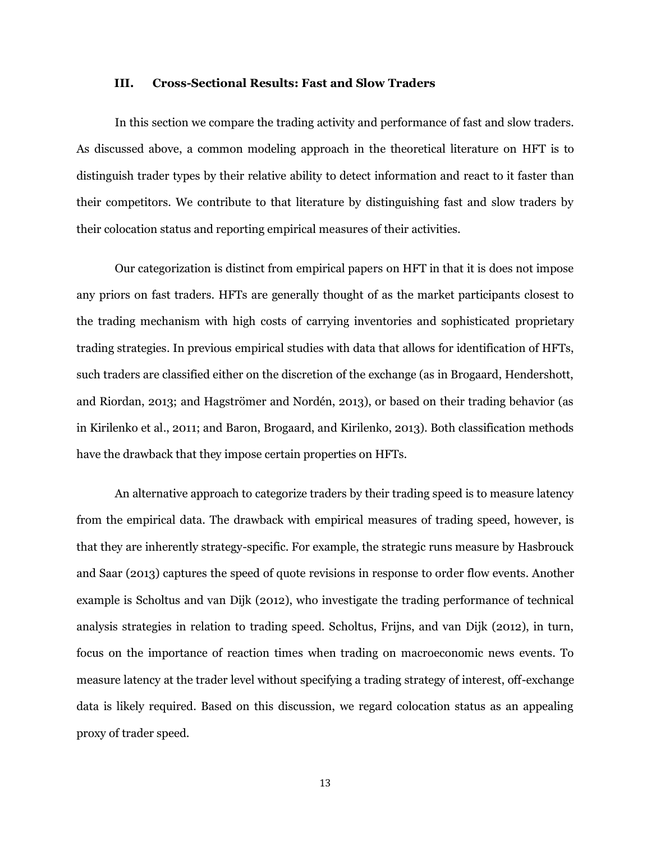#### **III. Cross-Sectional Results: Fast and Slow Traders**

In this section we compare the trading activity and performance of fast and slow traders. As discussed above, a common modeling approach in the theoretical literature on HFT is to distinguish trader types by their relative ability to detect information and react to it faster than their competitors. We contribute to that literature by distinguishing fast and slow traders by their colocation status and reporting empirical measures of their activities.

Our categorization is distinct from empirical papers on HFT in that it is does not impose any priors on fast traders. HFTs are generally thought of as the market participants closest to the trading mechanism with high costs of carrying inventories and sophisticated proprietary trading strategies. In previous empirical studies with data that allows for identification of HFTs, such traders are classified either on the discretion of the exchange (as in Brogaard, Hendershott, and Riordan, 2013; and Hagströmer and Nordén, 2013), or based on their trading behavior (as in Kirilenko et al., 2011; and Baron, Brogaard, and Kirilenko, 2013). Both classification methods have the drawback that they impose certain properties on HFTs.

An alternative approach to categorize traders by their trading speed is to measure latency from the empirical data. The drawback with empirical measures of trading speed, however, is that they are inherently strategy-specific. For example, the strategic runs measure by Hasbrouck and Saar (2013) captures the speed of quote revisions in response to order flow events. Another example is Scholtus and van Dijk (2012), who investigate the trading performance of technical analysis strategies in relation to trading speed. Scholtus, Frijns, and van Dijk (2012), in turn, focus on the importance of reaction times when trading on macroeconomic news events. To measure latency at the trader level without specifying a trading strategy of interest, off-exchange data is likely required. Based on this discussion, we regard colocation status as an appealing proxy of trader speed.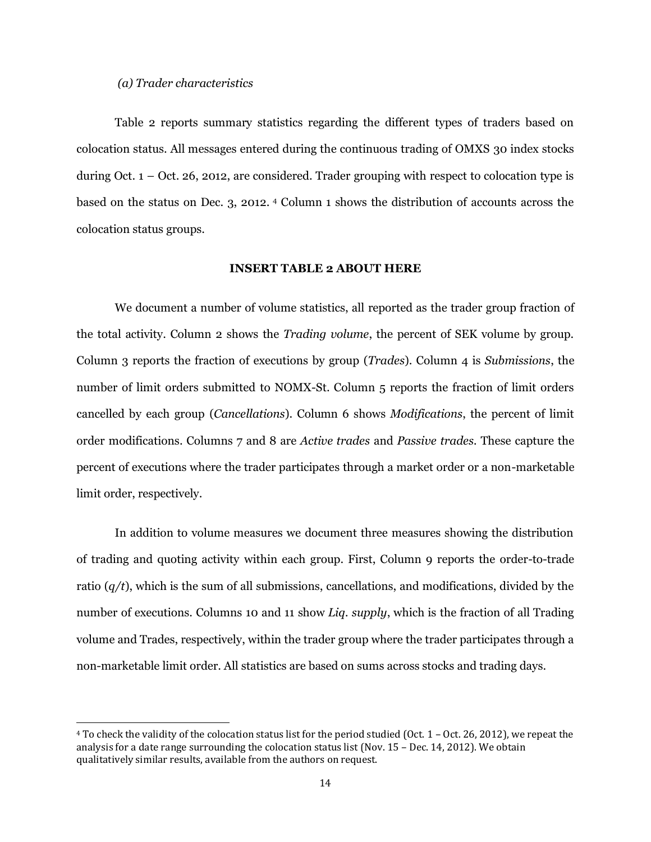## *(a) Trader characteristics*

 $\overline{a}$ 

Table 2 reports summary statistics regarding the different types of traders based on colocation status. All messages entered during the continuous trading of OMXS 30 index stocks during Oct.  $1 -$  Oct. 26, 2012, are considered. Trader grouping with respect to colocation type is based on the status on Dec. 3, 2012. <sup>4</sup> Column 1 shows the distribution of accounts across the colocation status groups.

## **INSERT TABLE 2 ABOUT HERE**

We document a number of volume statistics, all reported as the trader group fraction of the total activity. Column 2 shows the *Trading volume*, the percent of SEK volume by group. Column 3 reports the fraction of executions by group (*Trades*). Column 4 is *Submissions*, the number of limit orders submitted to NOMX-St. Column 5 reports the fraction of limit orders cancelled by each group (*Cancellations*). Column 6 shows *Modifications*, the percent of limit order modifications. Columns 7 and 8 are *Active trades* and *Passive trades.* These capture the percent of executions where the trader participates through a market order or a non-marketable limit order, respectively.

In addition to volume measures we document three measures showing the distribution of trading and quoting activity within each group. First, Column 9 reports the order-to-trade ratio (*q/t*), which is the sum of all submissions, cancellations, and modifications, divided by the number of executions. Columns 10 and 11 show *Liq. supply*, which is the fraction of all Trading volume and Trades, respectively, within the trader group where the trader participates through a non-marketable limit order. All statistics are based on sums across stocks and trading days.

<sup>4</sup> To check the validity of the colocation status list for the period studied (Oct. 1 – Oct. 26, 2012), we repeat the analysis for a date range surrounding the colocation status list (Nov. 15 – Dec. 14, 2012). We obtain qualitatively similar results, available from the authors on request.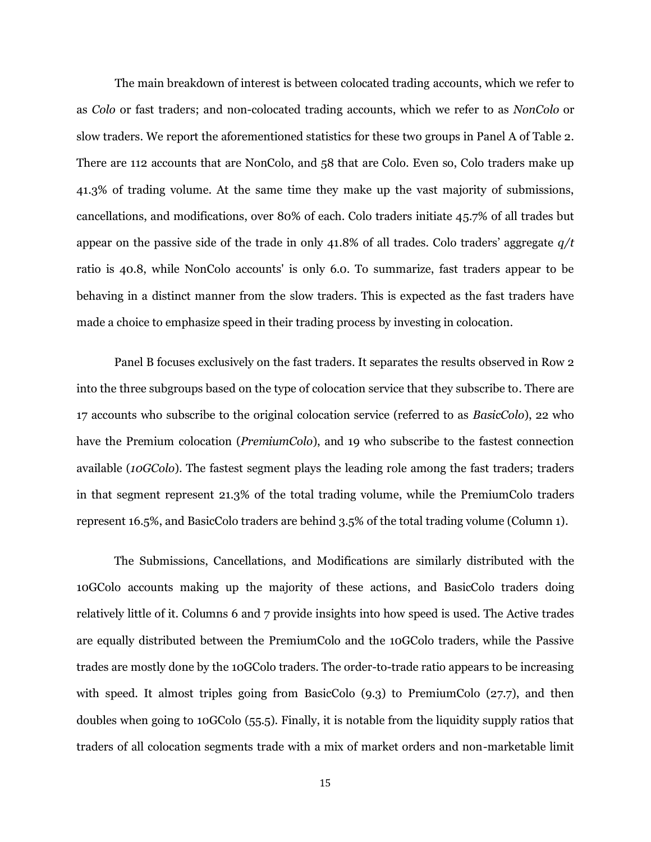The main breakdown of interest is between colocated trading accounts, which we refer to as *Colo* or fast traders; and non-colocated trading accounts, which we refer to as *NonColo* or slow traders. We report the aforementioned statistics for these two groups in Panel A of Table 2. There are 112 accounts that are NonColo, and 58 that are Colo. Even so, Colo traders make up 41.3% of trading volume. At the same time they make up the vast majority of submissions, cancellations, and modifications, over 80% of each. Colo traders initiate 45.7% of all trades but appear on the passive side of the trade in only 41.8% of all trades. Colo traders" aggregate *q/t* ratio is 40.8, while NonColo accounts' is only 6.0. To summarize, fast traders appear to be behaving in a distinct manner from the slow traders. This is expected as the fast traders have made a choice to emphasize speed in their trading process by investing in colocation.

Panel B focuses exclusively on the fast traders. It separates the results observed in Row 2 into the three subgroups based on the type of colocation service that they subscribe to. There are 17 accounts who subscribe to the original colocation service (referred to as *BasicColo*), 22 who have the Premium colocation (*PremiumColo*), and 19 who subscribe to the fastest connection available (*10GColo*). The fastest segment plays the leading role among the fast traders; traders in that segment represent 21.3% of the total trading volume, while the PremiumColo traders represent 16.5%, and BasicColo traders are behind 3.5% of the total trading volume (Column 1).

The Submissions, Cancellations, and Modifications are similarly distributed with the 10GColo accounts making up the majority of these actions, and BasicColo traders doing relatively little of it. Columns 6 and 7 provide insights into how speed is used. The Active trades are equally distributed between the PremiumColo and the 10GColo traders, while the Passive trades are mostly done by the 10GColo traders. The order-to-trade ratio appears to be increasing with speed. It almost triples going from BasicColo (9.3) to PremiumColo (27.7), and then doubles when going to 10GColo (55.5). Finally, it is notable from the liquidity supply ratios that traders of all colocation segments trade with a mix of market orders and non-marketable limit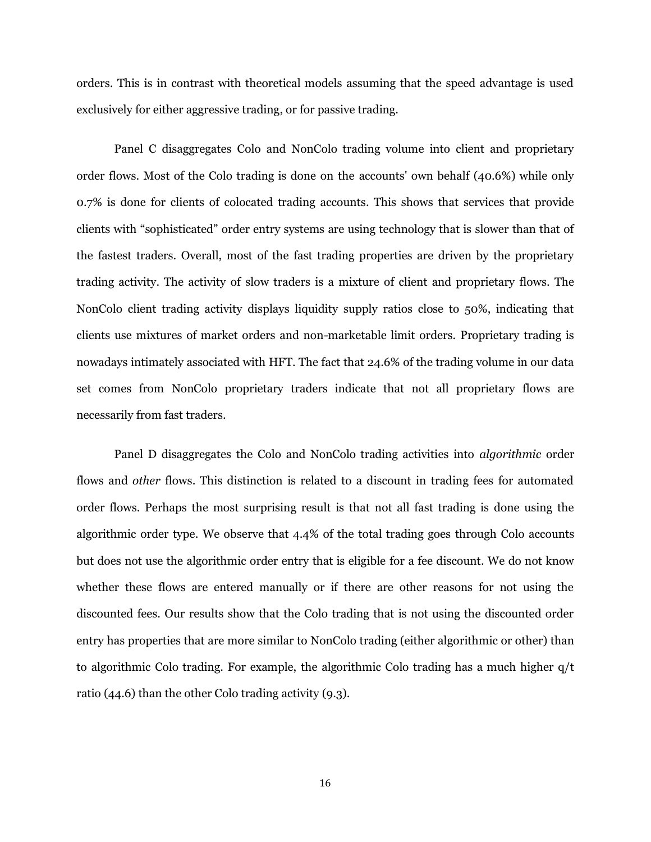orders. This is in contrast with theoretical models assuming that the speed advantage is used exclusively for either aggressive trading, or for passive trading.

Panel C disaggregates Colo and NonColo trading volume into client and proprietary order flows. Most of the Colo trading is done on the accounts' own behalf (40.6%) while only 0.7% is done for clients of colocated trading accounts. This shows that services that provide clients with "sophisticated" order entry systems are using technology that is slower than that of the fastest traders. Overall, most of the fast trading properties are driven by the proprietary trading activity. The activity of slow traders is a mixture of client and proprietary flows. The NonColo client trading activity displays liquidity supply ratios close to 50%, indicating that clients use mixtures of market orders and non-marketable limit orders. Proprietary trading is nowadays intimately associated with HFT. The fact that 24.6% of the trading volume in our data set comes from NonColo proprietary traders indicate that not all proprietary flows are necessarily from fast traders.

Panel D disaggregates the Colo and NonColo trading activities into *algorithmic* order flows and *other* flows. This distinction is related to a discount in trading fees for automated order flows. Perhaps the most surprising result is that not all fast trading is done using the algorithmic order type. We observe that 4.4% of the total trading goes through Colo accounts but does not use the algorithmic order entry that is eligible for a fee discount. We do not know whether these flows are entered manually or if there are other reasons for not using the discounted fees. Our results show that the Colo trading that is not using the discounted order entry has properties that are more similar to NonColo trading (either algorithmic or other) than to algorithmic Colo trading. For example, the algorithmic Colo trading has a much higher q/t ratio (44.6) than the other Colo trading activity (9.3).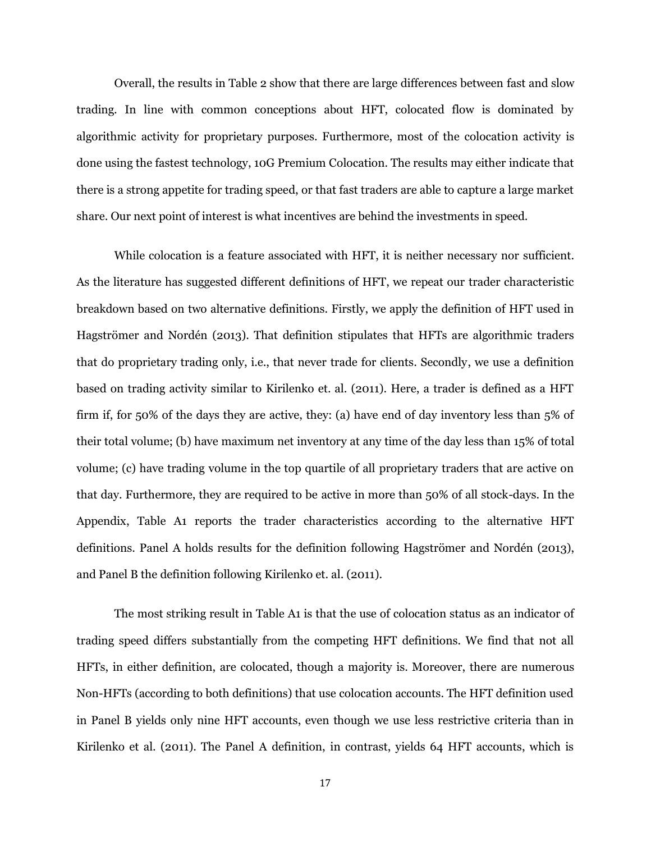Overall, the results in Table 2 show that there are large differences between fast and slow trading. In line with common conceptions about HFT, colocated flow is dominated by algorithmic activity for proprietary purposes. Furthermore, most of the colocation activity is done using the fastest technology, 10G Premium Colocation. The results may either indicate that there is a strong appetite for trading speed, or that fast traders are able to capture a large market share. Our next point of interest is what incentives are behind the investments in speed.

While colocation is a feature associated with HFT, it is neither necessary nor sufficient. As the literature has suggested different definitions of HFT, we repeat our trader characteristic breakdown based on two alternative definitions. Firstly, we apply the definition of HFT used in Hagströmer and Nordén (2013). That definition stipulates that HFTs are algorithmic traders that do proprietary trading only, i.e., that never trade for clients. Secondly, we use a definition based on trading activity similar to Kirilenko et. al. (2011). Here, a trader is defined as a HFT firm if, for 50% of the days they are active, they: (a) have end of day inventory less than 5% of their total volume; (b) have maximum net inventory at any time of the day less than 15% of total volume; (c) have trading volume in the top quartile of all proprietary traders that are active on that day. Furthermore, they are required to be active in more than 50% of all stock-days. In the Appendix, Table A1 reports the trader characteristics according to the alternative HFT definitions. Panel A holds results for the definition following Hagströmer and Nordén (2013), and Panel B the definition following Kirilenko et. al. (2011).

The most striking result in Table A1 is that the use of colocation status as an indicator of trading speed differs substantially from the competing HFT definitions. We find that not all HFTs, in either definition, are colocated, though a majority is. Moreover, there are numerous Non-HFTs (according to both definitions) that use colocation accounts. The HFT definition used in Panel B yields only nine HFT accounts, even though we use less restrictive criteria than in Kirilenko et al. (2011). The Panel A definition, in contrast, yields 64 HFT accounts, which is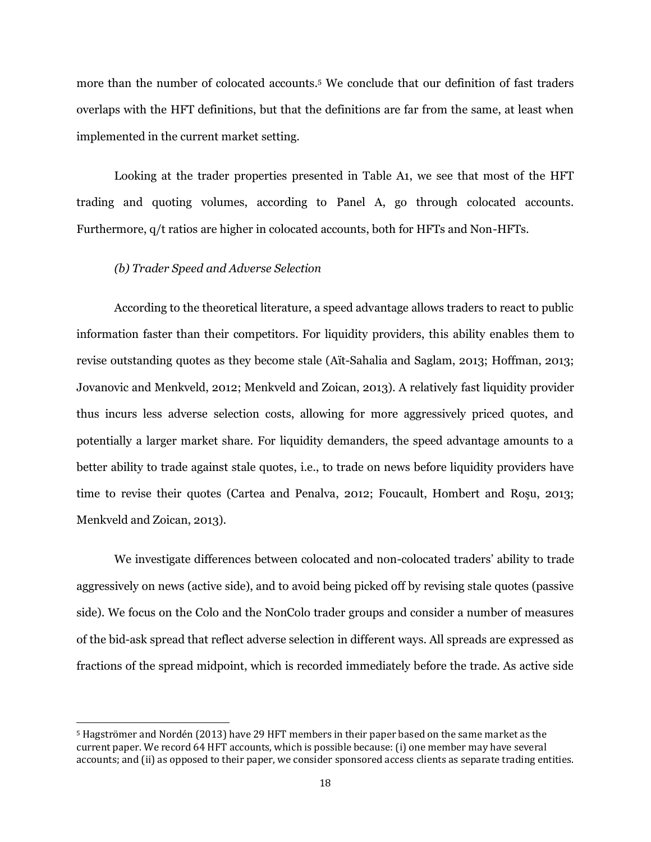more than the number of colocated accounts.<sup>5</sup> We conclude that our definition of fast traders overlaps with the HFT definitions, but that the definitions are far from the same, at least when implemented in the current market setting.

Looking at the trader properties presented in Table A1, we see that most of the HFT trading and quoting volumes, according to Panel A, go through colocated accounts. Furthermore, q/t ratios are higher in colocated accounts, both for HFTs and Non-HFTs.

## *(b) Trader Speed and Adverse Selection*

 $\overline{a}$ 

According to the theoretical literature, a speed advantage allows traders to react to public information faster than their competitors. For liquidity providers, this ability enables them to revise outstanding quotes as they become stale (Aït-Sahalia and Saglam, 2013; Hoffman, 2013; Jovanovic and Menkveld, 2012; Menkveld and Zoican, 2013). A relatively fast liquidity provider thus incurs less adverse selection costs, allowing for more aggressively priced quotes, and potentially a larger market share. For liquidity demanders, the speed advantage amounts to a better ability to trade against stale quotes, i.e., to trade on news before liquidity providers have time to revise their quotes (Cartea and Penalva, 2012; Foucault, Hombert and Roşu, 2013; Menkveld and Zoican, 2013).

We investigate differences between colocated and non-colocated traders" ability to trade aggressively on news (active side), and to avoid being picked off by revising stale quotes (passive side). We focus on the Colo and the NonColo trader groups and consider a number of measures of the bid-ask spread that reflect adverse selection in different ways. All spreads are expressed as fractions of the spread midpoint, which is recorded immediately before the trade. As active side

<sup>5</sup> Hagströmer and Nordén (2013) have 29 HFT members in their paper based on the same market as the current paper. We record 64 HFT accounts, which is possible because: (i) one member may have several accounts; and (ii) as opposed to their paper, we consider sponsored access clients as separate trading entities.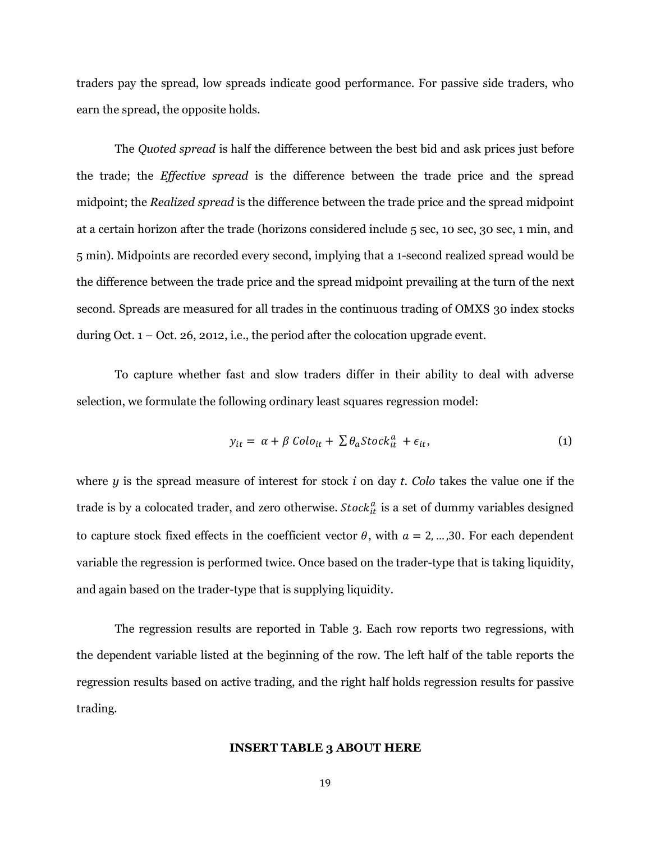traders pay the spread, low spreads indicate good performance. For passive side traders, who earn the spread, the opposite holds.

The *Quoted spread* is half the difference between the best bid and ask prices just before the trade; the *Effective spread* is the difference between the trade price and the spread midpoint; the *Realized spread* is the difference between the trade price and the spread midpoint at a certain horizon after the trade (horizons considered include 5 sec, 10 sec, 30 sec, 1 min, and 5 min). Midpoints are recorded every second, implying that a 1-second realized spread would be the difference between the trade price and the spread midpoint prevailing at the turn of the next second. Spreads are measured for all trades in the continuous trading of OMXS 30 index stocks during Oct.  $1 -$  Oct. 26, 2012, i.e., the period after the colocation upgrade event.

To capture whether fast and slow traders differ in their ability to deal with adverse selection, we formulate the following ordinary least squares regression model:

$$
y_{it} = \alpha + \beta \text{Colo}_{it} + \sum \theta_a \text{Stock}_{it}^a + \epsilon_{it}, \tag{1}
$$

where *y* is the spread measure of interest for stock *i* on day *t*. *Colo* takes the value one if the trade is by a colocated trader, and zero otherwise.  $Stock_{it}^a$  is a set of dummy variables designed to capture stock fixed effects in the coefficient vector  $\theta$ , with  $a = 2, ..., 30$ . For each dependent variable the regression is performed twice. Once based on the trader-type that is taking liquidity, and again based on the trader-type that is supplying liquidity.

The regression results are reported in Table 3. Each row reports two regressions, with the dependent variable listed at the beginning of the row. The left half of the table reports the regression results based on active trading, and the right half holds regression results for passive trading.

#### **INSERT TABLE 3 ABOUT HERE**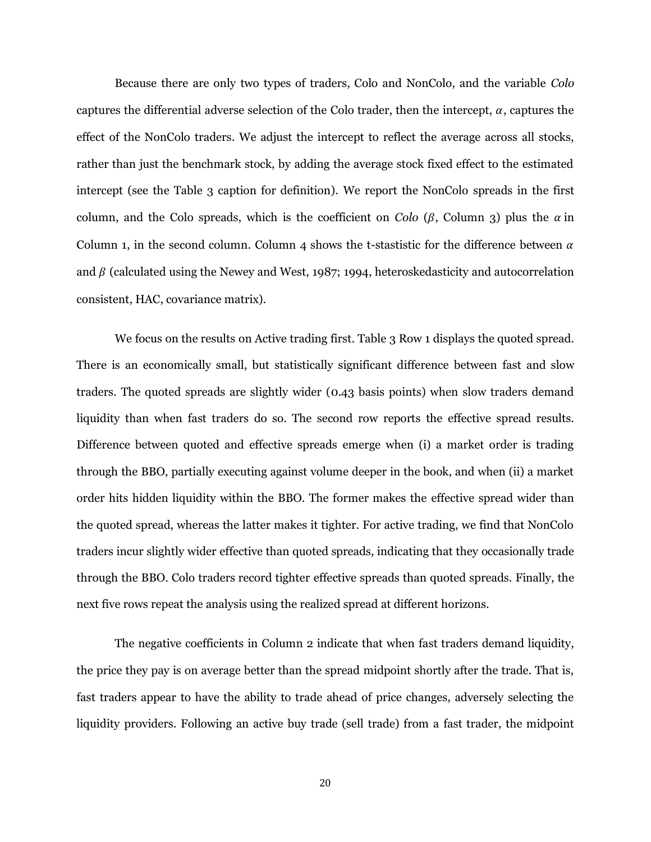Because there are only two types of traders, Colo and NonColo, and the variable *Colo* captures the differential adverse selection of the Colo trader, then the intercept,  $\alpha$ , captures the effect of the NonColo traders. We adjust the intercept to reflect the average across all stocks, rather than just the benchmark stock, by adding the average stock fixed effect to the estimated intercept (see the Table 3 caption for definition). We report the NonColo spreads in the first column, and the Colo spreads, which is the coefficient on *Colo* ( $\beta$ , Column 3) plus the  $\alpha$  in Column 1, in the second column. Column 4 shows the t-stastistic for the difference between  $\alpha$ and  $\beta$  (calculated using the Newey and West, 1987; 1994, heteroskedasticity and autocorrelation consistent, HAC, covariance matrix).

We focus on the results on Active trading first. Table 3 Row 1 displays the quoted spread. There is an economically small, but statistically significant difference between fast and slow traders. The quoted spreads are slightly wider (0.43 basis points) when slow traders demand liquidity than when fast traders do so. The second row reports the effective spread results. Difference between quoted and effective spreads emerge when (i) a market order is trading through the BBO, partially executing against volume deeper in the book, and when (ii) a market order hits hidden liquidity within the BBO. The former makes the effective spread wider than the quoted spread, whereas the latter makes it tighter. For active trading, we find that NonColo traders incur slightly wider effective than quoted spreads, indicating that they occasionally trade through the BBO. Colo traders record tighter effective spreads than quoted spreads. Finally, the next five rows repeat the analysis using the realized spread at different horizons.

The negative coefficients in Column 2 indicate that when fast traders demand liquidity, the price they pay is on average better than the spread midpoint shortly after the trade. That is, fast traders appear to have the ability to trade ahead of price changes, adversely selecting the liquidity providers. Following an active buy trade (sell trade) from a fast trader, the midpoint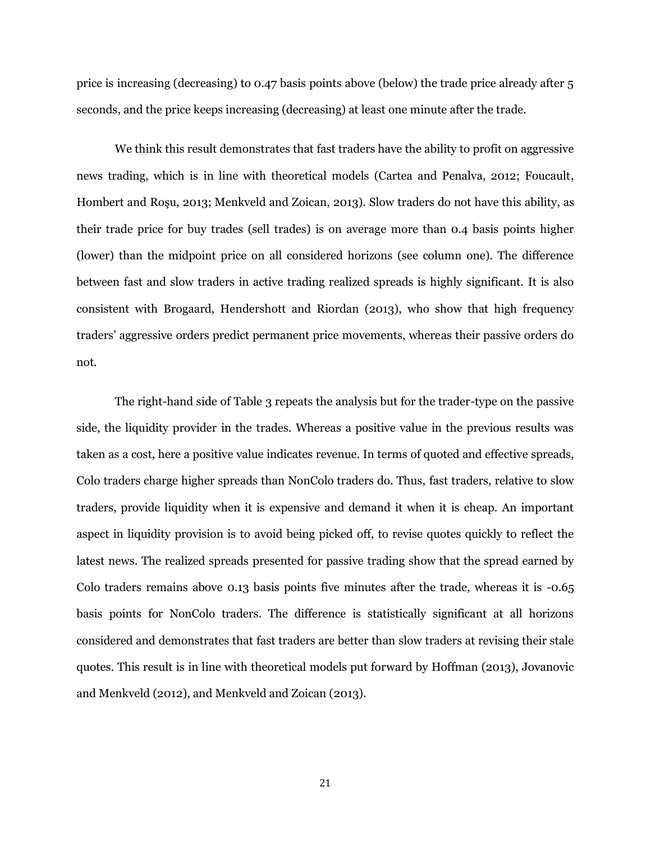price is increasing (decreasing) to 0.47 basis points above (below) the trade price already after 5 seconds, and the price keeps increasing (decreasing) at least one minute after the trade.

We think this result demonstrates that fast traders have the ability to profit on aggressive news trading, which is in line with theoretical models (Cartea and Penalva, 2012; Foucault, Hombert and Roşu, 2013; Menkveld and Zoican, 2013). Slow traders do not have this ability, as their trade price for buy trades (sell trades) is on average more than 0.4 basis points higher (lower) than the midpoint price on all considered horizons (see column one). The difference between fast and slow traders in active trading realized spreads is highly significant. It is also consistent with Brogaard, Hendershott and Riordan (2013), who show that high frequency traders" aggressive orders predict permanent price movements, whereas their passive orders do not.

The right-hand side of Table 3 repeats the analysis but for the trader-type on the passive side, the liquidity provider in the trades. Whereas a positive value in the previous results was taken as a cost, here a positive value indicates revenue. In terms of quoted and effective spreads, Colo traders charge higher spreads than NonColo traders do. Thus, fast traders, relative to slow traders, provide liquidity when it is expensive and demand it when it is cheap. An important aspect in liquidity provision is to avoid being picked off, to revise quotes quickly to reflect the latest news. The realized spreads presented for passive trading show that the spread earned by Colo traders remains above 0.13 basis points five minutes after the trade, whereas it is -0.65 basis points for NonColo traders. The difference is statistically significant at all horizons considered and demonstrates that fast traders are better than slow traders at revising their stale quotes. This result is in line with theoretical models put forward by Hoffman (2013), Jovanovic and Menkveld (2012), and Menkveld and Zoican (2013).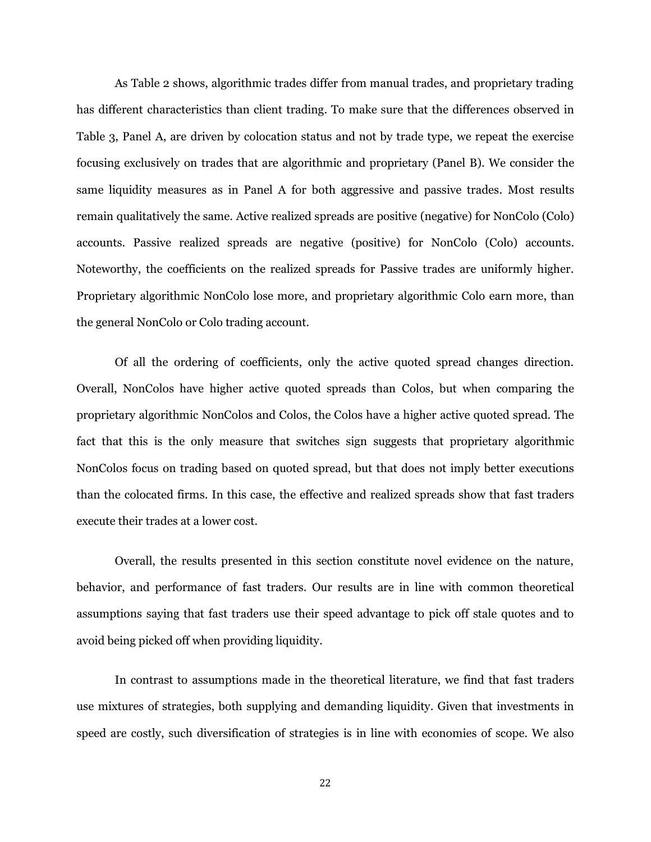As Table 2 shows, algorithmic trades differ from manual trades, and proprietary trading has different characteristics than client trading. To make sure that the differences observed in Table 3, Panel A, are driven by colocation status and not by trade type, we repeat the exercise focusing exclusively on trades that are algorithmic and proprietary (Panel B). We consider the same liquidity measures as in Panel A for both aggressive and passive trades. Most results remain qualitatively the same. Active realized spreads are positive (negative) for NonColo (Colo) accounts. Passive realized spreads are negative (positive) for NonColo (Colo) accounts. Noteworthy, the coefficients on the realized spreads for Passive trades are uniformly higher. Proprietary algorithmic NonColo lose more, and proprietary algorithmic Colo earn more, than the general NonColo or Colo trading account.

Of all the ordering of coefficients, only the active quoted spread changes direction. Overall, NonColos have higher active quoted spreads than Colos, but when comparing the proprietary algorithmic NonColos and Colos, the Colos have a higher active quoted spread. The fact that this is the only measure that switches sign suggests that proprietary algorithmic NonColos focus on trading based on quoted spread, but that does not imply better executions than the colocated firms. In this case, the effective and realized spreads show that fast traders execute their trades at a lower cost.

Overall, the results presented in this section constitute novel evidence on the nature, behavior, and performance of fast traders. Our results are in line with common theoretical assumptions saying that fast traders use their speed advantage to pick off stale quotes and to avoid being picked off when providing liquidity.

In contrast to assumptions made in the theoretical literature, we find that fast traders use mixtures of strategies, both supplying and demanding liquidity. Given that investments in speed are costly, such diversification of strategies is in line with economies of scope. We also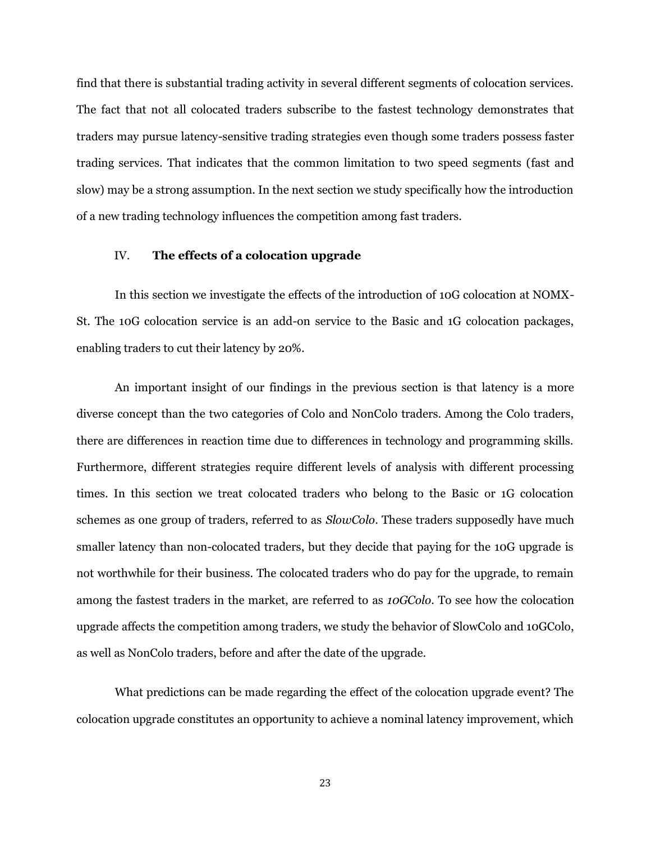find that there is substantial trading activity in several different segments of colocation services. The fact that not all colocated traders subscribe to the fastest technology demonstrates that traders may pursue latency-sensitive trading strategies even though some traders possess faster trading services. That indicates that the common limitation to two speed segments (fast and slow) may be a strong assumption. In the next section we study specifically how the introduction of a new trading technology influences the competition among fast traders.

#### IV. **The effects of a colocation upgrade**

In this section we investigate the effects of the introduction of 10G colocation at NOMX-St. The 10G colocation service is an add-on service to the Basic and 1G colocation packages, enabling traders to cut their latency by 20%.

An important insight of our findings in the previous section is that latency is a more diverse concept than the two categories of Colo and NonColo traders. Among the Colo traders, there are differences in reaction time due to differences in technology and programming skills. Furthermore, different strategies require different levels of analysis with different processing times. In this section we treat colocated traders who belong to the Basic or 1G colocation schemes as one group of traders, referred to as *SlowColo*. These traders supposedly have much smaller latency than non-colocated traders, but they decide that paying for the 10G upgrade is not worthwhile for their business. The colocated traders who do pay for the upgrade, to remain among the fastest traders in the market, are referred to as *10GColo*. To see how the colocation upgrade affects the competition among traders, we study the behavior of SlowColo and 10GColo, as well as NonColo traders, before and after the date of the upgrade.

What predictions can be made regarding the effect of the colocation upgrade event? The colocation upgrade constitutes an opportunity to achieve a nominal latency improvement, which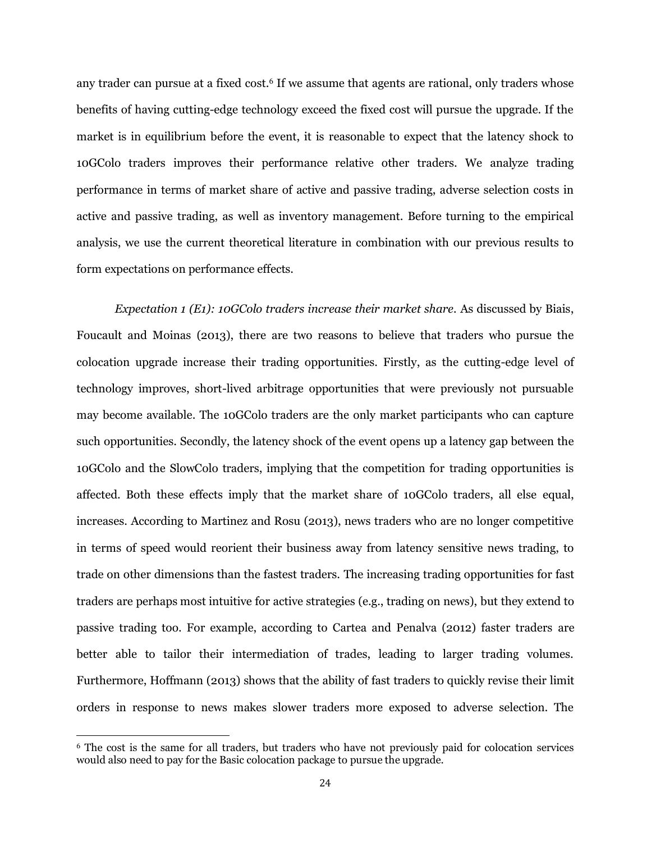any trader can pursue at a fixed cost.<sup>6</sup> If we assume that agents are rational, only traders whose benefits of having cutting-edge technology exceed the fixed cost will pursue the upgrade. If the market is in equilibrium before the event, it is reasonable to expect that the latency shock to 10GColo traders improves their performance relative other traders. We analyze trading performance in terms of market share of active and passive trading, adverse selection costs in active and passive trading, as well as inventory management. Before turning to the empirical analysis, we use the current theoretical literature in combination with our previous results to form expectations on performance effects.

*Expectation 1 (E1): 10GColo traders increase their market share.* As discussed by Biais, Foucault and Moinas (2013), there are two reasons to believe that traders who pursue the colocation upgrade increase their trading opportunities. Firstly, as the cutting-edge level of technology improves, short-lived arbitrage opportunities that were previously not pursuable may become available. The 10GColo traders are the only market participants who can capture such opportunities. Secondly, the latency shock of the event opens up a latency gap between the 10GColo and the SlowColo traders, implying that the competition for trading opportunities is affected. Both these effects imply that the market share of 10GColo traders, all else equal, increases. According to Martinez and Rosu (2013), news traders who are no longer competitive in terms of speed would reorient their business away from latency sensitive news trading, to trade on other dimensions than the fastest traders. The increasing trading opportunities for fast traders are perhaps most intuitive for active strategies (e.g., trading on news), but they extend to passive trading too. For example, according to Cartea and Penalva (2012) faster traders are better able to tailor their intermediation of trades, leading to larger trading volumes. Furthermore, Hoffmann (2013) shows that the ability of fast traders to quickly revise their limit orders in response to news makes slower traders more exposed to adverse selection. The

l

<sup>6</sup> The cost is the same for all traders, but traders who have not previously paid for colocation services would also need to pay for the Basic colocation package to pursue the upgrade.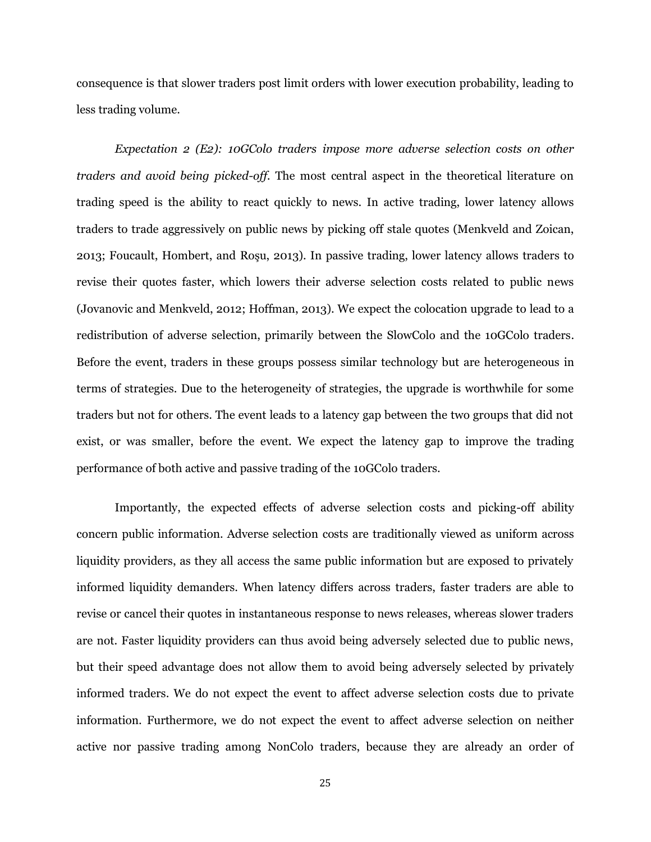consequence is that slower traders post limit orders with lower execution probability, leading to less trading volume.

*Expectation 2 (E2): 10GColo traders impose more adverse selection costs on other traders and avoid being picked-off.* The most central aspect in the theoretical literature on trading speed is the ability to react quickly to news. In active trading, lower latency allows traders to trade aggressively on public news by picking off stale quotes (Menkveld and Zoican, 2013; Foucault, Hombert, and Roşu, 2013). In passive trading, lower latency allows traders to revise their quotes faster, which lowers their adverse selection costs related to public news (Jovanovic and Menkveld, 2012; Hoffman, 2013). We expect the colocation upgrade to lead to a redistribution of adverse selection, primarily between the SlowColo and the 10GColo traders. Before the event, traders in these groups possess similar technology but are heterogeneous in terms of strategies. Due to the heterogeneity of strategies, the upgrade is worthwhile for some traders but not for others. The event leads to a latency gap between the two groups that did not exist, or was smaller, before the event. We expect the latency gap to improve the trading performance of both active and passive trading of the 10GColo traders.

Importantly, the expected effects of adverse selection costs and picking-off ability concern public information. Adverse selection costs are traditionally viewed as uniform across liquidity providers, as they all access the same public information but are exposed to privately informed liquidity demanders. When latency differs across traders, faster traders are able to revise or cancel their quotes in instantaneous response to news releases, whereas slower traders are not. Faster liquidity providers can thus avoid being adversely selected due to public news, but their speed advantage does not allow them to avoid being adversely selected by privately informed traders. We do not expect the event to affect adverse selection costs due to private information. Furthermore, we do not expect the event to affect adverse selection on neither active nor passive trading among NonColo traders, because they are already an order of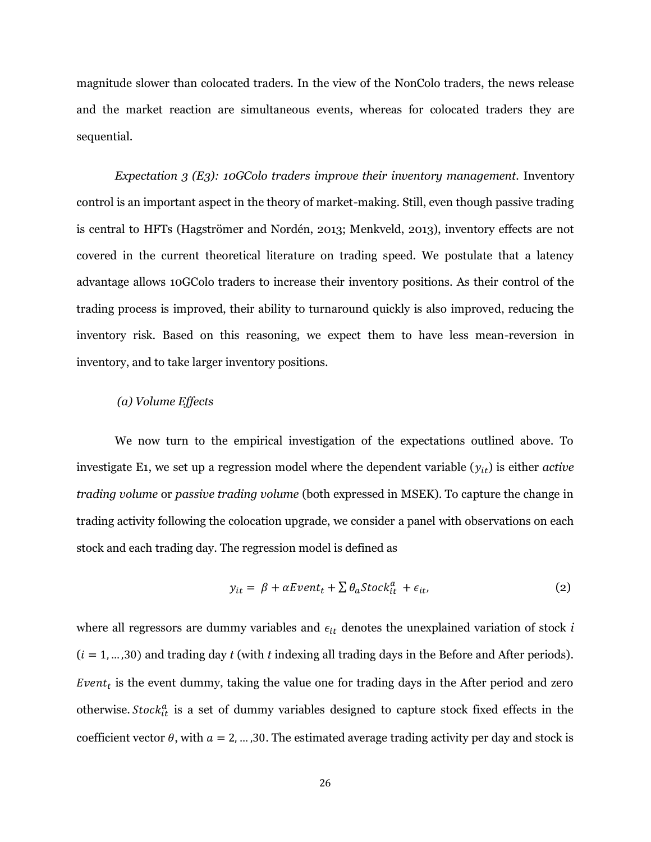magnitude slower than colocated traders. In the view of the NonColo traders, the news release and the market reaction are simultaneous events, whereas for colocated traders they are sequential.

*Expectation 3 (E3): 10GColo traders improve their inventory management.* Inventory control is an important aspect in the theory of market-making. Still, even though passive trading is central to HFTs (Hagströmer and Nordén, 2013; Menkveld, 2013), inventory effects are not covered in the current theoretical literature on trading speed. We postulate that a latency advantage allows 10GColo traders to increase their inventory positions. As their control of the trading process is improved, their ability to turnaround quickly is also improved, reducing the inventory risk. Based on this reasoning, we expect them to have less mean-reversion in inventory, and to take larger inventory positions.

#### *(a) Volume Effects*

We now turn to the empirical investigation of the expectations outlined above. To investigate E1, we set up a regression model where the dependent variable  $(y_{it})$  is either *active trading volume* or *passive trading volume* (both expressed in MSEK). To capture the change in trading activity following the colocation upgrade, we consider a panel with observations on each stock and each trading day. The regression model is defined as

$$
y_{it} = \beta + \alpha Event_t + \sum \theta_a Stock_{it}^a + \epsilon_{it}, \qquad (2)
$$

where all regressors are dummy variables and  $\epsilon_{it}$  denotes the unexplained variation of stock *i*  $(i = 1, \ldots, 30)$  and trading day *t* (with *t* indexing all trading days in the Before and After periods). Event<sub>t</sub> is the event dummy, taking the value one for trading days in the After period and zero otherwise. Stock<sup>a</sup> is a set of dummy variables designed to capture stock fixed effects in the coefficient vector  $\theta$ , with  $a = 2, ..., 30$ . The estimated average trading activity per day and stock is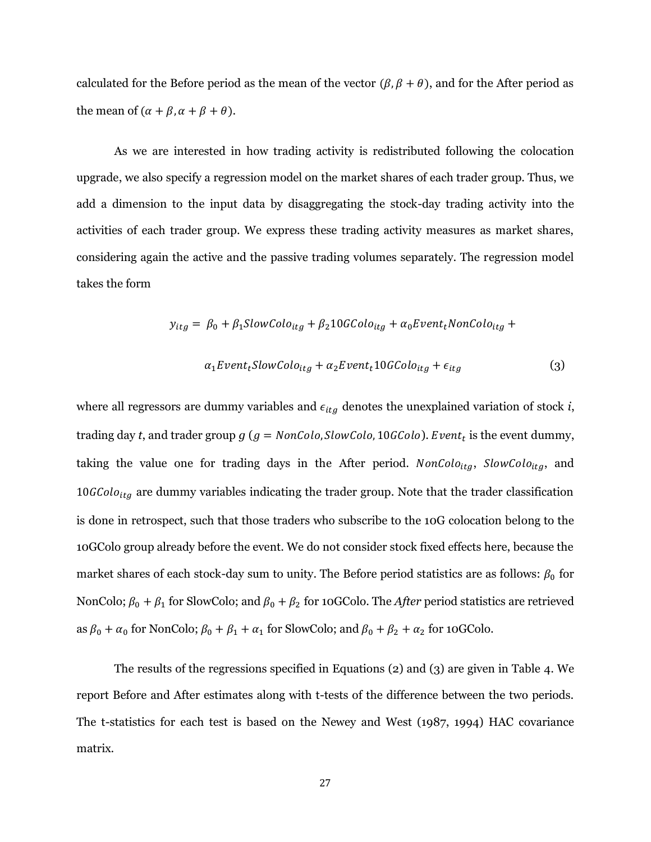calculated for the Before period as the mean of the vector  $(\beta, \beta + \theta)$ , and for the After period as the mean of  $(\alpha + \beta, \alpha + \beta + \theta)$ .

As we are interested in how trading activity is redistributed following the colocation upgrade, we also specify a regression model on the market shares of each trader group. Thus, we add a dimension to the input data by disaggregating the stock-day trading activity into the activities of each trader group. We express these trading activity measures as market shares, considering again the active and the passive trading volumes separately. The regression model takes the form

$$
y_{itg} = \beta_0 + \beta_1 SlowColo_{itg} + \beta_2 10 GColo_{itg} + \alpha_0 Event_tNonColo_{itg} +
$$
  

$$
\alpha_1 Event_t SlowColo_{itg} + \alpha_2 Event_t 10 GColo_{itg} + \epsilon_{itg}
$$
 (3)

where all regressors are dummy variables and  $\epsilon_{itg}$  denotes the unexplained variation of stock *i*, trading day *t*, and trader group  $g(g = \text{NonColo}, \text{SlowColo}, 10 \text{GColo})$ . Event<sub>t</sub> is the event dummy, taking the value one for trading days in the After period.  $NonColo_{itg}$ ,  $SlowColo_{itg}$ , and  $10GColo<sub>itg</sub>$  are dummy variables indicating the trader group. Note that the trader classification is done in retrospect, such that those traders who subscribe to the 10G colocation belong to the 10GColo group already before the event. We do not consider stock fixed effects here, because the market shares of each stock-day sum to unity. The Before period statistics are as follows:  $\beta_0$  for NonColo;  $\beta_0 + \beta_1$  for SlowColo; and  $\beta_0 + \beta_2$  for 10GColo. The *After* period statistics are retrieved as  $\beta_0 + \alpha_0$  for NonColo;  $\beta_0 + \beta_1 + \alpha_1$  for SlowColo; and  $\beta_0 + \beta_2 + \alpha_2$  for 10GColo.

The results of the regressions specified in Equations (2) and (3) are given in Table 4. We report Before and After estimates along with t-tests of the difference between the two periods. The t-statistics for each test is based on the Newey and West (1987, 1994) HAC covariance matrix.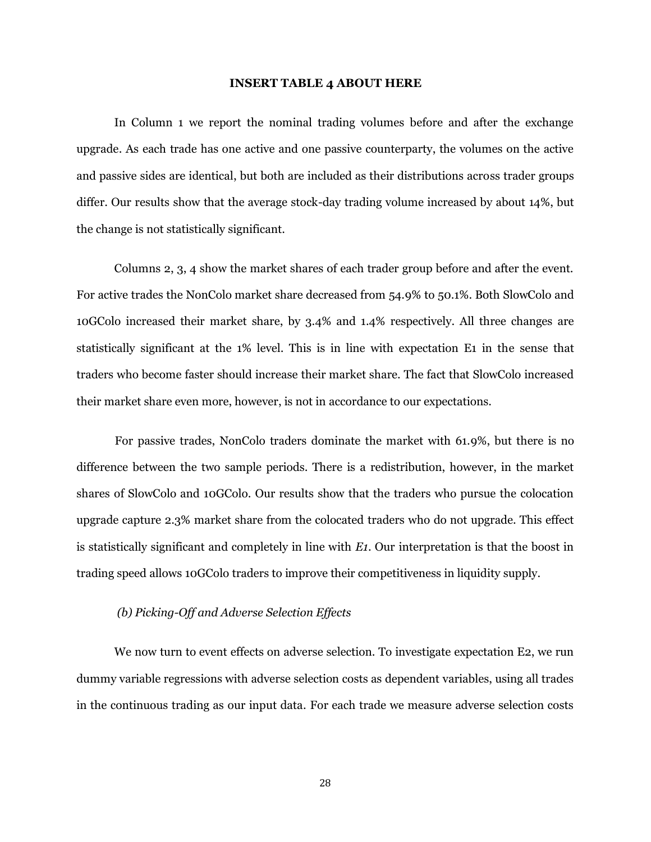#### **INSERT TABLE 4 ABOUT HERE**

In Column 1 we report the nominal trading volumes before and after the exchange upgrade. As each trade has one active and one passive counterparty, the volumes on the active and passive sides are identical, but both are included as their distributions across trader groups differ. Our results show that the average stock-day trading volume increased by about 14%, but the change is not statistically significant.

Columns 2, 3, 4 show the market shares of each trader group before and after the event. For active trades the NonColo market share decreased from 54.9% to 50.1%. Both SlowColo and 10GColo increased their market share, by 3.4% and 1.4% respectively. All three changes are statistically significant at the 1% level. This is in line with expectation E1 in the sense that traders who become faster should increase their market share. The fact that SlowColo increased their market share even more, however, is not in accordance to our expectations.

For passive trades, NonColo traders dominate the market with 61.9%, but there is no difference between the two sample periods. There is a redistribution, however, in the market shares of SlowColo and 10GColo. Our results show that the traders who pursue the colocation upgrade capture 2.3% market share from the colocated traders who do not upgrade. This effect is statistically significant and completely in line with *E1*. Our interpretation is that the boost in trading speed allows 10GColo traders to improve their competitiveness in liquidity supply.

## *(b) Picking-Off and Adverse Selection Effects*

We now turn to event effects on adverse selection. To investigate expectation E2, we run dummy variable regressions with adverse selection costs as dependent variables, using all trades in the continuous trading as our input data. For each trade we measure adverse selection costs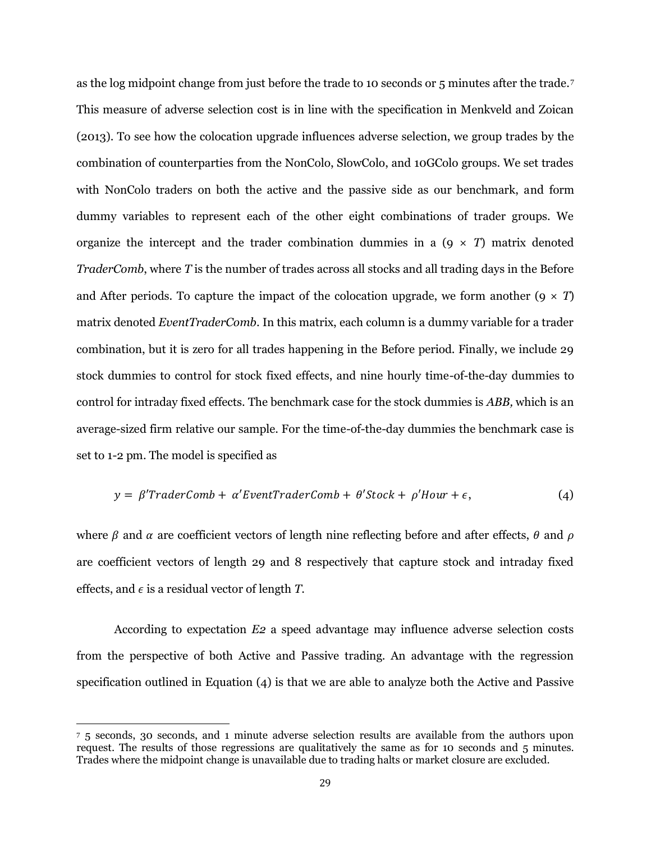as the log midpoint change from just before the trade to 10 seconds or 5 minutes after the trade.<sup>7</sup> This measure of adverse selection cost is in line with the specification in Menkveld and Zoican (2013). To see how the colocation upgrade influences adverse selection, we group trades by the combination of counterparties from the NonColo, SlowColo, and 10GColo groups. We set trades with NonColo traders on both the active and the passive side as our benchmark, and form dummy variables to represent each of the other eight combinations of trader groups. We organize the intercept and the trader combination dummies in a  $(9 \times T)$  matrix denoted *TraderComb*, where *T* is the number of trades across all stocks and all trading days in the Before and After periods. To capture the impact of the colocation upgrade, we form another  $(9 \times T)$ matrix denoted *EventTraderComb*. In this matrix, each column is a dummy variable for a trader combination, but it is zero for all trades happening in the Before period. Finally, we include 29 stock dummies to control for stock fixed effects, and nine hourly time-of-the-day dummies to control for intraday fixed effects. The benchmark case for the stock dummies is *ABB,* which is an average-sized firm relative our sample. For the time-of-the-day dummies the benchmark case is set to 1-2 pm. The model is specified as

$$
y = \beta' TraderComb + \alpha'EventTraderComb + \theta'Stock + \rho'Hour + \epsilon,
$$
\n(4)

where  $\beta$  and  $\alpha$  are coefficient vectors of length nine reflecting before and after effects,  $\theta$  and  $\rho$ are coefficient vectors of length 29 and 8 respectively that capture stock and intraday fixed effects, and  $\epsilon$  is a residual vector of length *T*.

According to expectation *E2* a speed advantage may influence adverse selection costs from the perspective of both Active and Passive trading. An advantage with the regression specification outlined in Equation (4) is that we are able to analyze both the Active and Passive

 $\overline{a}$ 

<sup>7</sup> 5 seconds, 30 seconds, and 1 minute adverse selection results are available from the authors upon request. The results of those regressions are qualitatively the same as for 10 seconds and 5 minutes. Trades where the midpoint change is unavailable due to trading halts or market closure are excluded.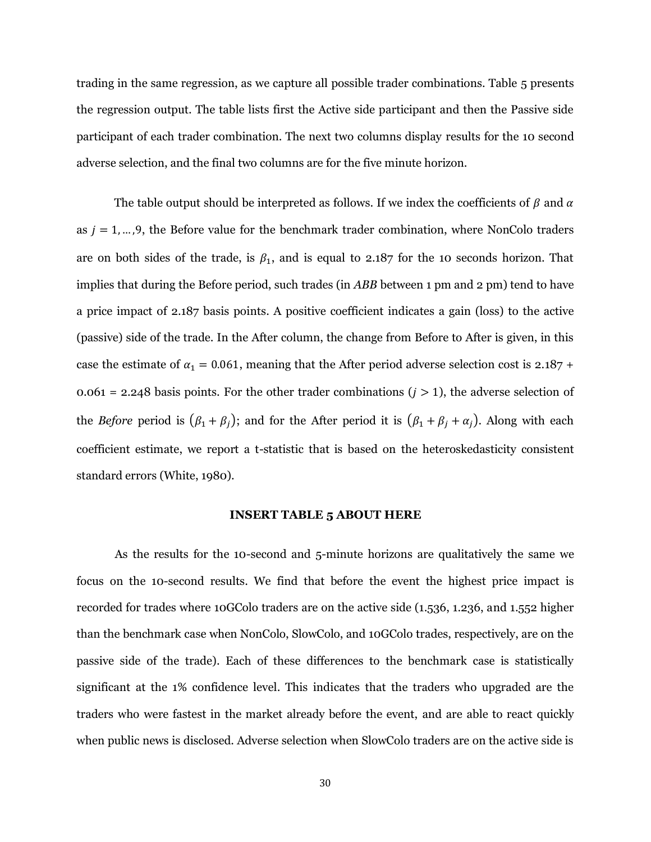trading in the same regression, as we capture all possible trader combinations. Table 5 presents the regression output. The table lists first the Active side participant and then the Passive side participant of each trader combination. The next two columns display results for the 10 second adverse selection, and the final two columns are for the five minute horizon.

The table output should be interpreted as follows. If we index the coefficients of  $\beta$  and  $\alpha$ as  $j = 1, \ldots, 9$ , the Before value for the benchmark trader combination, where NonColo traders are on both sides of the trade, is  $\beta_1$ , and is equal to 2.187 for the 10 seconds horizon. That implies that during the Before period, such trades (in *ABB* between 1 pm and 2 pm) tend to have a price impact of 2.187 basis points. A positive coefficient indicates a gain (loss) to the active (passive) side of the trade. In the After column, the change from Before to After is given, in this case the estimate of  $\alpha_1 = 0.061$ , meaning that the After period adverse selection cost is 2.187 + 0.061 = 2.248 basis points. For the other trader combinations  $(j > 1)$ , the adverse selection of the *Before* period is  $(\beta_1 + \beta_j)$ ; and for the After period it is  $(\beta_1 + \beta_j + \alpha_j)$ . Along with each coefficient estimate, we report a t-statistic that is based on the heteroskedasticity consistent standard errors (White, 1980).

#### **INSERT TABLE 5 ABOUT HERE**

As the results for the 10-second and 5-minute horizons are qualitatively the same we focus on the 10-second results. We find that before the event the highest price impact is recorded for trades where 10GColo traders are on the active side (1.536, 1.236, and 1.552 higher than the benchmark case when NonColo, SlowColo, and 10GColo trades, respectively, are on the passive side of the trade). Each of these differences to the benchmark case is statistically significant at the 1% confidence level. This indicates that the traders who upgraded are the traders who were fastest in the market already before the event, and are able to react quickly when public news is disclosed. Adverse selection when SlowColo traders are on the active side is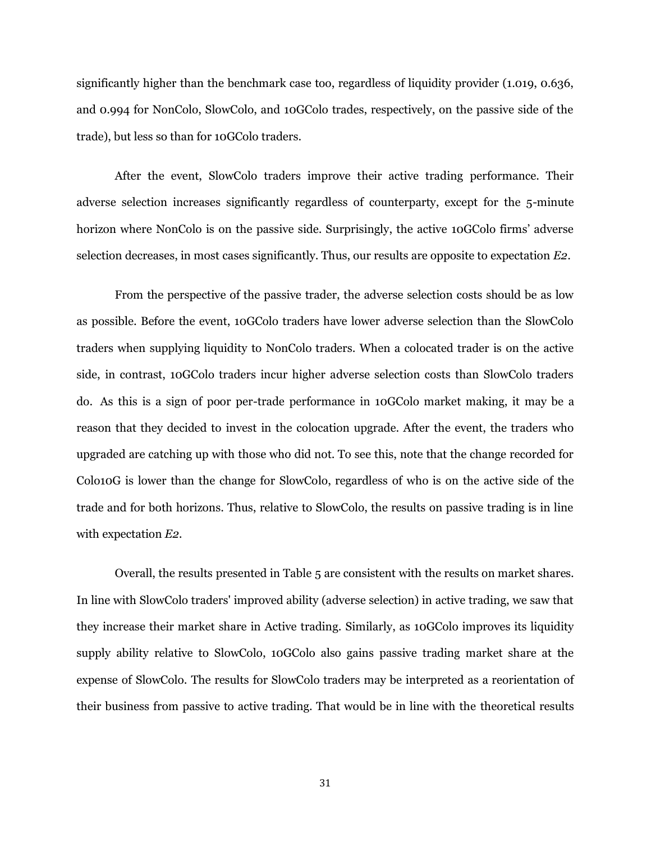significantly higher than the benchmark case too, regardless of liquidity provider (1.019, 0.636, and 0.994 for NonColo, SlowColo, and 10GColo trades, respectively, on the passive side of the trade), but less so than for 10GColo traders.

After the event, SlowColo traders improve their active trading performance. Their adverse selection increases significantly regardless of counterparty, except for the 5-minute horizon where NonColo is on the passive side. Surprisingly, the active 10GColo firms' adverse selection decreases, in most cases significantly. Thus, our results are opposite to expectation *E2*.

From the perspective of the passive trader, the adverse selection costs should be as low as possible. Before the event, 10GColo traders have lower adverse selection than the SlowColo traders when supplying liquidity to NonColo traders. When a colocated trader is on the active side, in contrast, 10GColo traders incur higher adverse selection costs than SlowColo traders do. As this is a sign of poor per-trade performance in 10GColo market making, it may be a reason that they decided to invest in the colocation upgrade. After the event, the traders who upgraded are catching up with those who did not. To see this, note that the change recorded for Colo10G is lower than the change for SlowColo, regardless of who is on the active side of the trade and for both horizons. Thus, relative to SlowColo, the results on passive trading is in line with expectation *E2.*

Overall, the results presented in Table 5 are consistent with the results on market shares. In line with SlowColo traders' improved ability (adverse selection) in active trading, we saw that they increase their market share in Active trading. Similarly, as 10GColo improves its liquidity supply ability relative to SlowColo, 10GColo also gains passive trading market share at the expense of SlowColo. The results for SlowColo traders may be interpreted as a reorientation of their business from passive to active trading. That would be in line with the theoretical results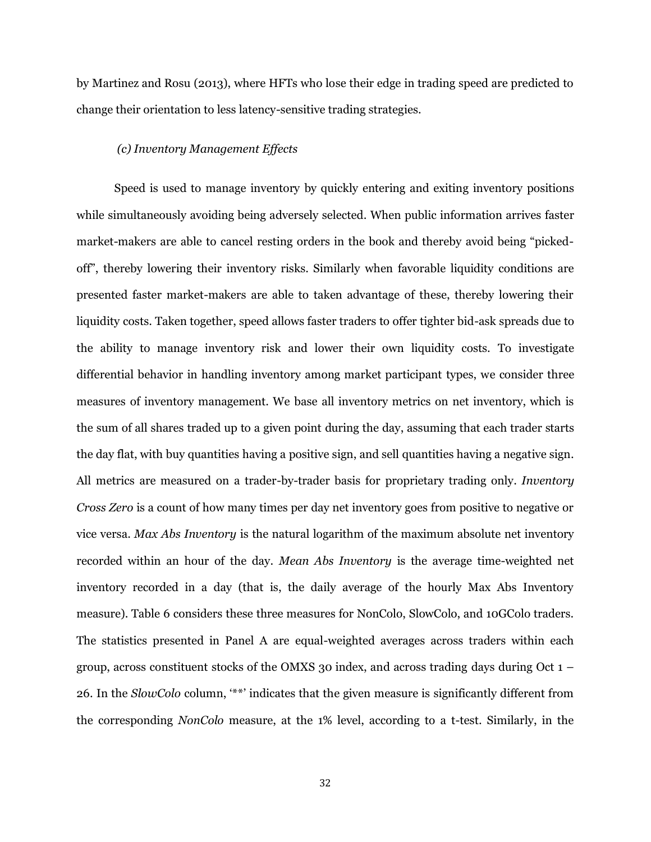by Martinez and Rosu (2013), where HFTs who lose their edge in trading speed are predicted to change their orientation to less latency-sensitive trading strategies.

#### *(c) Inventory Management Effects*

Speed is used to manage inventory by quickly entering and exiting inventory positions while simultaneously avoiding being adversely selected. When public information arrives faster market-makers are able to cancel resting orders in the book and thereby avoid being "pickedoff", thereby lowering their inventory risks. Similarly when favorable liquidity conditions are presented faster market-makers are able to taken advantage of these, thereby lowering their liquidity costs. Taken together, speed allows faster traders to offer tighter bid-ask spreads due to the ability to manage inventory risk and lower their own liquidity costs. To investigate differential behavior in handling inventory among market participant types, we consider three measures of inventory management. We base all inventory metrics on net inventory, which is the sum of all shares traded up to a given point during the day, assuming that each trader starts the day flat, with buy quantities having a positive sign, and sell quantities having a negative sign. All metrics are measured on a trader-by-trader basis for proprietary trading only. *Inventory Cross Zero* is a count of how many times per day net inventory goes from positive to negative or vice versa. *Max Abs Inventory* is the natural logarithm of the maximum absolute net inventory recorded within an hour of the day. *Mean Abs Inventory* is the average time-weighted net inventory recorded in a day (that is, the daily average of the hourly Max Abs Inventory measure). Table 6 considers these three measures for NonColo, SlowColo, and 10GColo traders. The statistics presented in Panel A are equal-weighted averages across traders within each group, across constituent stocks of the OMXS 30 index, and across trading days during Oct  $1 -$ 26. In the *SlowColo* column, "\*\*" indicates that the given measure is significantly different from the corresponding *NonColo* measure, at the 1% level, according to a t-test. Similarly, in the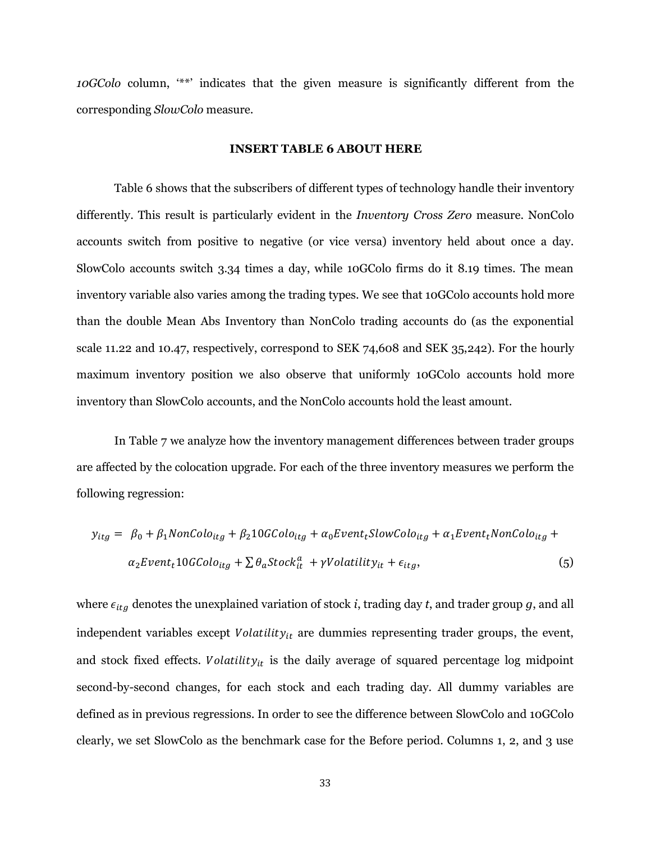*10GColo* column, "\*\*" indicates that the given measure is significantly different from the corresponding *SlowColo* measure.

#### **INSERT TABLE 6 ABOUT HERE**

Table 6 shows that the subscribers of different types of technology handle their inventory differently. This result is particularly evident in the *Inventory Cross Zero* measure. NonColo accounts switch from positive to negative (or vice versa) inventory held about once a day. SlowColo accounts switch 3.34 times a day, while 10GColo firms do it 8.19 times. The mean inventory variable also varies among the trading types. We see that 10GColo accounts hold more than the double Mean Abs Inventory than NonColo trading accounts do (as the exponential scale 11.22 and 10.47, respectively, correspond to SEK 74,608 and SEK 35,242). For the hourly maximum inventory position we also observe that uniformly 10GColo accounts hold more inventory than SlowColo accounts, and the NonColo accounts hold the least amount.

In Table 7 we analyze how the inventory management differences between trader groups are affected by the colocation upgrade. For each of the three inventory measures we perform the following regression:

$$
y_{itg} = \beta_0 + \beta_1 \text{NonColo}_{itg} + \beta_2 10 \text{GColo}_{itg} + \alpha_0 \text{Event}_t \text{SlowColo}_{itg} + \alpha_1 \text{Event}_t \text{NonColo}_{itg} +
$$
  

$$
\alpha_2 \text{Event}_t 10 \text{GColo}_{itg} + \sum \theta_a \text{Stock}_{it}^a + \gamma \text{Volatility}_{it} + \epsilon_{itg},
$$
 (5)

where  $\epsilon_{itg}$  denotes the unexplained variation of stock *i*, trading day *t*, and trader group *g*, and all independent variables except  $Volatility_{it}$  are dummies representing trader groups, the event, and stock fixed effects. Volatility<sub>it</sub> is the daily average of squared percentage log midpoint second-by-second changes, for each stock and each trading day. All dummy variables are defined as in previous regressions. In order to see the difference between SlowColo and 10GColo clearly, we set SlowColo as the benchmark case for the Before period. Columns 1, 2, and 3 use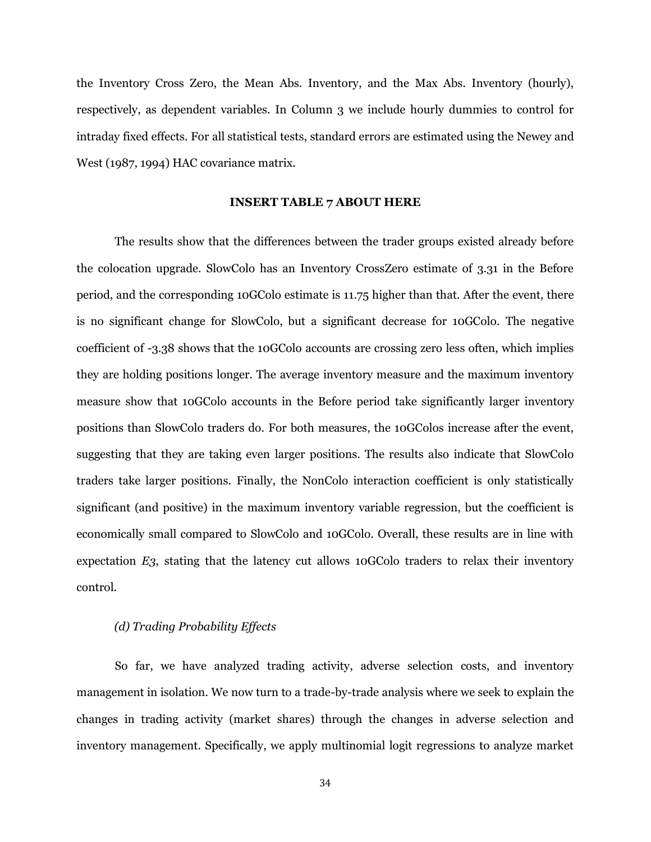the Inventory Cross Zero, the Mean Abs. Inventory, and the Max Abs. Inventory (hourly), respectively, as dependent variables. In Column 3 we include hourly dummies to control for intraday fixed effects. For all statistical tests, standard errors are estimated using the Newey and West (1987, 1994) HAC covariance matrix.

#### **INSERT TABLE 7 ABOUT HERE**

The results show that the differences between the trader groups existed already before the colocation upgrade. SlowColo has an Inventory CrossZero estimate of 3.31 in the Before period, and the corresponding 10GColo estimate is 11.75 higher than that. After the event, there is no significant change for SlowColo, but a significant decrease for 10GColo. The negative coefficient of -3.38 shows that the 10GColo accounts are crossing zero less often, which implies they are holding positions longer. The average inventory measure and the maximum inventory measure show that 10GColo accounts in the Before period take significantly larger inventory positions than SlowColo traders do. For both measures, the 10GColos increase after the event, suggesting that they are taking even larger positions. The results also indicate that SlowColo traders take larger positions. Finally, the NonColo interaction coefficient is only statistically significant (and positive) in the maximum inventory variable regression, but the coefficient is economically small compared to SlowColo and 10GColo. Overall, these results are in line with expectation *E3*, stating that the latency cut allows 10GColo traders to relax their inventory control.

## *(d) Trading Probability Effects*

So far, we have analyzed trading activity, adverse selection costs, and inventory management in isolation. We now turn to a trade-by-trade analysis where we seek to explain the changes in trading activity (market shares) through the changes in adverse selection and inventory management. Specifically, we apply multinomial logit regressions to analyze market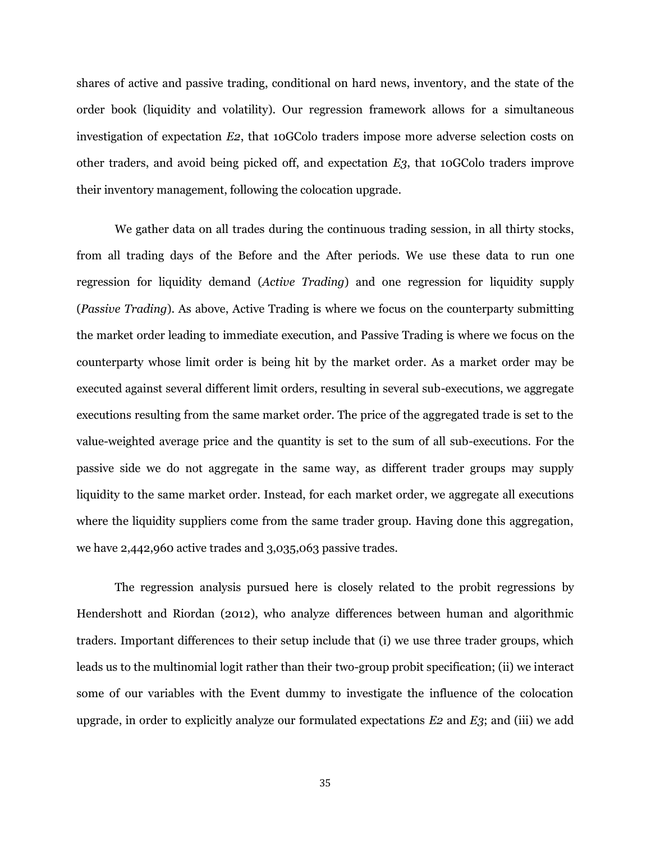shares of active and passive trading, conditional on hard news, inventory, and the state of the order book (liquidity and volatility). Our regression framework allows for a simultaneous investigation of expectation *E2*, that 10GColo traders impose more adverse selection costs on other traders, and avoid being picked off, and expectation *E3*, that 10GColo traders improve their inventory management, following the colocation upgrade.

We gather data on all trades during the continuous trading session, in all thirty stocks, from all trading days of the Before and the After periods. We use these data to run one regression for liquidity demand (*Active Trading*) and one regression for liquidity supply (*Passive Trading*). As above, Active Trading is where we focus on the counterparty submitting the market order leading to immediate execution, and Passive Trading is where we focus on the counterparty whose limit order is being hit by the market order. As a market order may be executed against several different limit orders, resulting in several sub-executions, we aggregate executions resulting from the same market order. The price of the aggregated trade is set to the value-weighted average price and the quantity is set to the sum of all sub-executions. For the passive side we do not aggregate in the same way, as different trader groups may supply liquidity to the same market order. Instead, for each market order, we aggregate all executions where the liquidity suppliers come from the same trader group. Having done this aggregation, we have 2,442,960 active trades and 3,035,063 passive trades.

The regression analysis pursued here is closely related to the probit regressions by Hendershott and Riordan (2012), who analyze differences between human and algorithmic traders. Important differences to their setup include that (i) we use three trader groups, which leads us to the multinomial logit rather than their two-group probit specification; (ii) we interact some of our variables with the Event dummy to investigate the influence of the colocation upgrade, in order to explicitly analyze our formulated expectations *E2* and *E3*; and (iii) we add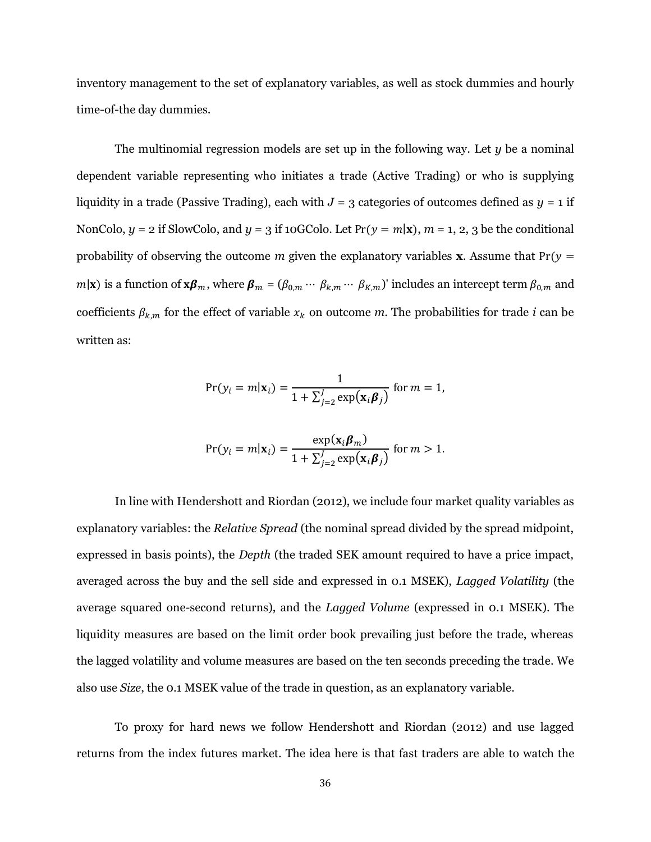inventory management to the set of explanatory variables, as well as stock dummies and hourly time-of-the day dummies.

The multinomial regression models are set up in the following way. Let *y* be a nominal dependent variable representing who initiates a trade (Active Trading) or who is supplying liquidity in a trade (Passive Trading), each with  $J = 3$  categories of outcomes defined as  $y = 1$  if NonColo,  $y = 2$  if SlowColo, and  $y = 3$  if 10GColo. Let  $Pr(y = m|\mathbf{x})$ ,  $m = 1, 2, 3$  be the conditional probability of observing the outcome *m* given the explanatory variables **x**. Assume that  $Pr(y =$  $m|\mathbf{x})$  is a function of  $\mathbf{x}\boldsymbol{\beta}_m$ , where  $\boldsymbol{\beta}_m = (\beta_{0,m} \cdots \beta_{k,m} \cdots \beta_{k,m})'$  includes an intercept term  $\beta_{0,m}$  and coefficients  $\beta_{k,m}$  for the effect of variable  $x_k$  on outcome *m*. The probabilities for trade *i* can be written as:

$$
Pr(y_i = m|\mathbf{x}_i) = \frac{1}{1 + \sum_{j=2}^{J} \exp(\mathbf{x}_i \boldsymbol{\beta}_j)} \text{ for } m = 1,
$$

$$
Pr(y_i = m|\mathbf{x}_i) = \frac{\exp(\mathbf{x}_i \boldsymbol{\beta}_m)}{1 + \sum_{j=2}^{J} \exp(\mathbf{x}_i \boldsymbol{\beta}_j)} \text{ for } m > 1.
$$

In line with Hendershott and Riordan (2012), we include four market quality variables as explanatory variables: the *Relative Spread* (the nominal spread divided by the spread midpoint, expressed in basis points), the *Depth* (the traded SEK amount required to have a price impact, averaged across the buy and the sell side and expressed in 0.1 MSEK), *Lagged Volatility* (the average squared one-second returns), and the *Lagged Volume* (expressed in 0.1 MSEK). The liquidity measures are based on the limit order book prevailing just before the trade, whereas the lagged volatility and volume measures are based on the ten seconds preceding the trade. We also use *Size*, the 0.1 MSEK value of the trade in question, as an explanatory variable.

To proxy for hard news we follow Hendershott and Riordan (2012) and use lagged returns from the index futures market. The idea here is that fast traders are able to watch the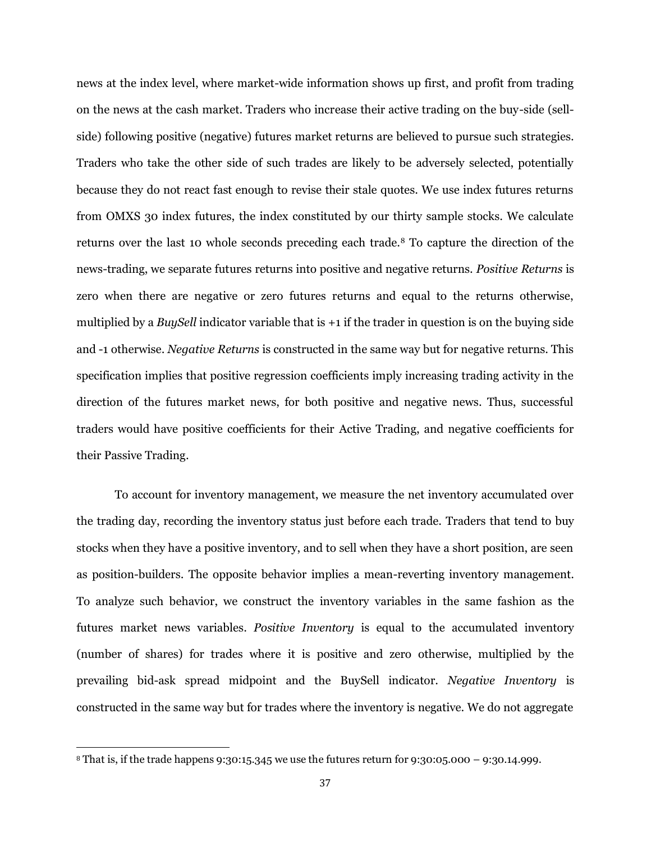news at the index level, where market-wide information shows up first, and profit from trading on the news at the cash market. Traders who increase their active trading on the buy-side (sellside) following positive (negative) futures market returns are believed to pursue such strategies. Traders who take the other side of such trades are likely to be adversely selected, potentially because they do not react fast enough to revise their stale quotes. We use index futures returns from OMXS 30 index futures, the index constituted by our thirty sample stocks. We calculate returns over the last 10 whole seconds preceding each trade.<sup>8</sup> To capture the direction of the news-trading, we separate futures returns into positive and negative returns. *Positive Returns* is zero when there are negative or zero futures returns and equal to the returns otherwise, multiplied by a *BuySell* indicator variable that is +1 if the trader in question is on the buying side and -1 otherwise. *Negative Returns* is constructed in the same way but for negative returns. This specification implies that positive regression coefficients imply increasing trading activity in the direction of the futures market news, for both positive and negative news. Thus, successful traders would have positive coefficients for their Active Trading, and negative coefficients for their Passive Trading.

To account for inventory management, we measure the net inventory accumulated over the trading day, recording the inventory status just before each trade. Traders that tend to buy stocks when they have a positive inventory, and to sell when they have a short position, are seen as position-builders. The opposite behavior implies a mean-reverting inventory management. To analyze such behavior, we construct the inventory variables in the same fashion as the futures market news variables. *Positive Inventory* is equal to the accumulated inventory (number of shares) for trades where it is positive and zero otherwise, multiplied by the prevailing bid-ask spread midpoint and the BuySell indicator. *Negative Inventory* is constructed in the same way but for trades where the inventory is negative. We do not aggregate

 $\overline{a}$ 

<sup>&</sup>lt;sup>8</sup> That is, if the trade happens 9:30:15.345 we use the futures return for 9:30:05.000 – 9:30.14.999.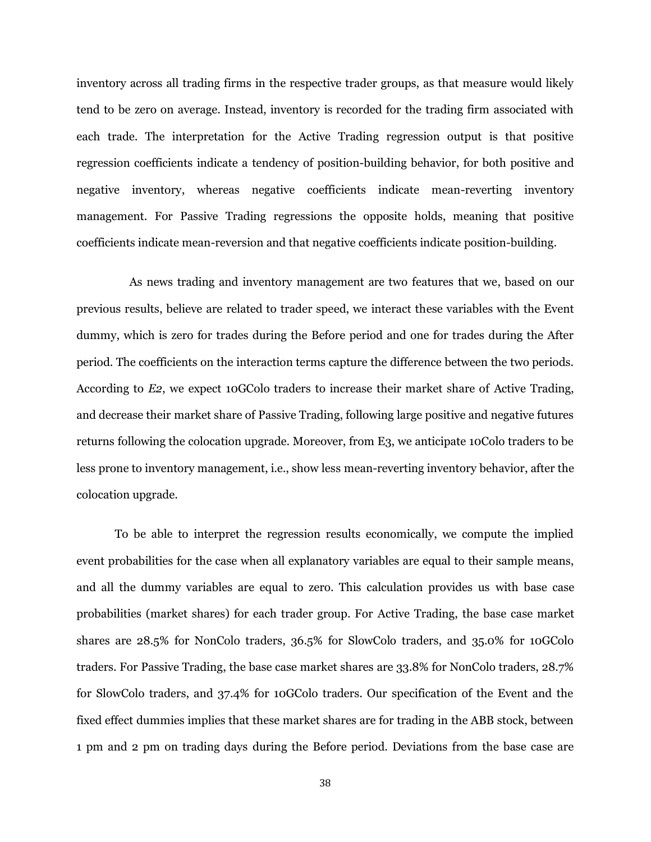inventory across all trading firms in the respective trader groups, as that measure would likely tend to be zero on average. Instead, inventory is recorded for the trading firm associated with each trade. The interpretation for the Active Trading regression output is that positive regression coefficients indicate a tendency of position-building behavior, for both positive and negative inventory, whereas negative coefficients indicate mean-reverting inventory management. For Passive Trading regressions the opposite holds, meaning that positive coefficients indicate mean-reversion and that negative coefficients indicate position-building.

As news trading and inventory management are two features that we, based on our previous results, believe are related to trader speed, we interact these variables with the Event dummy, which is zero for trades during the Before period and one for trades during the After period. The coefficients on the interaction terms capture the difference between the two periods. According to *E2*, we expect 10GColo traders to increase their market share of Active Trading, and decrease their market share of Passive Trading, following large positive and negative futures returns following the colocation upgrade. Moreover, from E3, we anticipate 10Colo traders to be less prone to inventory management, i.e., show less mean-reverting inventory behavior, after the colocation upgrade.

To be able to interpret the regression results economically, we compute the implied event probabilities for the case when all explanatory variables are equal to their sample means, and all the dummy variables are equal to zero. This calculation provides us with base case probabilities (market shares) for each trader group. For Active Trading, the base case market shares are 28.5% for NonColo traders, 36.5% for SlowColo traders, and 35.0% for 10GColo traders. For Passive Trading, the base case market shares are 33.8% for NonColo traders, 28.7% for SlowColo traders, and 37.4% for 10GColo traders. Our specification of the Event and the fixed effect dummies implies that these market shares are for trading in the ABB stock, between 1 pm and 2 pm on trading days during the Before period. Deviations from the base case are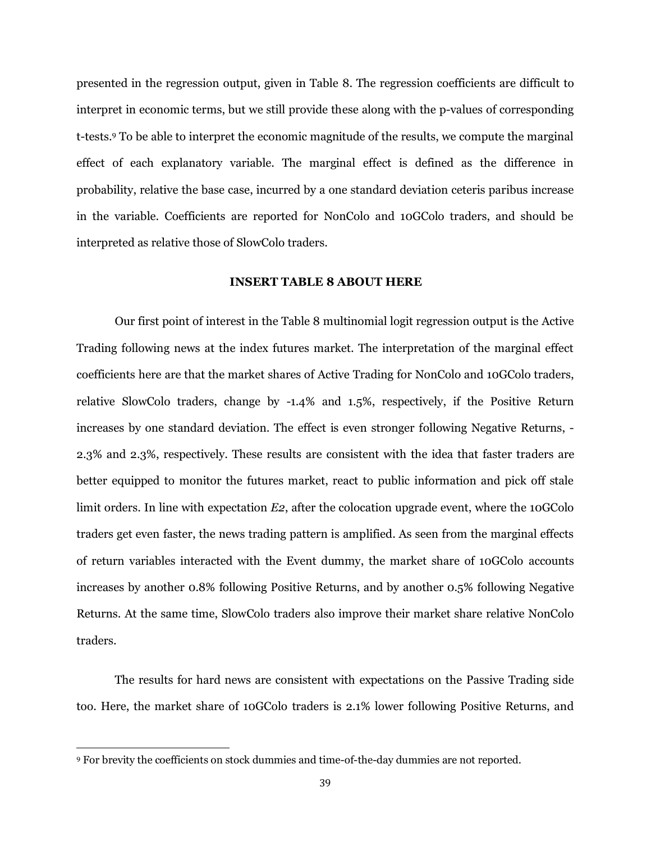presented in the regression output, given in Table 8. The regression coefficients are difficult to interpret in economic terms, but we still provide these along with the p-values of corresponding t-tests.<sup>9</sup> To be able to interpret the economic magnitude of the results, we compute the marginal effect of each explanatory variable. The marginal effect is defined as the difference in probability, relative the base case, incurred by a one standard deviation ceteris paribus increase in the variable. Coefficients are reported for NonColo and 10GColo traders, and should be interpreted as relative those of SlowColo traders.

## **INSERT TABLE 8 ABOUT HERE**

Our first point of interest in the Table 8 multinomial logit regression output is the Active Trading following news at the index futures market. The interpretation of the marginal effect coefficients here are that the market shares of Active Trading for NonColo and 10GColo traders, relative SlowColo traders, change by -1.4% and 1.5%, respectively, if the Positive Return increases by one standard deviation. The effect is even stronger following Negative Returns, - 2.3% and 2.3%, respectively. These results are consistent with the idea that faster traders are better equipped to monitor the futures market, react to public information and pick off stale limit orders. In line with expectation *E2*, after the colocation upgrade event, where the 10GColo traders get even faster, the news trading pattern is amplified. As seen from the marginal effects of return variables interacted with the Event dummy, the market share of 10GColo accounts increases by another 0.8% following Positive Returns, and by another 0.5% following Negative Returns. At the same time, SlowColo traders also improve their market share relative NonColo traders.

The results for hard news are consistent with expectations on the Passive Trading side too. Here, the market share of 10GColo traders is 2.1% lower following Positive Returns, and

l

<sup>9</sup> For brevity the coefficients on stock dummies and time-of-the-day dummies are not reported.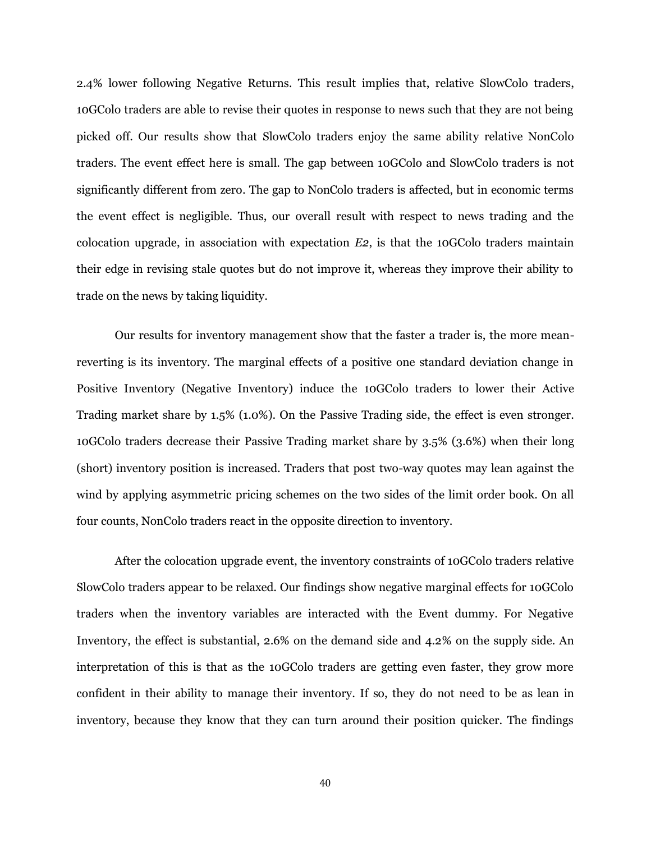2.4% lower following Negative Returns. This result implies that, relative SlowColo traders, 10GColo traders are able to revise their quotes in response to news such that they are not being picked off. Our results show that SlowColo traders enjoy the same ability relative NonColo traders. The event effect here is small. The gap between 10GColo and SlowColo traders is not significantly different from zero. The gap to NonColo traders is affected, but in economic terms the event effect is negligible. Thus, our overall result with respect to news trading and the colocation upgrade, in association with expectation *E2*, is that the 10GColo traders maintain their edge in revising stale quotes but do not improve it, whereas they improve their ability to trade on the news by taking liquidity.

Our results for inventory management show that the faster a trader is, the more meanreverting is its inventory. The marginal effects of a positive one standard deviation change in Positive Inventory (Negative Inventory) induce the 10GColo traders to lower their Active Trading market share by 1.5% (1.0%). On the Passive Trading side, the effect is even stronger. 10GColo traders decrease their Passive Trading market share by 3.5% (3.6%) when their long (short) inventory position is increased. Traders that post two-way quotes may lean against the wind by applying asymmetric pricing schemes on the two sides of the limit order book. On all four counts, NonColo traders react in the opposite direction to inventory.

After the colocation upgrade event, the inventory constraints of 10GColo traders relative SlowColo traders appear to be relaxed. Our findings show negative marginal effects for 10GColo traders when the inventory variables are interacted with the Event dummy. For Negative Inventory, the effect is substantial, 2.6% on the demand side and 4.2% on the supply side. An interpretation of this is that as the 10GColo traders are getting even faster, they grow more confident in their ability to manage their inventory. If so, they do not need to be as lean in inventory, because they know that they can turn around their position quicker. The findings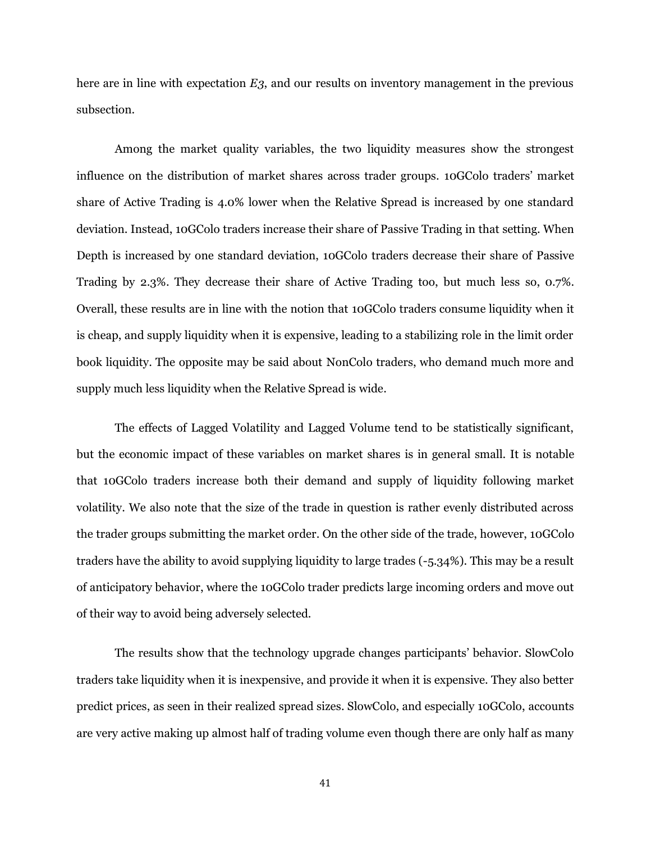here are in line with expectation *E3*, and our results on inventory management in the previous subsection.

Among the market quality variables, the two liquidity measures show the strongest influence on the distribution of market shares across trader groups. 10GColo traders" market share of Active Trading is 4.0% lower when the Relative Spread is increased by one standard deviation. Instead, 10GColo traders increase their share of Passive Trading in that setting. When Depth is increased by one standard deviation, 10GColo traders decrease their share of Passive Trading by 2.3%. They decrease their share of Active Trading too, but much less so, 0.7%. Overall, these results are in line with the notion that 10GColo traders consume liquidity when it is cheap, and supply liquidity when it is expensive, leading to a stabilizing role in the limit order book liquidity. The opposite may be said about NonColo traders, who demand much more and supply much less liquidity when the Relative Spread is wide.

The effects of Lagged Volatility and Lagged Volume tend to be statistically significant, but the economic impact of these variables on market shares is in general small. It is notable that 10GColo traders increase both their demand and supply of liquidity following market volatility. We also note that the size of the trade in question is rather evenly distributed across the trader groups submitting the market order. On the other side of the trade, however, 10GColo traders have the ability to avoid supplying liquidity to large trades (-5.34%). This may be a result of anticipatory behavior, where the 10GColo trader predicts large incoming orders and move out of their way to avoid being adversely selected.

The results show that the technology upgrade changes participants" behavior. SlowColo traders take liquidity when it is inexpensive, and provide it when it is expensive. They also better predict prices, as seen in their realized spread sizes. SlowColo, and especially 10GColo, accounts are very active making up almost half of trading volume even though there are only half as many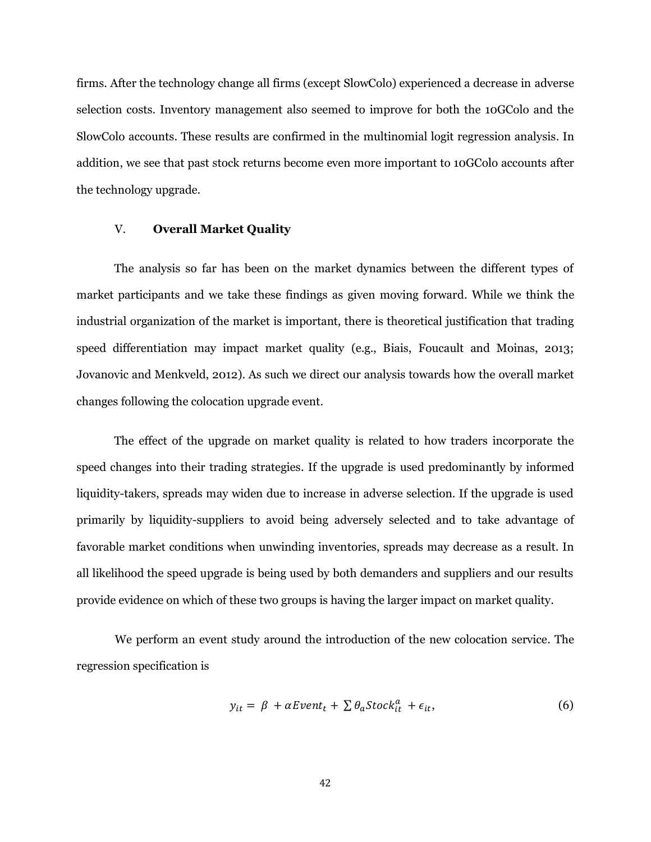firms. After the technology change all firms (except SlowColo) experienced a decrease in adverse selection costs. Inventory management also seemed to improve for both the 10GColo and the SlowColo accounts. These results are confirmed in the multinomial logit regression analysis. In addition, we see that past stock returns become even more important to 10GColo accounts after the technology upgrade.

## V. **Overall Market Quality**

The analysis so far has been on the market dynamics between the different types of market participants and we take these findings as given moving forward. While we think the industrial organization of the market is important, there is theoretical justification that trading speed differentiation may impact market quality (e.g., Biais, Foucault and Moinas, 2013; Jovanovic and Menkveld, 2012). As such we direct our analysis towards how the overall market changes following the colocation upgrade event.

The effect of the upgrade on market quality is related to how traders incorporate the speed changes into their trading strategies. If the upgrade is used predominantly by informed liquidity-takers, spreads may widen due to increase in adverse selection. If the upgrade is used primarily by liquidity-suppliers to avoid being adversely selected and to take advantage of favorable market conditions when unwinding inventories, spreads may decrease as a result. In all likelihood the speed upgrade is being used by both demanders and suppliers and our results provide evidence on which of these two groups is having the larger impact on market quality.

We perform an event study around the introduction of the new colocation service. The regression specification is

$$
y_{it} = \beta + \alpha Event_t + \sum \theta_a Stock_{it}^a + \epsilon_{it}, \qquad (6)
$$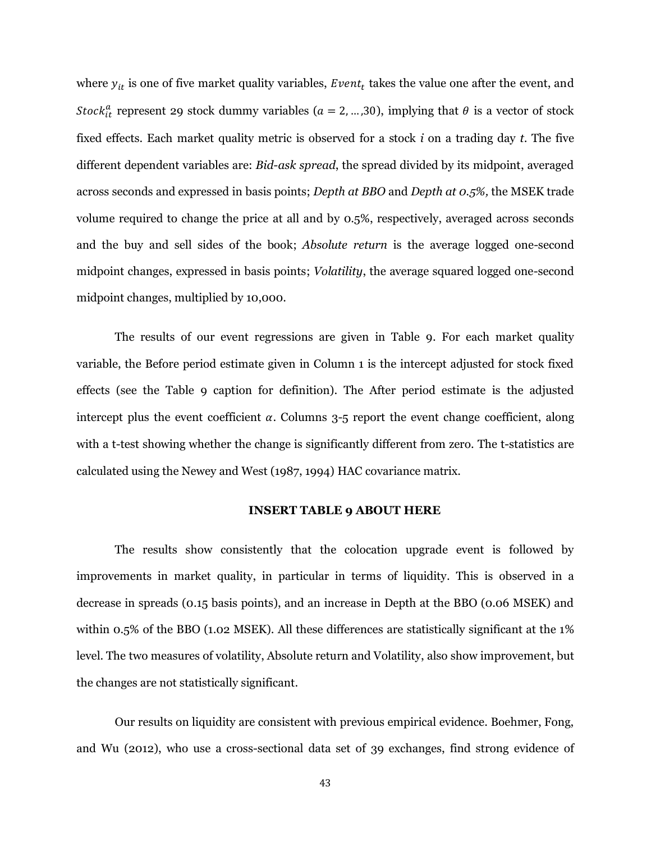where  $y_{it}$  is one of five market quality variables, *Event<sub>t</sub>* takes the value one after the event, and *Stock*<sup>a</sup> represent 29 stock dummy variables ( $a = 2, ..., 30$ ), implying that  $\theta$  is a vector of stock fixed effects. Each market quality metric is observed for a stock *i* on a trading day *t*. The five different dependent variables are: *Bid-ask spread*, the spread divided by its midpoint, averaged across seconds and expressed in basis points; *Depth at BBO* and *Depth at 0.5%,* the MSEK trade volume required to change the price at all and by 0.5%, respectively, averaged across seconds and the buy and sell sides of the book; *Absolute return* is the average logged one-second midpoint changes, expressed in basis points; *Volatility*, the average squared logged one-second midpoint changes, multiplied by 10,000.

The results of our event regressions are given in Table 9. For each market quality variable, the Before period estimate given in Column 1 is the intercept adjusted for stock fixed effects (see the Table 9 caption for definition). The After period estimate is the adjusted intercept plus the event coefficient  $\alpha$ . Columns 3-5 report the event change coefficient, along with a t-test showing whether the change is significantly different from zero. The t-statistics are calculated using the Newey and West (1987, 1994) HAC covariance matrix.

#### **INSERT TABLE 9 ABOUT HERE**

The results show consistently that the colocation upgrade event is followed by improvements in market quality, in particular in terms of liquidity. This is observed in a decrease in spreads (0.15 basis points), and an increase in Depth at the BBO (0.06 MSEK) and within 0.5% of the BBO (1.02 MSEK). All these differences are statistically significant at the 1% level. The two measures of volatility, Absolute return and Volatility, also show improvement, but the changes are not statistically significant.

Our results on liquidity are consistent with previous empirical evidence. Boehmer, Fong, and Wu (2012), who use a cross-sectional data set of 39 exchanges, find strong evidence of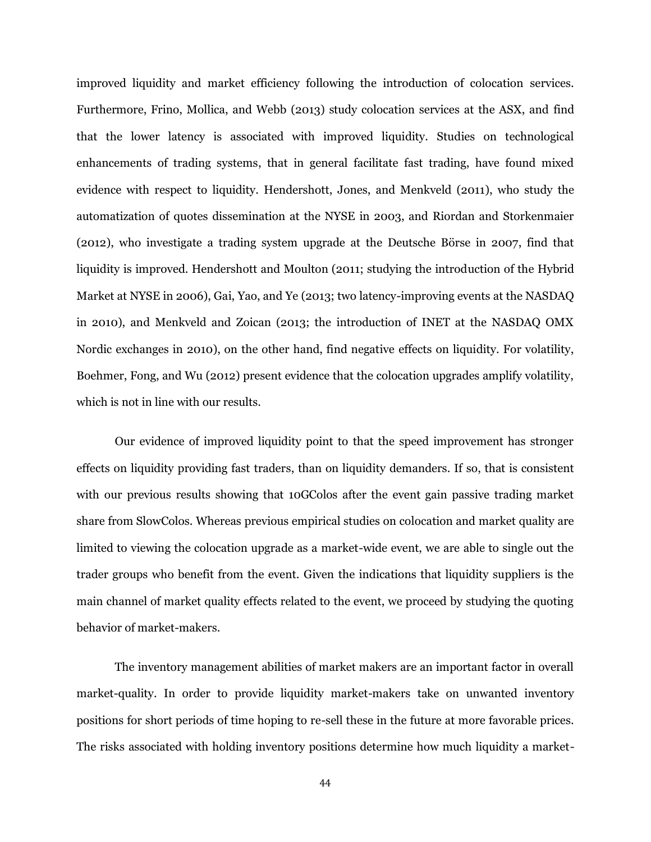improved liquidity and market efficiency following the introduction of colocation services. Furthermore, Frino, Mollica, and Webb (2013) study colocation services at the ASX, and find that the lower latency is associated with improved liquidity. Studies on technological enhancements of trading systems, that in general facilitate fast trading, have found mixed evidence with respect to liquidity. Hendershott, Jones, and Menkveld (2011), who study the automatization of quotes dissemination at the NYSE in 2003, and Riordan and Storkenmaier (2012), who investigate a trading system upgrade at the Deutsche Börse in 2007, find that liquidity is improved. Hendershott and Moulton (2011; studying the introduction of the Hybrid Market at NYSE in 2006), Gai, Yao, and Ye (2013; two latency-improving events at the NASDAQ in 2010), and Menkveld and Zoican (2013; the introduction of INET at the NASDAQ OMX Nordic exchanges in 2010), on the other hand, find negative effects on liquidity. For volatility, Boehmer, Fong, and Wu (2012) present evidence that the colocation upgrades amplify volatility, which is not in line with our results.

Our evidence of improved liquidity point to that the speed improvement has stronger effects on liquidity providing fast traders, than on liquidity demanders. If so, that is consistent with our previous results showing that 10GColos after the event gain passive trading market share from SlowColos. Whereas previous empirical studies on colocation and market quality are limited to viewing the colocation upgrade as a market-wide event, we are able to single out the trader groups who benefit from the event. Given the indications that liquidity suppliers is the main channel of market quality effects related to the event, we proceed by studying the quoting behavior of market-makers.

The inventory management abilities of market makers are an important factor in overall market-quality. In order to provide liquidity market-makers take on unwanted inventory positions for short periods of time hoping to re-sell these in the future at more favorable prices. The risks associated with holding inventory positions determine how much liquidity a market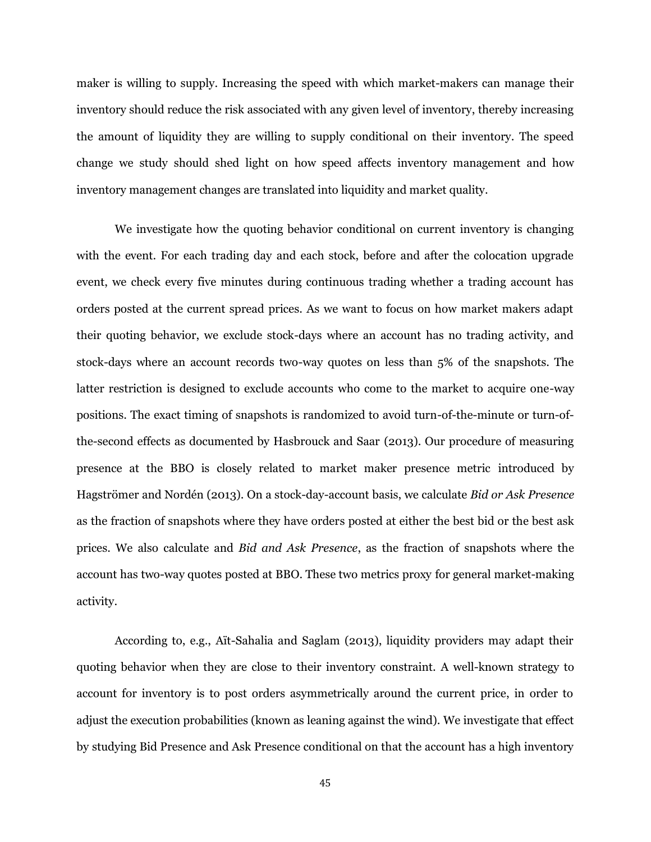maker is willing to supply. Increasing the speed with which market-makers can manage their inventory should reduce the risk associated with any given level of inventory, thereby increasing the amount of liquidity they are willing to supply conditional on their inventory. The speed change we study should shed light on how speed affects inventory management and how inventory management changes are translated into liquidity and market quality.

We investigate how the quoting behavior conditional on current inventory is changing with the event. For each trading day and each stock, before and after the colocation upgrade event, we check every five minutes during continuous trading whether a trading account has orders posted at the current spread prices. As we want to focus on how market makers adapt their quoting behavior, we exclude stock-days where an account has no trading activity, and stock-days where an account records two-way quotes on less than 5% of the snapshots. The latter restriction is designed to exclude accounts who come to the market to acquire one-way positions. The exact timing of snapshots is randomized to avoid turn-of-the-minute or turn-ofthe-second effects as documented by Hasbrouck and Saar (2013). Our procedure of measuring presence at the BBO is closely related to market maker presence metric introduced by Hagströmer and Nordén (2013). On a stock-day-account basis, we calculate *Bid or Ask Presence* as the fraction of snapshots where they have orders posted at either the best bid or the best ask prices. We also calculate and *Bid and Ask Presence*, as the fraction of snapshots where the account has two-way quotes posted at BBO. These two metrics proxy for general market-making activity.

According to, e.g., Aït-Sahalia and Saglam (2013), liquidity providers may adapt their quoting behavior when they are close to their inventory constraint. A well-known strategy to account for inventory is to post orders asymmetrically around the current price, in order to adjust the execution probabilities (known as leaning against the wind). We investigate that effect by studying Bid Presence and Ask Presence conditional on that the account has a high inventory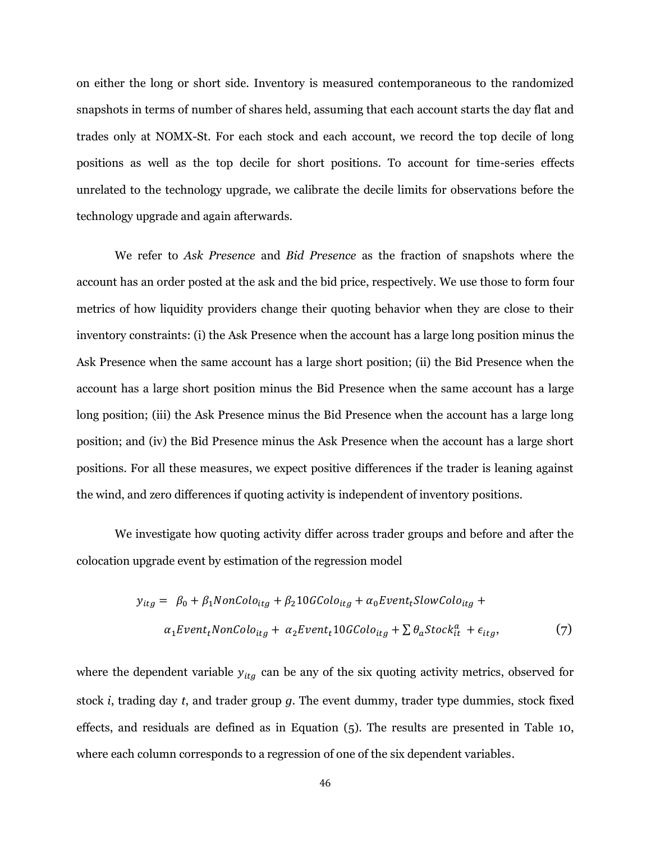on either the long or short side. Inventory is measured contemporaneous to the randomized snapshots in terms of number of shares held, assuming that each account starts the day flat and trades only at NOMX-St. For each stock and each account, we record the top decile of long positions as well as the top decile for short positions. To account for time-series effects unrelated to the technology upgrade, we calibrate the decile limits for observations before the technology upgrade and again afterwards.

We refer to *Ask Presence* and *Bid Presence* as the fraction of snapshots where the account has an order posted at the ask and the bid price, respectively. We use those to form four metrics of how liquidity providers change their quoting behavior when they are close to their inventory constraints: (i) the Ask Presence when the account has a large long position minus the Ask Presence when the same account has a large short position; (ii) the Bid Presence when the account has a large short position minus the Bid Presence when the same account has a large long position; (iii) the Ask Presence minus the Bid Presence when the account has a large long position; and (iv) the Bid Presence minus the Ask Presence when the account has a large short positions. For all these measures, we expect positive differences if the trader is leaning against the wind, and zero differences if quoting activity is independent of inventory positions.

We investigate how quoting activity differ across trader groups and before and after the colocation upgrade event by estimation of the regression model

$$
y_{itg} = \beta_0 + \beta_1 \text{NonColo}_{itg} + \beta_2 10 \text{GColo}_{itg} + \alpha_0 \text{Event}_t \text{SlowColo}_{itg} +
$$
  

$$
\alpha_1 \text{Event}_t \text{NonColo}_{itg} + \alpha_2 \text{Event}_t 10 \text{GColo}_{itg} + \sum \theta_a \text{Stock}_t^a + \epsilon_{itg}, \tag{7}
$$

where the dependent variable  $y_{itg}$  can be any of the six quoting activity metrics, observed for stock *i*, trading day *t*, and trader group *g*. The event dummy, trader type dummies, stock fixed effects, and residuals are defined as in Equation (5). The results are presented in Table 10, where each column corresponds to a regression of one of the six dependent variables.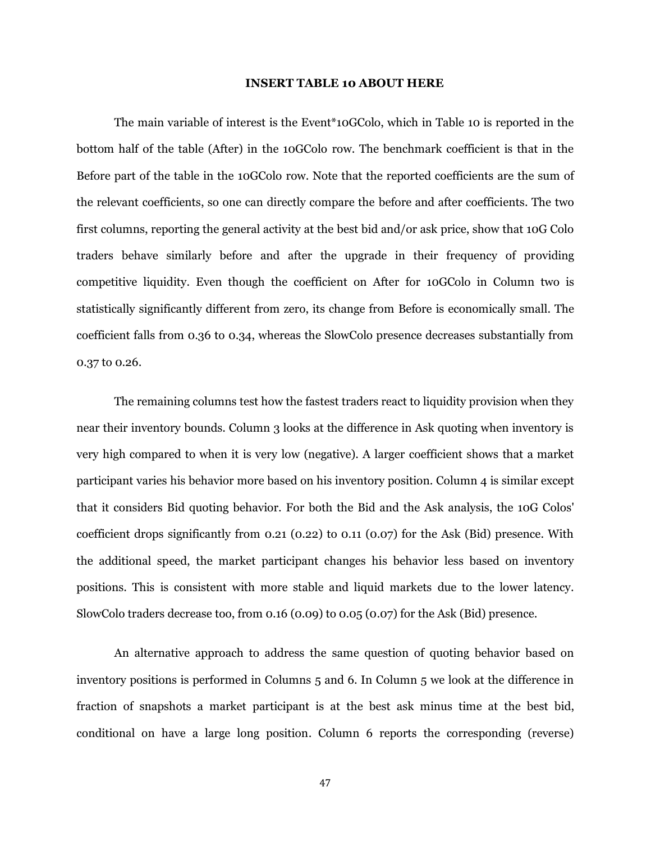#### **INSERT TABLE 10 ABOUT HERE**

The main variable of interest is the Event\*10GColo, which in Table 10 is reported in the bottom half of the table (After) in the 10GColo row. The benchmark coefficient is that in the Before part of the table in the 10GColo row. Note that the reported coefficients are the sum of the relevant coefficients, so one can directly compare the before and after coefficients. The two first columns, reporting the general activity at the best bid and/or ask price, show that 10G Colo traders behave similarly before and after the upgrade in their frequency of providing competitive liquidity. Even though the coefficient on After for 10GColo in Column two is statistically significantly different from zero, its change from Before is economically small. The coefficient falls from 0.36 to 0.34, whereas the SlowColo presence decreases substantially from 0.37 to 0.26.

The remaining columns test how the fastest traders react to liquidity provision when they near their inventory bounds. Column 3 looks at the difference in Ask quoting when inventory is very high compared to when it is very low (negative). A larger coefficient shows that a market participant varies his behavior more based on his inventory position. Column 4 is similar except that it considers Bid quoting behavior. For both the Bid and the Ask analysis, the 10G Colos' coefficient drops significantly from 0.21 (0.22) to 0.11 (0.07) for the Ask (Bid) presence. With the additional speed, the market participant changes his behavior less based on inventory positions. This is consistent with more stable and liquid markets due to the lower latency. SlowColo traders decrease too, from 0.16 (0.09) to 0.05 (0.07) for the Ask (Bid) presence.

An alternative approach to address the same question of quoting behavior based on inventory positions is performed in Columns 5 and 6. In Column 5 we look at the difference in fraction of snapshots a market participant is at the best ask minus time at the best bid, conditional on have a large long position. Column 6 reports the corresponding (reverse)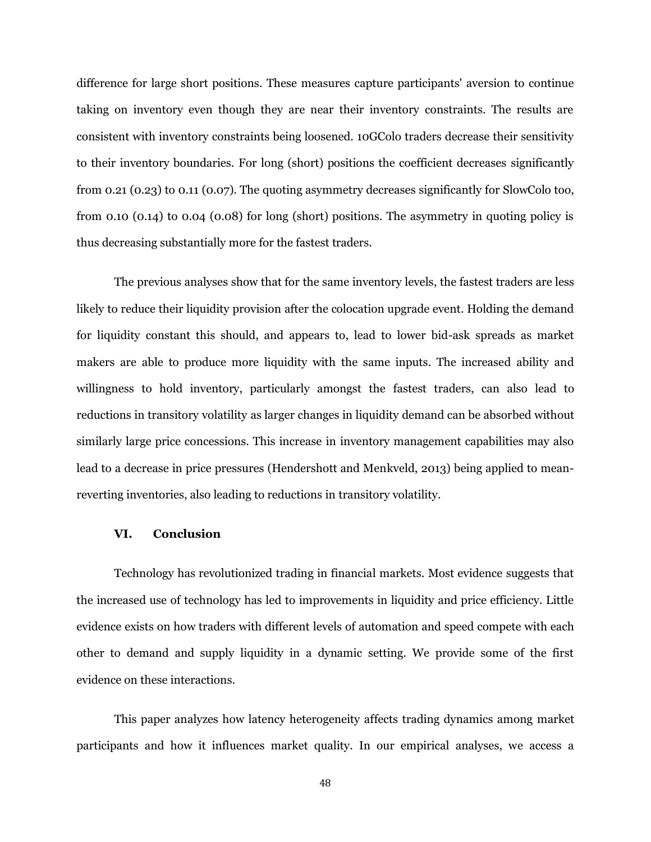difference for large short positions. These measures capture participants' aversion to continue taking on inventory even though they are near their inventory constraints. The results are consistent with inventory constraints being loosened. 10GColo traders decrease their sensitivity to their inventory boundaries. For long (short) positions the coefficient decreases significantly from 0.21 (0.23) to 0.11 (0.07). The quoting asymmetry decreases significantly for SlowColo too, from 0.10 (0.14) to 0.04 (0.08) for long (short) positions. The asymmetry in quoting policy is thus decreasing substantially more for the fastest traders.

The previous analyses show that for the same inventory levels, the fastest traders are less likely to reduce their liquidity provision after the colocation upgrade event. Holding the demand for liquidity constant this should, and appears to, lead to lower bid-ask spreads as market makers are able to produce more liquidity with the same inputs. The increased ability and willingness to hold inventory, particularly amongst the fastest traders, can also lead to reductions in transitory volatility as larger changes in liquidity demand can be absorbed without similarly large price concessions. This increase in inventory management capabilities may also lead to a decrease in price pressures (Hendershott and Menkveld, 2013) being applied to meanreverting inventories, also leading to reductions in transitory volatility.

## **VI. Conclusion**

Technology has revolutionized trading in financial markets. Most evidence suggests that the increased use of technology has led to improvements in liquidity and price efficiency. Little evidence exists on how traders with different levels of automation and speed compete with each other to demand and supply liquidity in a dynamic setting. We provide some of the first evidence on these interactions.

This paper analyzes how latency heterogeneity affects trading dynamics among market participants and how it influences market quality. In our empirical analyses, we access a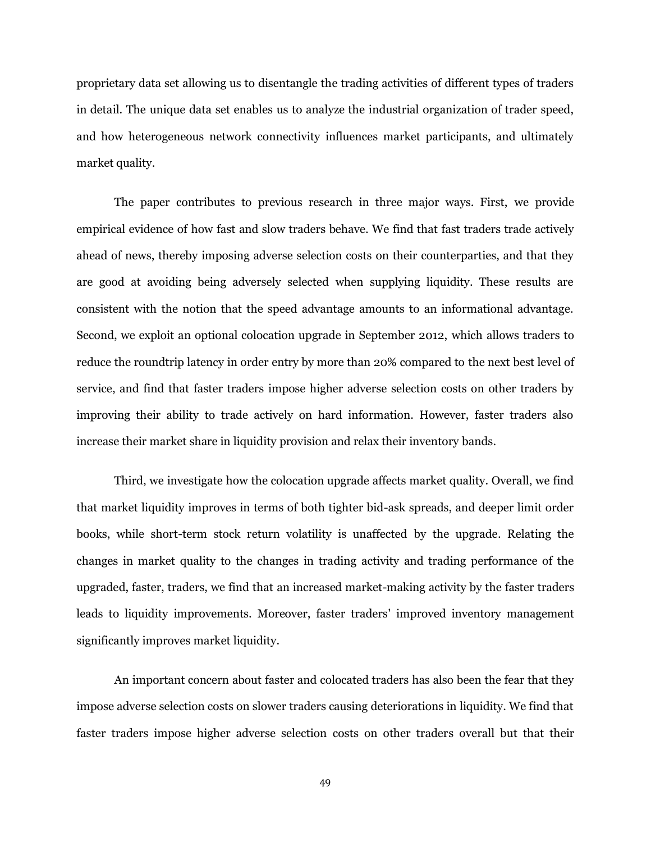proprietary data set allowing us to disentangle the trading activities of different types of traders in detail. The unique data set enables us to analyze the industrial organization of trader speed, and how heterogeneous network connectivity influences market participants, and ultimately market quality.

The paper contributes to previous research in three major ways. First, we provide empirical evidence of how fast and slow traders behave. We find that fast traders trade actively ahead of news, thereby imposing adverse selection costs on their counterparties, and that they are good at avoiding being adversely selected when supplying liquidity. These results are consistent with the notion that the speed advantage amounts to an informational advantage. Second, we exploit an optional colocation upgrade in September 2012, which allows traders to reduce the roundtrip latency in order entry by more than 20% compared to the next best level of service, and find that faster traders impose higher adverse selection costs on other traders by improving their ability to trade actively on hard information. However, faster traders also increase their market share in liquidity provision and relax their inventory bands.

Third, we investigate how the colocation upgrade affects market quality. Overall, we find that market liquidity improves in terms of both tighter bid-ask spreads, and deeper limit order books, while short-term stock return volatility is unaffected by the upgrade. Relating the changes in market quality to the changes in trading activity and trading performance of the upgraded, faster, traders, we find that an increased market-making activity by the faster traders leads to liquidity improvements. Moreover, faster traders' improved inventory management significantly improves market liquidity.

An important concern about faster and colocated traders has also been the fear that they impose adverse selection costs on slower traders causing deteriorations in liquidity. We find that faster traders impose higher adverse selection costs on other traders overall but that their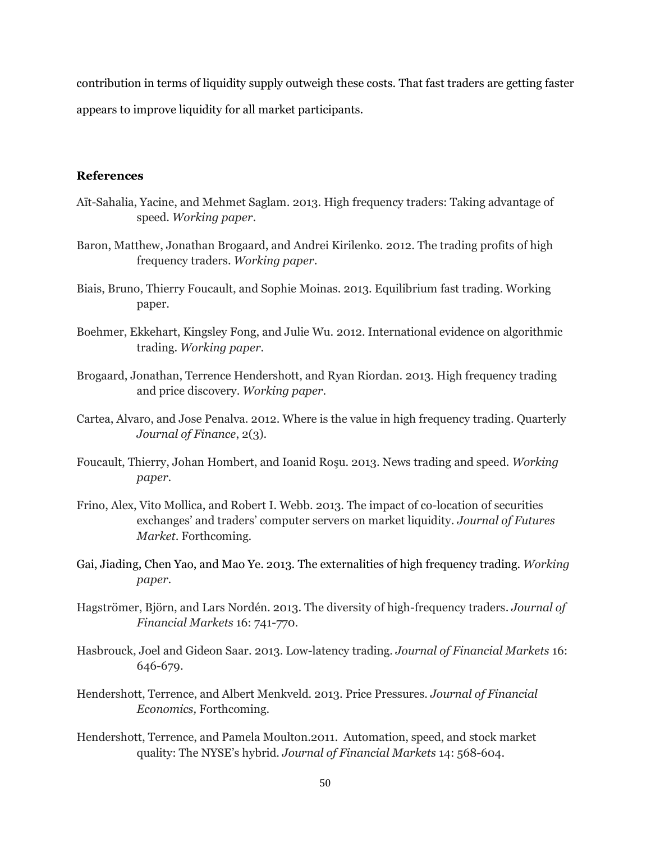contribution in terms of liquidity supply outweigh these costs. That fast traders are getting faster appears to improve liquidity for all market participants.

# **References**

- Aït-Sahalia, Yacine, and Mehmet Saglam. 2013. High frequency traders: Taking advantage of speed. *Working paper*.
- Baron, Matthew, Jonathan Brogaard, and Andrei Kirilenko. 2012. The trading profits of high frequency traders. *Working paper*.
- Biais, Bruno, Thierry Foucault, and Sophie Moinas. 2013. Equilibrium fast trading. Working paper.
- Boehmer, Ekkehart, Kingsley Fong, and Julie Wu. 2012. International evidence on algorithmic trading. *Working paper*.
- Brogaard, Jonathan, Terrence Hendershott, and Ryan Riordan. 2013. High frequency trading and price discovery. *Working paper*.
- Cartea, Alvaro, and Jose Penalva. 2012. Where is the value in high frequency trading. Quarterly *Journal of Finance*, 2(3).
- Foucault, Thierry, Johan Hombert, and Ioanid Roşu. 2013. News trading and speed. *Working paper*.
- Frino, Alex, Vito Mollica, and Robert I. Webb. 2013. The impact of co-location of securities exchanges" and traders" computer servers on market liquidity. *Journal of Futures Market*. Forthcoming.
- Gai, Jiading, Chen Yao, and Mao Ye. 2013. The externalities of high frequency trading. *Working paper*.
- Hagströmer, Björn, and Lars Nordén. 2013. The diversity of high-frequency traders. *Journal of Financial Markets* 16: 741-770.
- Hasbrouck, Joel and Gideon Saar. 2013. Low-latency trading. *Journal of Financial Markets* 16: 646-679.
- Hendershott, Terrence, and Albert Menkveld. 2013. Price Pressures. *Journal of Financial Economics,* Forthcoming.
- Hendershott, Terrence, and Pamela Moulton.2011. Automation, speed, and stock market quality: The NYSE"s hybrid. *Journal of Financial Markets* 14: 568-604.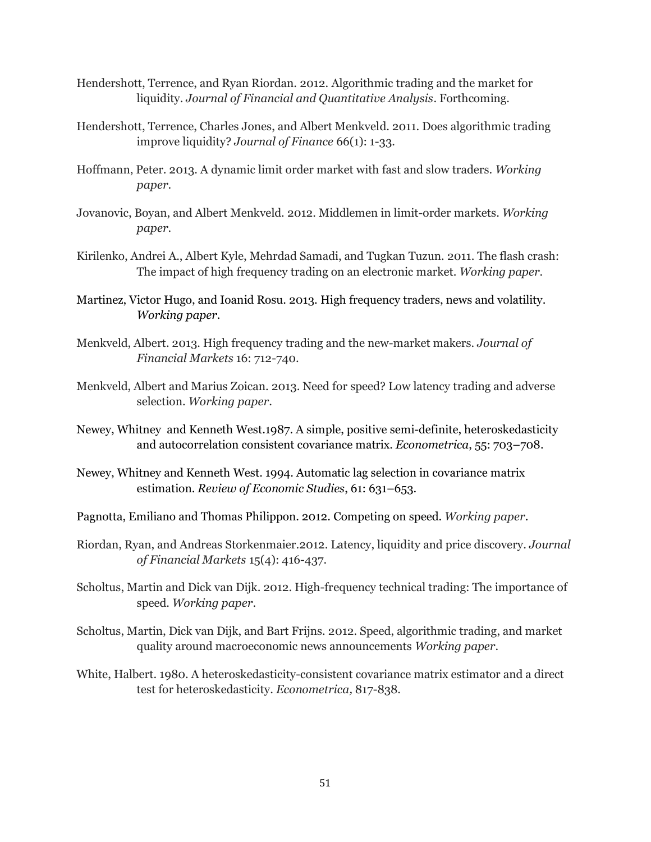- Hendershott, Terrence, and Ryan Riordan. 2012. Algorithmic trading and the market for liquidity. *Journal of Financial and Quantitative Analysis*. Forthcoming.
- Hendershott, Terrence, Charles Jones, and Albert Menkveld. 2011. Does algorithmic trading improve liquidity? *Journal of Finance* 66(1): 1-33.
- Hoffmann, Peter. 2013. A dynamic limit order market with fast and slow traders. *Working paper*.
- Jovanovic, Boyan, and Albert Menkveld. 2012. Middlemen in limit-order markets. *Working paper*.
- Kirilenko, Andrei A., Albert Kyle, Mehrdad Samadi, and Tugkan Tuzun. 2011. The flash crash: The impact of high frequency trading on an electronic market. *Working paper*.
- Martinez, Victor Hugo, and Ioanid Rosu. 2013. High frequency traders, news and volatility. *Working paper*.
- Menkveld, Albert. 2013. High frequency trading and the new-market makers. *Journal of Financial Markets* 16: 712-740.
- Menkveld, Albert and Marius Zoican. 2013. Need for speed? Low latency trading and adverse selection. *Working paper*.
- Newey, Whitney and Kenneth West.1987. A simple, positive semi-definite, heteroskedasticity and autocorrelation consistent covariance matrix. *Econometrica*, 55: 703–708.
- Newey, Whitney and Kenneth West. 1994. Automatic lag selection in covariance matrix estimation. *Review of Economic Studies*, 61: 631–653.
- Pagnotta, Emiliano and Thomas Philippon. 2012. Competing on speed. *Working paper*.
- Riordan, Ryan, and Andreas Storkenmaier.2012. Latency, liquidity and price discovery. *Journal of Financial Markets* 15(4): 416-437.
- Scholtus, Martin and Dick van Dijk. 2012. High-frequency technical trading: The importance of speed. *Working paper*.
- Scholtus, Martin, Dick van Dijk, and Bart Frijns. 2012. Speed, algorithmic trading, and market quality around macroeconomic news announcements *Working paper*.
- White, Halbert. 1980. A heteroskedasticity-consistent covariance matrix estimator and a direct test for heteroskedasticity. *Econometrica,* 817-838.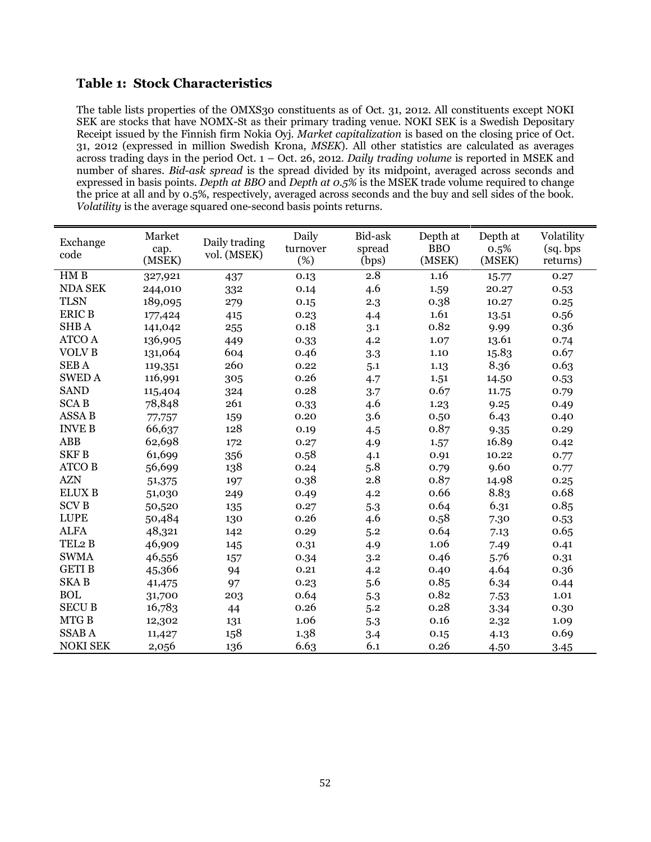# **Table 1: Stock Characteristics**

The table lists properties of the OMXS30 constituents as of Oct. 31, 2012. All constituents except NOKI SEK are stocks that have NOMX-St as their primary trading venue. NOKI SEK is a Swedish Depositary Receipt issued by the Finnish firm Nokia Oyj. *Market capitalization* is based on the closing price of Oct. 31, 2012 (expressed in million Swedish Krona, *MSEK*). All other statistics are calculated as averages across trading days in the period Oct. 1 – Oct. 26, 2012. *Daily trading volume* is reported in MSEK and number of shares. *Bid-ask spread* is the spread divided by its midpoint, averaged across seconds and expressed in basis points. *Depth at BBO* and *Depth at 0.5%* is the MSEK trade volume required to change the price at all and by 0.5%, respectively, averaged across seconds and the buy and sell sides of the book. *Volatility* is the average squared one-second basis points returns.

| Exchange<br>code | Market<br>cap.<br>(MSEK) | Daily trading<br>vol. (MSEK) | Daily<br>turnover<br>(%) | Bid-ask<br>spread<br>(bps) | Depth at<br><b>BBO</b><br>(MSEK) | Depth at<br>$0.5\%$<br>(MSEK) | Volatility<br>(sq. bps<br>returns) |
|------------------|--------------------------|------------------------------|--------------------------|----------------------------|----------------------------------|-------------------------------|------------------------------------|
| HM B             | 327,921                  | 437                          | 0.13                     | 2.8                        | 1.16                             | 15.77                         | 0.27                               |
| <b>NDA SEK</b>   | 244,010                  | 332                          | 0.14                     | 4.6                        | 1.59                             | 20.27                         | 0.53                               |
| <b>TLSN</b>      | 189,095                  | 279                          | 0.15                     | 2.3                        | 0.38                             | 10.27                         | 0.25                               |
| <b>ERIC B</b>    | 177,424                  | 415                          | 0.23                     | 4.4                        | 1.61                             | 13.51                         | 0.56                               |
| SHB A            | 141,042                  | 255                          | 0.18                     | 3.1                        | 0.82                             | 9.99                          | 0.36                               |
| <b>ATCO A</b>    | 136,905                  | 449                          | 0.33                     | 4.2                        | 1.07                             | 13.61                         | 0.74                               |
| <b>VOLVB</b>     | 131,064                  | 604                          | 0.46                     | 3.3                        | 1.10                             | 15.83                         | 0.67                               |
| <b>SEBA</b>      | 119,351                  | 260                          | 0.22                     | 5.1                        | 1.13                             | 8.36                          | 0.63                               |
| <b>SWED A</b>    | 116,991                  | 305                          | 0.26                     | 4.7                        | 1.51                             | 14.50                         | 0.53                               |
| <b>SAND</b>      | 115,404                  | 324                          | 0.28                     | 3.7                        | 0.67                             | 11.75                         | 0.79                               |
| <b>SCAB</b>      | 78,848                   | 261                          | 0.33                     | 4.6                        | 1.23                             | 9.25                          | 0.49                               |
| <b>ASSA B</b>    | 77,757                   | 159                          | 0.20                     | 3.6                        | 0.50                             | 6.43                          | 0.40                               |
| <b>INVE B</b>    | 66,637                   | 128                          | 0.19                     | 4.5                        | 0.87                             | 9.35                          | 0.29                               |
| <b>ABB</b>       | 62,698                   | 172                          | 0.27                     | 4.9                        | 1.57                             | 16.89                         | 0.42                               |
| <b>SKFB</b>      | 61,699                   | 356                          | 0.58                     | 4.1                        | 0.91                             | 10.22                         | 0.77                               |
| <b>ATCO B</b>    | 56,699                   | 138                          | 0.24                     | 5.8                        | 0.79                             | 9.60                          | 0.77                               |
| <b>AZN</b>       | 51,375                   | 197                          | 0.38                     | 2.8                        | 0.87                             | 14.98                         | 0.25                               |
| <b>ELUX B</b>    | 51,030                   | 249                          | 0.49                     | 4.2                        | 0.66                             | 8.83                          | 0.68                               |
| <b>SCVB</b>      | 50,520                   | 135                          | 0.27                     | 5.3                        | 0.64                             | 6.31                          | 0.85                               |
| <b>LUPE</b>      | 50,484                   | 130                          | 0.26                     | 4.6                        | 0.58                             | 7.30                          | 0.53                               |
| <b>ALFA</b>      | 48,321                   | 142                          | 0.29                     | 5.2                        | 0.64                             | 7.13                          | 0.65                               |
| TEL2 B           | 46,909                   | 145                          | 0.31                     | 4.9                        | 1.06                             | 7.49                          | 0.41                               |
| <b>SWMA</b>      | 46,556                   | 157                          | 0.34                     | 3.2                        | 0.46                             | 5.76                          | 0.31                               |
| <b>GETIB</b>     | 45,366                   | 94                           | 0.21                     | 4.2                        | 0.40                             | 4.64                          | 0.36                               |
| <b>SKAB</b>      | 41,475                   | 97                           | 0.23                     | 5.6                        | 0.85                             | 6.34                          | 0.44                               |
| <b>BOL</b>       | 31,700                   | 203                          | 0.64                     | 5.3                        | 0.82                             | 7.53                          | 1.01                               |
| <b>SECU B</b>    | 16,783                   | 44                           | 0.26                     | 5.2                        | 0.28                             | 3.34                          | 0.30                               |
| MTG B            | 12,302                   | 131                          | 1.06                     | 5.3                        | 0.16                             | 2.32                          | 1.09                               |
| <b>SSABA</b>     | 11,427                   | 158                          | 1.38                     | 3.4                        | 0.15                             | 4.13                          | 0.69                               |
| <b>NOKI SEK</b>  | 2,056                    | 136                          | 6.63                     | 6.1                        | 0.26                             | 4.50                          | 3.45                               |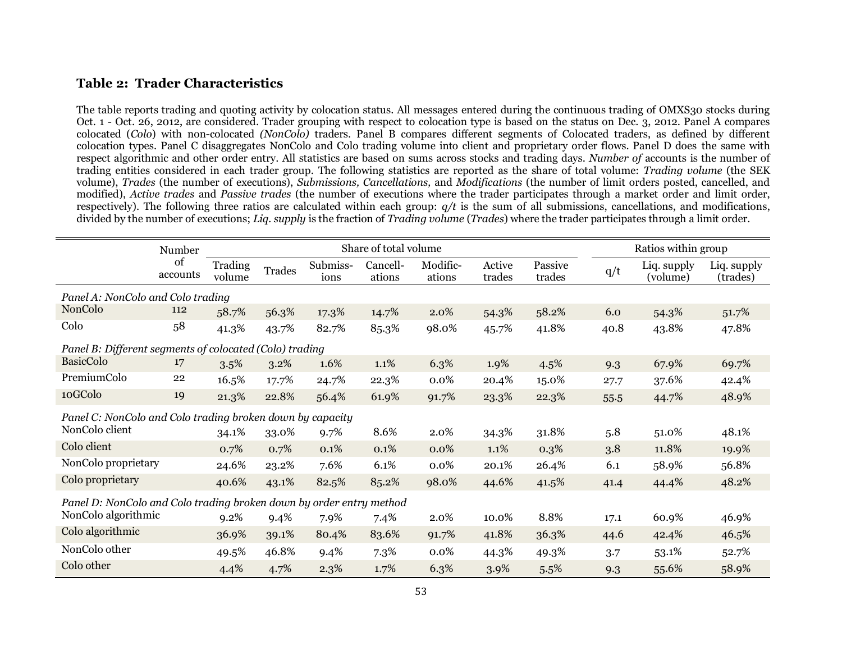# **Table 2: Trader Characteristics**

The table reports trading and quoting activity by colocation status. All messages entered during the continuous trading of OMXS30 stocks during Oct. 1 - Oct. 26, 2012, are considered. Trader grouping with respect to colocation type is based on the status on Dec. 3, 2012. Panel A compares colocated (*Colo*) with non-colocated *(NonColo)* traders. Panel B compares different segments of Colocated traders, as defined by different colocation types. Panel C disaggregates NonColo and Colo trading volume into client and proprietary order flows. Panel D does the same with respect algorithmic and other order entry. All statistics are based on sums across stocks and trading days. *Number of* accounts is the number of trading entities considered in each trader group. The following statistics are reported as the share of total volume: *Trading volume* (the SEK volume), *Trades* (the number of executions), *Submissions, Cancellations,* and *Modifications* (the number of limit orders posted, cancelled, and modified), *Active trades* and *Passive trades* (the number of executions where the trader participates through a market order and limit order, respectively). The following three ratios are calculated within each group: *q/t* is the sum of all submissions, cancellations, and modifications, divided by the number of executions; *Liq. supply* is the fraction of *Trading volume* (*Trades*) where the trader participates through a limit order.

|                                                                     | Number         |                   |               |                  | Share of total volume |                    |                  |                   |      | Ratios within group     |                         |  |
|---------------------------------------------------------------------|----------------|-------------------|---------------|------------------|-----------------------|--------------------|------------------|-------------------|------|-------------------------|-------------------------|--|
|                                                                     | of<br>accounts | Trading<br>volume | <b>Trades</b> | Submiss-<br>ions | Cancell-<br>ations    | Modific-<br>ations | Active<br>trades | Passive<br>trades | q/t  | Liq. supply<br>(volume) | Liq. supply<br>(trades) |  |
| Panel A: NonColo and Colo trading                                   |                |                   |               |                  |                       |                    |                  |                   |      |                         |                         |  |
| NonColo                                                             | 112            | 58.7%             | 56.3%         | 17.3%            | 14.7%                 | 2.0%               | 54.3%            | 58.2%             | 6.0  | 54.3%                   | 51.7%                   |  |
| Colo                                                                | 58             | 41.3%             | 43.7%         | 82.7%            | 85.3%                 | 98.0%              | 45.7%            | 41.8%             | 40.8 | 43.8%                   | 47.8%                   |  |
| Panel B: Different segments of colocated (Colo) trading             |                |                   |               |                  |                       |                    |                  |                   |      |                         |                         |  |
| <b>BasicColo</b>                                                    | 17             | 3.5%              | 3.2%          | 1.6%             | 1.1%                  | 6.3%               | 1.9%             | 4.5%              | 9.3  | 67.9%                   | 69.7%                   |  |
| PremiumColo                                                         | 22             | 16.5%             | 17.7%         | 24.7%            | 22.3%                 | 0.0%               | 20.4%            | 15.0%             | 27.7 | 37.6%                   | 42.4%                   |  |
| 10GColo                                                             | 19             | 21.3%             | 22.8%         | 56.4%            | 61.9%                 | 91.7%              | 23.3%            | 22.3%             | 55.5 | 44.7%                   | 48.9%                   |  |
| Panel C: NonColo and Colo trading broken down by capacity           |                |                   |               |                  |                       |                    |                  |                   |      |                         |                         |  |
| NonColo client                                                      |                | 34.1%             | 33.0%         | 9.7%             | 8.6%                  | 2.0%               | 34.3%            | 31.8%             | 5.8  | 51.0%                   | 48.1%                   |  |
| Colo client                                                         |                | 0.7%              | 0.7%          | 0.1%             | 0.1%                  | 0.0%               | $1.1\%$          | $0.3\%$           | 3.8  | 11.8%                   | 19.9%                   |  |
| NonColo proprietary                                                 |                | 24.6%             | 23.2%         | 7.6%             | 6.1%                  | $0.0\%$            | 20.1%            | 26.4%             | 6.1  | 58.9%                   | 56.8%                   |  |
| Colo proprietary                                                    |                | 40.6%             | 43.1%         | 82.5%            | 85.2%                 | 98.0%              | 44.6%            | 41.5%             | 41.4 | 44.4%                   | 48.2%                   |  |
| Panel D: NonColo and Colo trading broken down by order entry method |                |                   |               |                  |                       |                    |                  |                   |      |                         |                         |  |
| NonColo algorithmic                                                 |                | 9.2%              | 9.4%          | 7.9%             | 7.4%                  | 2.0%               | 10.0%            | 8.8%              | 17.1 | 60.9%                   | 46.9%                   |  |
| Colo algorithmic                                                    |                | 36.9%             | 39.1%         | 80.4%            | 83.6%                 | 91.7%              | 41.8%            | 36.3%             | 44.6 | 42.4%                   | 46.5%                   |  |
| NonColo other                                                       |                | 49.5%             | 46.8%         | 9.4%             | 7.3%                  | 0.0%               | 44.3%            | 49.3%             | 3.7  | 53.1%                   | 52.7%                   |  |
| Colo other                                                          |                | 4.4%              | 4.7%          | 2.3%             | 1.7%                  | 6.3%               | 3.9%             | 5.5%              | 9.3  | 55.6%                   | 58.9%                   |  |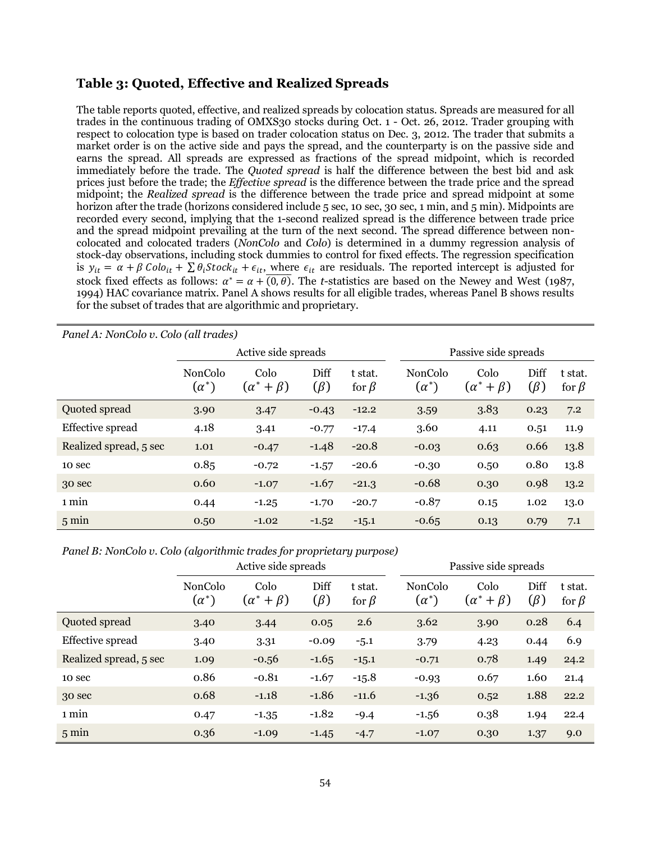# **Table 3: Quoted, Effective and Realized Spreads**

The table reports quoted, effective, and realized spreads by colocation status. Spreads are measured for all trades in the continuous trading of OMXS30 stocks during Oct. 1 - Oct. 26, 2012. Trader grouping with respect to colocation type is based on trader colocation status on Dec. 3, 2012. The trader that submits a market order is on the active side and pays the spread, and the counterparty is on the passive side and earns the spread. All spreads are expressed as fractions of the spread midpoint, which is recorded immediately before the trade. The *Quoted spread* is half the difference between the best bid and ask prices just before the trade; the *Effective spread* is the difference between the trade price and the spread midpoint; the *Realized spread* is the difference between the trade price and spread midpoint at some horizon after the trade (horizons considered include 5 sec, 10 sec, 30 sec, 1 min, and 5 min). Midpoints are recorded every second, implying that the 1-second realized spread is the difference between trade price and the spread midpoint prevailing at the turn of the next second. The spread difference between noncolocated and colocated traders (*NonColo* and *Colo*) is determined in a dummy regression analysis of stock-day observations, including stock dummies to control for fixed effects. The regression specification is  $y_{it} = \alpha + \beta Col_{it} + \sum \theta_i Stock_{it} + \epsilon_{it}$ , where  $\epsilon_{it}$  are residuals. The reported intercept is adjusted for stock fixed effects as follows:  $\alpha^* = \alpha + \overline{(0, \theta)}$ . The *t*-statistics are based on the Newey and West (1987, 1994) HAC covariance matrix. Panel A shows results for all eligible trades, whereas Panel B shows results for the subset of trades that are algorithmic and proprietary.

| Panel A: NonColo v. Colo (all trades) |                                |                              |                   |                        |                                |                              |                   |                        |  |
|---------------------------------------|--------------------------------|------------------------------|-------------------|------------------------|--------------------------------|------------------------------|-------------------|------------------------|--|
|                                       |                                | Active side spreads          |                   |                        |                                | Passive side spreads         |                   |                        |  |
|                                       | <b>NonColo</b><br>$(\alpha^*)$ | Colo<br>$(\alpha^* + \beta)$ | Diff<br>$(\beta)$ | t stat.<br>for $\beta$ | <b>NonColo</b><br>$(\alpha^*)$ | Colo<br>$(\alpha^* + \beta)$ | Diff<br>$(\beta)$ | t stat.<br>for $\beta$ |  |
| Quoted spread                         | 3.90                           | 3.47                         | $-0.43$           | $-12.2$                | 3.59                           | 3.83                         | 0.23              | 7.2                    |  |
| Effective spread                      | 4.18                           | 3.41                         | $-0.77$           | $-17.4$                | 3.60                           | 4.11                         | 0.51              | 11.9                   |  |
| Realized spread, 5 sec                | 1.01                           | $-0.47$                      | $-1.48$           | $-20.8$                | $-0.03$                        | 0.63                         | 0.66              | 13.8                   |  |
| 10 sec                                | 0.85                           | $-0.72$                      | $-1.57$           | $-20.6$                | $-0.30$                        | 0.50                         | 0.80              | 13.8                   |  |
| 30 sec                                | 0.60                           | $-1.07$                      | $-1.67$           | $-21.3$                | $-0.68$                        | 0.30                         | 0.98              | 13.2                   |  |
| 1 min                                 | 0.44                           | $-1.25$                      | $-1.70$           | $-20.7$                | $-0.87$                        | 0.15                         | 1.02              | 13.0                   |  |
| $5 \text{ min}$                       | 0.50                           | $-1.02$                      | $-1.52$           | $-15.1$                | $-0.65$                        | 0.13                         | 0.79              | 7.1                    |  |

*Panel B: NonColo v. Colo (algorithmic trades for proprietary purpose)*

|                        |                         | Active side spreads                |                   |                        |                                | Passive side spreads             |                   |                        |  |
|------------------------|-------------------------|------------------------------------|-------------------|------------------------|--------------------------------|----------------------------------|-------------------|------------------------|--|
|                        | NonColo<br>$(\alpha^*)$ | Colo<br>$+\beta$ )<br>( $\alpha^*$ | Diff<br>$(\beta)$ | t stat.<br>for $\beta$ | <b>NonColo</b><br>$(\alpha^*)$ | Colo<br>$+\beta$ )<br>$\alpha^*$ | Diff<br>$(\beta)$ | t stat.<br>for $\beta$ |  |
| Quoted spread          | 3.40                    | 3.44                               | 0.05              | 2.6                    | 3.62                           | 3.90                             | 0.28              | 6.4                    |  |
| Effective spread       | 3.40                    | 3.31                               | $-0.09$           | $-5.1$                 | 3.79                           | 4.23                             | 0.44              | 6.9                    |  |
| Realized spread, 5 sec | 1.09                    | $-0.56$                            | $-1.65$           | $-15.1$                | $-0.71$                        | 0.78                             | 1.49              | 24.2                   |  |
| 10 sec                 | 0.86                    | $-0.81$                            | $-1.67$           | $-15.8$                | $-0.93$                        | 0.67                             | 1.60              | 21.4                   |  |
| 30 sec                 | 0.68                    | $-1.18$                            | $-1.86$           | $-11.6$                | $-1.36$                        | 0.52                             | 1.88              | 22.2                   |  |
| 1 min                  | 0.47                    | $-1.35$                            | $-1.82$           | $-9.4$                 | $-1.56$                        | 0.38                             | 1.94              | 22.4                   |  |
| $5 \text{ min}$        | 0.36                    | $-1.09$                            | $-1.45$           | $-4.7$                 | $-1.07$                        | 0.30                             | 1.37              | 9.0                    |  |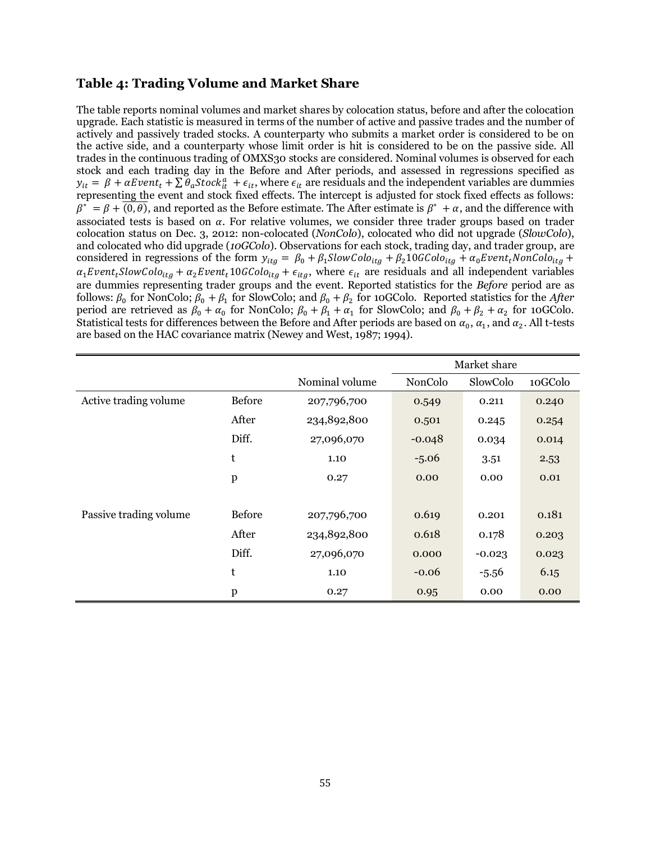# **Table 4: Trading Volume and Market Share**

The table reports nominal volumes and market shares by colocation status, before and after the colocation upgrade. Each statistic is measured in terms of the number of active and passive trades and the number of actively and passively traded stocks. A counterparty who submits a market order is considered to be on the active side, and a counterparty whose limit order is hit is considered to be on the passive side. All trades in the continuous trading of OMXS30 stocks are considered. Nominal volumes is observed for each stock and each trading day in the Before and After periods, and assessed in regressions specified as  $y_{it} = \beta + \alpha Event_t + \sum \theta_a Stock_{it}^a + \epsilon_{it}$ , where  $\epsilon_{it}$  are residuals and the independent variables are dummies representing the event and stock fixed effects. The intercept is adjusted for stock fixed effects as follows:  $\beta^* = \beta + \overline{(0,\theta)}$ , and reported as the Before estimate. The After estimate is  $\beta^* + \alpha$ , and the difference with associated tests is based on  $\alpha$ . For relative volumes, we consider three trader groups based on trader colocation status on Dec. 3, 2012: non-colocated (*NonColo*), colocated who did not upgrade (*SlowColo*), and colocated who did upgrade (*10GColo*). Observations for each stock, trading day, and trader group, are considered in regressions of the form  $\alpha_1$ Event<sub>t</sub>SlowColo<sub>ita</sub> +  $\alpha_2$ Event<sub>t</sub>10GColo<sub>ita</sub> +  $\epsilon_{ita}$ , where  $\epsilon_{it}$  are residuals and all independent variables are dummies representing trader groups and the event. Reported statistics for the *Before* period are as follows:  $\beta_0$  for NonColo;  $\beta_0 + \beta_1$  for SlowColo; and  $\beta_0 + \beta_2$  for 10GColo. Reported statistics for the *After* period are retrieved as  $\beta_0 + \alpha_0$  for NonColo;  $\beta_0 + \beta_1 + \alpha_1$  for SlowColo; and  $\beta_0 + \beta_2 + \alpha_2$  for 10GColo. Statistical tests for differences between the Before and After periods are based on  $\alpha_0$ ,  $\alpha_1$ , and  $\alpha_2$ . All t-tests are based on the HAC covariance matrix (Newey and West, 1987; 1994).

|                        |               |                | Market share |          |         |
|------------------------|---------------|----------------|--------------|----------|---------|
|                        |               | Nominal volume | NonColo      | SlowColo | 10GColo |
| Active trading volume  | <b>Before</b> | 207,796,700    | 0.549        | 0.211    | 0.240   |
|                        | After         | 234,892,800    | 0.501        | 0.245    | 0.254   |
|                        | Diff.         | 27,096,070     | $-0.048$     | 0.034    | 0.014   |
|                        | t             | 1.10           | $-5.06$      | 3.51     | 2.53    |
|                        | $\mathbf{p}$  | 0.27           | 0.00         | 0.00     | 0.01    |
|                        |               |                |              |          |         |
| Passive trading volume | <b>Before</b> | 207,796,700    | 0.619        | 0.201    | 0.181   |
|                        | After         | 234,892,800    | 0.618        | 0.178    | 0.203   |
|                        | Diff.         | 27,096,070     | 0.000        | $-0.023$ | 0.023   |
|                        | t             | 1.10           | $-0.06$      | $-5.56$  | 6.15    |
|                        | $\mathbf{p}$  | 0.27           | 0.95         | 0.00     | 0.00    |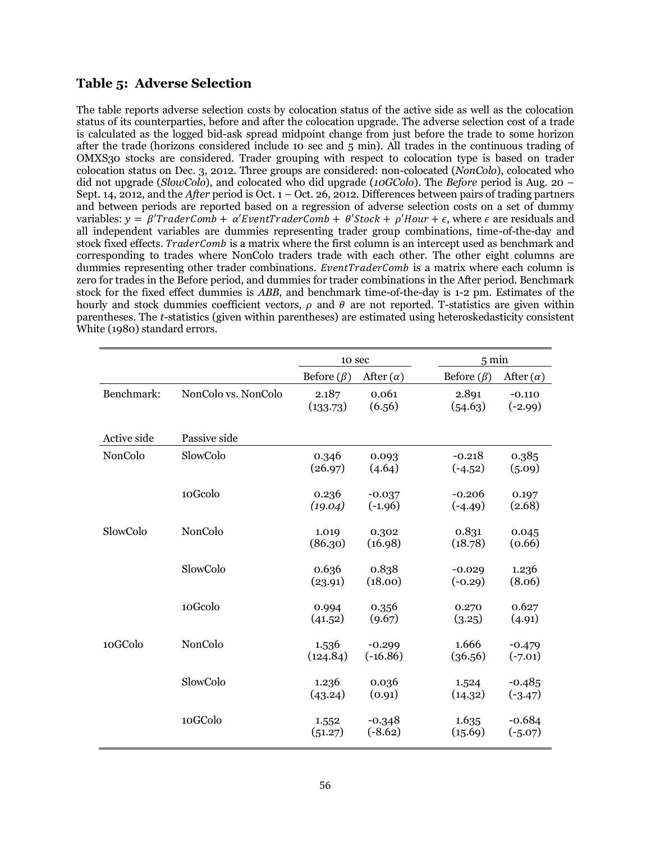# **Table 5: Adverse Selection**

The table reports adverse selection costs by colocation status of the active side as well as the colocation status of its counterparties, before and after the colocation upgrade. The adverse selection cost of a trade is calculated as the logged bid-ask spread midpoint change from just before the trade to some horizon after the trade (horizons considered include 10 sec and 5 min). All trades in the continuous trading of OMXS30 stocks are considered. Trader grouping with respect to colocation type is based on trader colocation status on Dec. 3, 2012. Three groups are considered: non-colocated (*NonColo*), colocated who did not upgrade (*SlowColo*), and colocated who did upgrade (*10GColo*). The *Before* period is Aug. 20 – Sept. 14, 2012, and the *After* period is Oct. 1 – Oct. 26, 2012. Differences between pairs of trading partners and between periods are reported based on a regression of adverse selection costs on a set of dummy variables:  $v = \beta' TraderComb + \alpha' EventTraderComb + \theta' Stock + \rho'Hour + \epsilon$ , where  $\epsilon$  are residuals and all independent variables are dummies representing trader group combinations, time-of-the-day and stock fixed effects. TraderComb is a matrix where the first column is an intercept used as benchmark and corresponding to trades where NonColo traders trade with each other. The other eight columns are dummies representing other trader combinations.  $EventTraderComb$  is a matrix where each column is zero for trades in the Before period, and dummies for trader combinations in the After period. Benchmark stock for the fixed effect dummies is *ABB*, and benchmark time-of-the-day is 1-2 pm. Estimates of the hourly and stock dummies coefficient vectors,  $\rho$  and  $\theta$  are not reported. T-statistics are given within parentheses. The *t*-statistics (given within parentheses) are estimated using heteroskedasticity consistent White (1980) standard errors.

|             |                     | 10 sec            |                        | $5 \text{ min}$       |                       |
|-------------|---------------------|-------------------|------------------------|-----------------------|-----------------------|
|             |                     | Before $(\beta)$  | After $(\alpha)$       | Before $(\beta)$      | After $(\alpha)$      |
| Benchmark:  | NonColo vs. NonColo | 2.187<br>(133.73) | 0.061<br>(6.56)        | 2.891<br>(54.63)      | $-0.110$<br>$(-2.99)$ |
| Active side | Passive side        |                   |                        |                       |                       |
| NonColo     | SlowColo            | 0.346<br>(26.97)  | 0.093<br>(4.64)        | $-0.218$<br>$(-4.52)$ | 0.385<br>(5.09)       |
|             | 10Gcolo             | 0.236<br>(19.04)  | $-0.037$<br>$(-1.96)$  | $-0.206$<br>$(-4.49)$ | 0.197<br>(2.68)       |
| SlowColo    | NonColo             | 1.019<br>(86.30)  | 0.302<br>(16.98)       | 0.831<br>(18.78)      | 0.045<br>(0.66)       |
|             | SlowColo            | 0.636<br>(23.91)  | 0.838<br>(18.00)       | $-0.029$<br>$(-0.29)$ | 1.236<br>(8.06)       |
|             | 10Gcolo             | 0.994<br>(41.52)  | 0.356<br>(9.67)        | 0.270<br>(3.25)       | 0.627<br>(4.91)       |
| 10GColo     | NonColo             | 1.536<br>(124.84) | $-0.299$<br>$(-16.86)$ | 1.666<br>(36.56)      | $-0.479$<br>$(-7.01)$ |
|             | SlowColo            | 1.236<br>(43.24)  | 0.036<br>(0.91)        | 1.524<br>(14.32)      | $-0.485$<br>$(-3.47)$ |
|             | 10GColo             | 1.552<br>(51.27)  | $-0.348$<br>$(-8.62)$  | 1.635<br>(15.69)      | $-0.684$<br>$(-5.07)$ |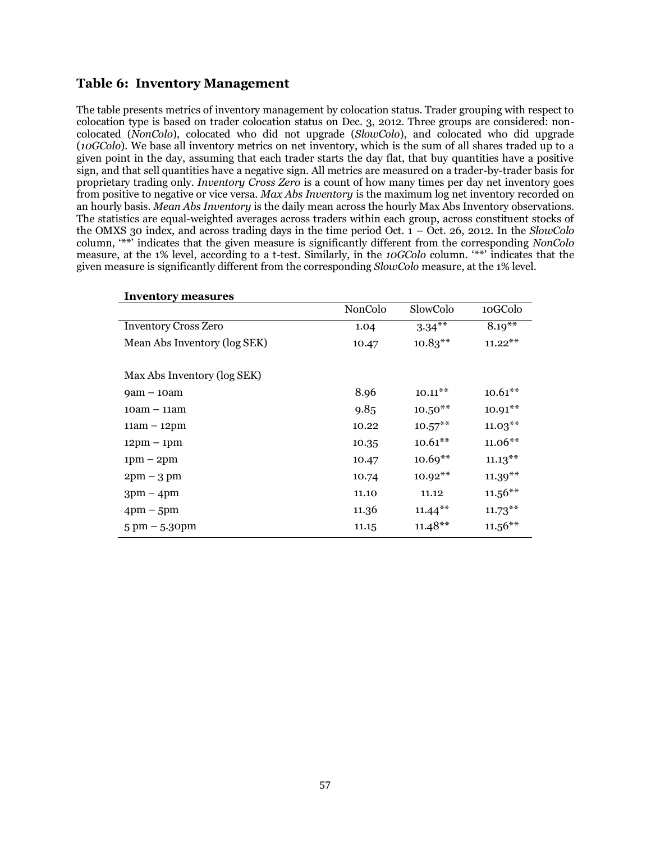# **Table 6: Inventory Management**

The table presents metrics of inventory management by colocation status. Trader grouping with respect to colocation type is based on trader colocation status on Dec. 3, 2012. Three groups are considered: noncolocated (*NonColo*), colocated who did not upgrade (*SlowColo*), and colocated who did upgrade (*10GColo*). We base all inventory metrics on net inventory, which is the sum of all shares traded up to a given point in the day, assuming that each trader starts the day flat, that buy quantities have a positive sign, and that sell quantities have a negative sign. All metrics are measured on a trader-by-trader basis for proprietary trading only. *Inventory Cross Zero* is a count of how many times per day net inventory goes from positive to negative or vice versa. *Max Abs Inventory* is the maximum log net inventory recorded on an hourly basis. *Mean Abs Inventory* is the daily mean across the hourly Max Abs Inventory observations. The statistics are equal-weighted averages across traders within each group, across constituent stocks of the OMXS 30 index, and across trading days in the time period Oct.  $1 - \overrightarrow{Oct}$ . 26, 2012. In the *SlowColo* column, "\*\*" indicates that the given measure is significantly different from the corresponding *NonColo* measure, at the 1% level, according to a t-test. Similarly, in the *10GColo* column. "\*\*" indicates that the given measure is significantly different from the corresponding *SlowColo* measure, at the 1% level.

| <b>Inventory measures</b>       |         |            |            |
|---------------------------------|---------|------------|------------|
|                                 | NonColo | SlowColo   | 10GColo    |
| <b>Inventory Cross Zero</b>     | 1.04    | $3.34***$  | $8.19***$  |
| Mean Abs Inventory (log SEK)    | 10.47   | $10.83***$ | $11.22***$ |
|                                 |         |            |            |
| Max Abs Inventory (log SEK)     |         |            |            |
| $\gamma$ am – 10am              | 8.96    | $10.11***$ | $10.61***$ |
| $10am - 11am$                   | 9.85    | $10.50**$  | $10.91**$  |
| $11am - 12pm$                   | 10.22   | $10.57***$ | $11.03***$ |
| $12\text{pm} - 1\text{pm}$      | 10.35   | $10.61**$  | $11.06**$  |
| $1pm - 2pm$                     | 10.47   | $10.69**$  | $11.13***$ |
| $2pm - 3pm$                     | 10.74   | $10.92**$  | $11.39***$ |
| $3pm - 4pm$                     | 11.10   | 11.12      | $11.56***$ |
| $4 \text{pm} - 5 \text{pm}$     | 11.36   | $11.44***$ | $11.73***$ |
| $5 \text{ pm} - 5.30 \text{pm}$ | 11.15   | $11.48**$  | $11.56***$ |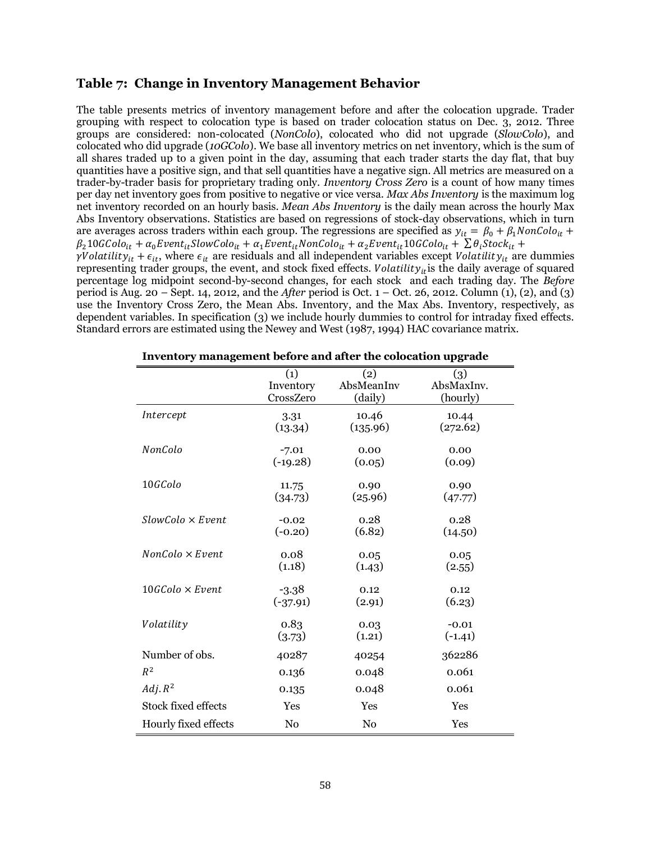# **Table 7: Change in Inventory Management Behavior**

The table presents metrics of inventory management before and after the colocation upgrade. Trader grouping with respect to colocation type is based on trader colocation status on Dec. 3, 2012. Three groups are considered: non-colocated (*NonColo*), colocated who did not upgrade (*SlowColo*), and colocated who did upgrade (*10GColo*). We base all inventory metrics on net inventory, which is the sum of all shares traded up to a given point in the day, assuming that each trader starts the day flat, that buy quantities have a positive sign, and that sell quantities have a negative sign. All metrics are measured on a trader-by-trader basis for proprietary trading only. *Inventory Cross Zero* is a count of how many times per day net inventory goes from positive to negative or vice versa. *Max Abs Inventory* is the maximum log net inventory recorded on an hourly basis. *Mean Abs Inventory* is the daily mean across the hourly Max Abs Inventory observations. Statistics are based on regressions of stock-day observations, which in turn are averages across traders within each group. The regressions are specified as  $y_{it} = \beta_0 + \beta_1 N on \text{Colo}_{it} +$  $\beta_2$ 10GColo<sub>it</sub> +  $\alpha_0$ Event<sub>it</sub>SlowColo<sub>it</sub> +  $\alpha_1$ Event<sub>it</sub>NonColo<sub>it</sub> +  $\alpha_2$ Event<sub>it</sub>10GColo<sub>it</sub> +  $\sum \theta_i$ Stock<sub>it</sub> +  $\gamma$ Volatilit $y_{it} + \epsilon_{it}$ , where  $\epsilon_{it}$  are residuals and all independent variables except Volatilit $y_{it}$  are dummies representing trader groups, the event, and stock fixed effects. Volatility<sub>it</sub> is the daily average of squared percentage log midpoint second-by-second changes, for each stock and each trading day. The *Before* period is Aug. 20 – Sept. 14, 2012, and the *After* period is Oct. 1 – Oct. 26, 2012. Column (1), (2), and (3) use the Inventory Cross Zero, the Mean Abs. Inventory, and the Max Abs. Inventory, respectively, as dependent variables. In specification (3) we include hourly dummies to control for intraday fixed effects. Standard errors are estimated using the Newey and West (1987, 1994) HAC covariance matrix.

| Inventory management before and after the colocation upgrade |            |            |            |
|--------------------------------------------------------------|------------|------------|------------|
|                                                              | (1)        | (2)        | (3)        |
|                                                              | Inventory  | AbsMeanInv | AbsMaxInv. |
|                                                              | CrossZero  | (daily)    | (hourly)   |
| Intercept                                                    | 3.31       | 10.46      | 10.44      |
|                                                              | (13.34)    | (135.96)   | (272.62)   |
| NonColo                                                      | $-7.01$    | 0.00       | 0.00       |
|                                                              | $(-19.28)$ | (0.05)     | (0.09)     |
| $10$ GColo                                                   | 11.75      | 0.90       | 0.90       |
|                                                              | (34.73)    | (25.96)    | (47.77)    |
| $SlowColo \times Event$                                      | $-0.02$    | 0.28       | 0.28       |
|                                                              | $(-0.20)$  | (6.82)     | (14.50)    |
| $NonColo \times Event$                                       | 0.08       | 0.05       | 0.05       |
|                                                              | (1.18)     | (1.43)     | (2.55)     |
| $10GColo \times Event$                                       | $-3.38$    | 0.12       | 0.12       |
|                                                              | $(-37.91)$ | (2.91)     | (6.23)     |
| Volatility                                                   | 0.83       | 0.03       | $-0.01$    |
|                                                              | (3.73)     | (1.21)     | $(-1.41)$  |
| Number of obs.                                               | 40287      | 40254      | 362286     |
| $R^2$                                                        | 0.136      | 0.048      | 0.061      |
| $Adj. R^2$                                                   | 0.135      | 0.048      | 0.061      |
| Stock fixed effects                                          | Yes        | Yes        | Yes        |
| Hourly fixed effects                                         | No         | No         | Yes        |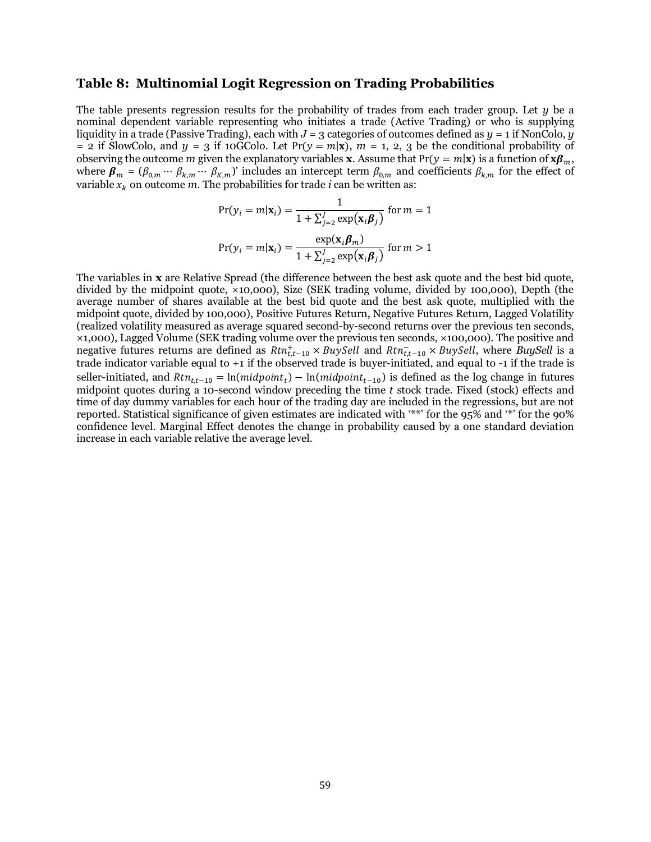# **Table 8: Multinomial Logit Regression on Trading Probabilities**

The table presents regression results for the probability of trades from each trader group. Let *y* be a nominal dependent variable representing who initiates a trade (Active Trading) or who is supplying liquidity in a trade (Passive Trading), each with  $J = 3$  categories of outcomes defined as  $y = 1$  if NonColo, *y* = 2 if SlowColo, and  $y = 3$  if 10GColo. Let  $Pr(y = m|x)$ ,  $m = 1, 2, 3$  be the conditional probability of observing the outcome *m* given the explanatory variables **x**. Assume that  $Pr(y = m|\mathbf{x})$  is a function of  $\mathbf{x}\beta_m$ , where  $\beta_m = (\beta_{0,m} \cdots \beta_{k,m} \cdots \beta_{k,m})'$  includes an intercept term  $\beta_{0,m}$  and coefficients  $\beta_{k,m}$  for the effect of variable  $x_k$  on outcome  $m$ . The probabilities for trade  $i$  can be written as:

$$
Pr(y_i = m | \mathbf{x}_i) = \frac{1}{1 + \sum_{j=2}^{J} exp(\mathbf{x}_i \boldsymbol{\beta}_j)} \text{ for } m = 1
$$
  

$$
Pr(y_i = m | \mathbf{x}_i) = \frac{exp(\mathbf{x}_i \boldsymbol{\beta}_m)}{1 + \sum_{j=2}^{J} exp(\mathbf{x}_i \boldsymbol{\beta}_j)} \text{ for } m > 1
$$

The variables in **x** are Relative Spread (the difference between the best ask quote and the best bid quote, divided by the midpoint quote, ×10,000), Size (SEK trading volume, divided by 100,000), Depth (the average number of shares available at the best bid quote and the best ask quote, multiplied with the midpoint quote, divided by 100,000), Positive Futures Return, Negative Futures Return, Lagged Volatility (realized volatility measured as average squared second-by-second returns over the previous ten seconds, ×1,000), Lagged Volume (SEK trading volume over the previous ten seconds, ×100,000). The positive and negative futures returns are defined as  $Rtn_{t,t-10}^{+} \times BuySell$  and  $Rtn_{t,t-10}^{-} \times BuySell$ , where BuySell is a trade indicator variable equal to +1 if the observed trade is buyer-initiated, and equal to -1 if the trade is seller-initiated, and  $Rtn_{tt-10} = ln(midpoint_t) - ln(midpoint_{t-10})$  is defined as the log change in futures midpoint quotes during a 10-second window preceding the time *t* stock trade. Fixed (stock) effects and time of day dummy variables for each hour of the trading day are included in the regressions, but are not reported. Statistical significance of given estimates are indicated with "\*\*" for the 95% and "\*" for the 90% confidence level. Marginal Effect denotes the change in probability caused by a one standard deviation increase in each variable relative the average level.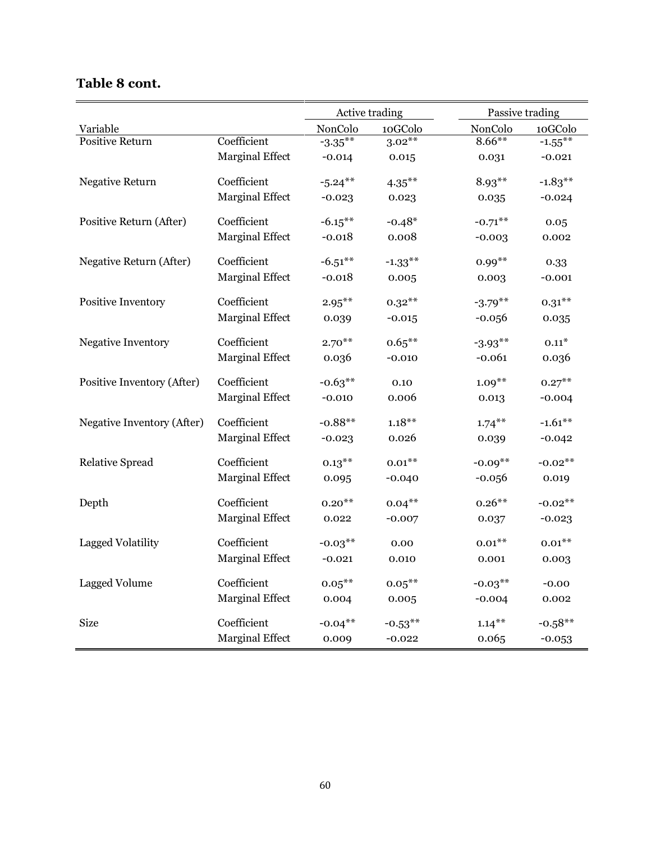| <b>Table 8 cont.</b> |  |  |
|----------------------|--|--|
|----------------------|--|--|

|                            |                        | Active trading |            | Passive trading |            |
|----------------------------|------------------------|----------------|------------|-----------------|------------|
| Variable                   |                        | NonColo        | 10GColo    | NonColo         | 10GColo    |
| Positive Return            | Coefficient            | $-3.35***$     | $3.02***$  | $8.66***$       | $-1.55***$ |
|                            | Marginal Effect        | $-0.014$       | 0.015      | 0.031           | $-0.021$   |
| <b>Negative Return</b>     | Coefficient            | $-5.24***$     | $4.35***$  | $8.93**$        | $-1.83**$  |
|                            | <b>Marginal Effect</b> | $-0.023$       | 0.023      | 0.035           | $-0.024$   |
| Positive Return (After)    | Coefficient            | $-6.15***$     | $-0.48*$   | $-0.71***$      | 0.05       |
|                            | <b>Marginal Effect</b> | $-0.018$       | 0.008      | $-0.003$        | 0.002      |
| Negative Return (After)    | Coefficient            | $-6.51***$     | $-1.33***$ | $0.99***$       | 0.33       |
|                            | <b>Marginal Effect</b> | $-0.018$       | 0.005      | 0.003           | $-0.001$   |
| Positive Inventory         | Coefficient            | $2.95***$      | $0.32***$  | $-3.79**$       | $0.31***$  |
|                            | <b>Marginal Effect</b> | 0.039          | $-0.015$   | $-0.056$        | 0.035      |
| Negative Inventory         | Coefficient            | $2.70**$       | $0.65***$  | $-3.93**$       | $0.11*$    |
|                            | <b>Marginal Effect</b> | 0.036          | $-0.010$   | $-0.061$        | 0.036      |
| Positive Inventory (After) | Coefficient            | $-0.63**$      | 0.10       | $1.09**$        | $0.27***$  |
|                            | <b>Marginal Effect</b> | $-0.010$       | 0.006      | 0.013           | $-0.004$   |
| Negative Inventory (After) | Coefficient            | $-0.88**$      | $1.18***$  | $1.74***$       | $-1.61***$ |
|                            | <b>Marginal Effect</b> | $-0.023$       | 0.026      | 0.039           | $-0.042$   |
| <b>Relative Spread</b>     | Coefficient            | $0.13***$      | $0.01***$  | $-0.09**$       | $-0.02**$  |
|                            | <b>Marginal Effect</b> | 0.095          | $-0.040$   | $-0.056$        | 0.019      |
| Depth                      | Coefficient            | $0.20**$       | $0.04***$  | $0.26***$       | $-0.02**$  |
|                            | <b>Marginal Effect</b> | 0.022          | $-0.007$   | 0.037           | $-0.023$   |
| Lagged Volatility          | Coefficient            | $-0.03***$     | 0.00       | $0.01***$       | $0.01***$  |
|                            | <b>Marginal Effect</b> | $-0.021$       | 0.010      | 0.001           | 0.003      |
| <b>Lagged Volume</b>       | Coefficient            | $0.05***$      | $0.05***$  | $-0.03***$      | $-0.00$    |
|                            | <b>Marginal Effect</b> | 0.004          | 0.005      | $-0.004$        | 0.002      |
| <b>Size</b>                | Coefficient            | $-0.04***$     | $-0.53***$ | $1.14***$       | $-0.58**$  |
|                            | Marginal Effect        | 0.009          | $-0.022$   | 0.065           | $-0.053$   |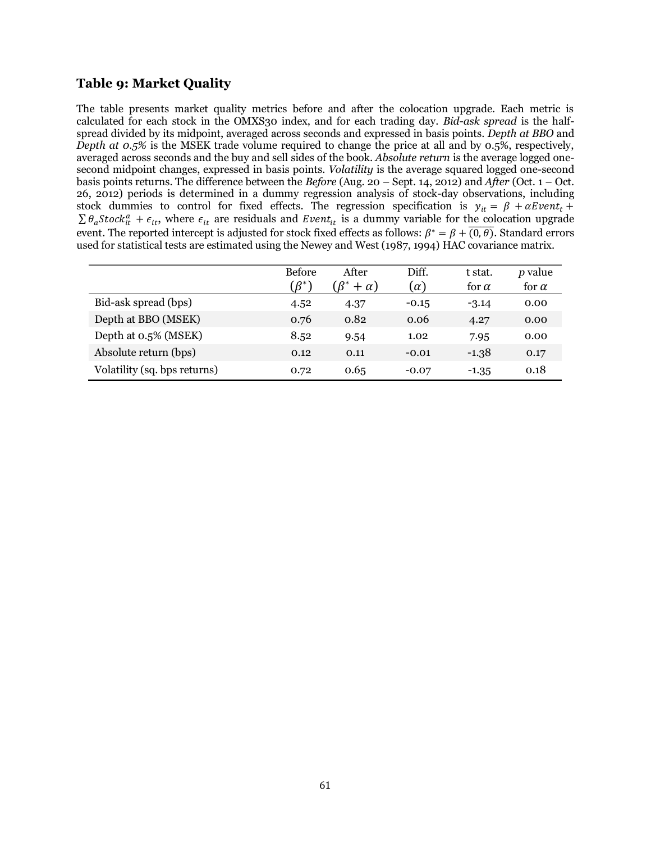# **Table 9: Market Quality**

The table presents market quality metrics before and after the colocation upgrade. Each metric is calculated for each stock in the OMXS30 index, and for each trading day. *Bid-ask spread* is the halfspread divided by its midpoint, averaged across seconds and expressed in basis points. *Depth at BBO* and *Depth at 0.5%* is the MSEK trade volume required to change the price at all and by 0.5%, respectively, averaged across seconds and the buy and sell sides of the book. *Absolute return* is the average logged onesecond midpoint changes, expressed in basis points. *Volatility* is the average squared logged one-second basis points returns. The difference between the *Before* (Aug. 20 – Sept. 14, 2012) and *After* (Oct. 1 – Oct. 26, 2012) periods is determined in a dummy regression analysis of stock-day observations, including stock dummies to control for fixed effects. The regression specification is  $\sum \theta_a Stock_{it}^a + \epsilon_{it}$ , where  $\epsilon_{it}$  are residuals and Event<sub>it</sub> is a dummy variable for the colocation upgrade event. The reported intercept is adjusted for stock fixed effects as follows:  $\beta^* = \beta + \overline{(0,\theta)}$ . Standard errors used for statistical tests are estimated using the Newey and West (1987, 1994) HAC covariance matrix.

|                              | <b>Before</b><br>$\beta^*$ | After<br>$R^*$<br>$+\alpha$ ) | Diff.<br>$(\alpha)$ | t stat.<br>for $\alpha$ | <i>p</i> value<br>for $\alpha$ |
|------------------------------|----------------------------|-------------------------------|---------------------|-------------------------|--------------------------------|
| Bid-ask spread (bps)         | 4.52                       | 4.37                          | $-0.15$             | $-3.14$                 | 0.00                           |
| Depth at BBO (MSEK)          | 0.76                       | 0.82                          | 0.06                | 4.27                    | 0.00                           |
| Depth at 0.5% (MSEK)         | 8.52                       | 9.54                          | 1.02                | 7.95                    | 0.00                           |
| Absolute return (bps)        | 0.12                       | 0.11                          | $-0.01$             | $-1.38$                 | 0.17                           |
| Volatility (sq. bps returns) | 0.72                       | 0.65                          | $-0.07$             | $-1.35$                 | 0.18                           |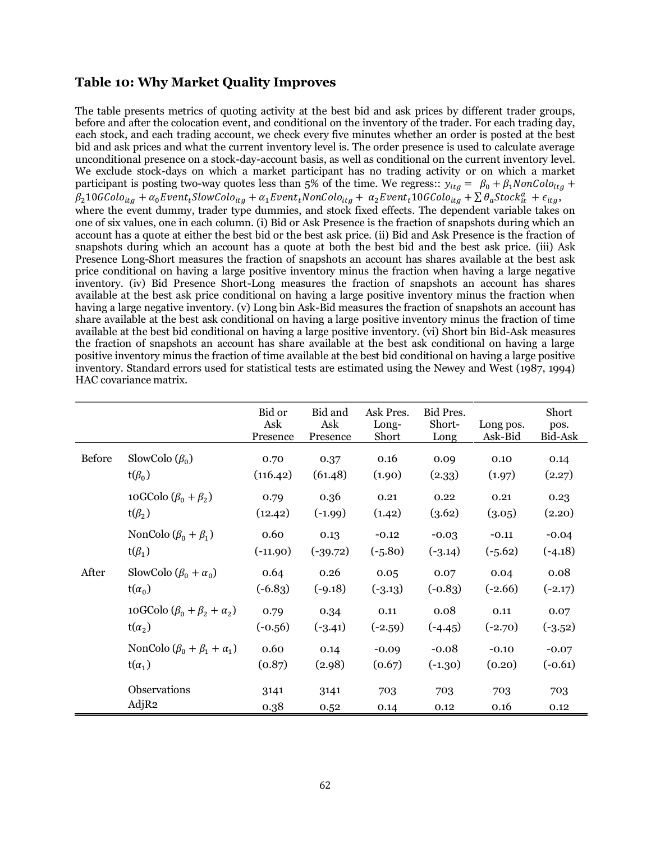# **Table 10: Why Market Quality Improves**

The table presents metrics of quoting activity at the best bid and ask prices by different trader groups, before and after the colocation event, and conditional on the inventory of the trader. For each trading day, each stock, and each trading account, we check every five minutes whether an order is posted at the best bid and ask prices and what the current inventory level is. The order presence is used to calculate average unconditional presence on a stock-day-account basis, as well as conditional on the current inventory level. We exclude stock-days on which a market participant has no trading activity or on which a market participant is posting two-way quotes less than 5% of the time. We regress::  $y_{itg} = \beta_0 + \beta_1 \text{NonColo}_{itg} +$  $\beta_2$ 10GColo<sub>ita</sub> +  $\alpha_0$ Event<sub>t</sub>SlowColo<sub>ita</sub> +  $\alpha_1$ Event<sub>t</sub>NonColo<sub>ita</sub> +  $\alpha_2$ Event<sub>t</sub>10GColo<sub>ita</sub> +  $\sum \theta_a$ Stock ${}^a_{it}$  +  $\epsilon_{ita}$ , where the event dummy, trader type dummies, and stock fixed effects. The dependent variable takes on one of six values, one in each column. (i) Bid or Ask Presence is the fraction of snapshots during which an account has a quote at either the best bid or the best ask price. (ii) Bid and Ask Presence is the fraction of snapshots during which an account has a quote at both the best bid and the best ask price. (iii) Ask Presence Long-Short measures the fraction of snapshots an account has shares available at the best ask price conditional on having a large positive inventory minus the fraction when having a large negative inventory. (iv) Bid Presence Short-Long measures the fraction of snapshots an account has shares available at the best ask price conditional on having a large positive inventory minus the fraction when having a large negative inventory. (v) Long bin Ask-Bid measures the fraction of snapshots an account has share available at the best ask conditional on having a large positive inventory minus the fraction of time available at the best bid conditional on having a large positive inventory. (vi) Short bin Bid-Ask measures the fraction of snapshots an account has share available at the best ask conditional on having a large positive inventory minus the fraction of time available at the best bid conditional on having a large positive inventory. Standard errors used for statistical tests are estimated using the Newey and West (1987, 1994) HAC covariance matrix.

|               |                                          | Bid or<br>Ask<br>Presence | Bid and<br>Ask<br>Presence | Ask Pres.<br>Long-<br>Short | Bid Pres.<br>Short-<br>Long | Long pos.<br>Ask-Bid | Short<br>pos.<br>Bid-Ask |
|---------------|------------------------------------------|---------------------------|----------------------------|-----------------------------|-----------------------------|----------------------|--------------------------|
| <b>Before</b> | SlowColo $(\beta_0)$                     | 0.70                      | 0.37                       | 0.16                        | 0.09                        | 0.10                 | 0.14                     |
|               | $t(\beta_0)$                             | (116.42)                  | (61.48)                    | (1.90)                      | (2.33)                      | (1.97)               | (2.27)                   |
|               | 10GColo $(\beta_0 + \beta_2)$            | 0.79                      | 0.36                       | 0.21                        | 0.22                        | 0.21                 | 0.23                     |
|               | $t(\beta_2)$                             | (12.42)                   | $(-1.99)$                  | (1.42)                      | (3.62)                      | (3.05)               | (2.20)                   |
|               | NonColo $(\beta_0 + \beta_1)$            | 0.60                      | 0.13                       | $-0.12$                     | $-0.03$                     | $-0.11$              | $-0.04$                  |
|               | $t(\beta_1)$                             | $(-11.90)$                | $(-39.72)$                 | $(-5.80)$                   | $(-3.14)$                   | $(-5.62)$            | $(-4.18)$                |
| After         | SlowColo $(\beta_0 + \alpha_0)$          | 0.64                      | 0.26                       | 0.05                        | 0.07                        | 0.04                 | 0.08                     |
|               | $t(\alpha_0)$                            | $(-6.83)$                 | $(-9.18)$                  | $(-3.13)$                   | $(-0.83)$                   | $(-2.66)$            | $(-2.17)$                |
|               | 10GColo $(\beta_0 + \beta_2 + \alpha_2)$ | 0.79                      | 0.34                       | 0.11                        | 0.08                        | 0.11                 | 0.07                     |
|               | $t(\alpha_2)$                            | $(-0.56)$                 | $(-3.41)$                  | $(-2.59)$                   | $(-4.45)$                   | $(-2.70)$            | $(-3.52)$                |
|               | NonColo $(\beta_0 + \beta_1 + \alpha_1)$ | 0.60                      | 0.14                       | $-0.09$                     | $-0.08$                     | $-0.10$              | $-0.07$                  |
|               | $t(\alpha_1)$                            | (0.87)                    | (2.98)                     | (0.67)                      | $(-1.30)$                   | (0.20)               | $(-0.61)$                |
|               | Observations                             | 3141                      | 3141                       | 703                         | 703                         | 703                  | 703                      |
|               | AdjR2                                    | 0.38                      | 0.52                       | 0.14                        | 0.12                        | 0.16                 | 0.12                     |